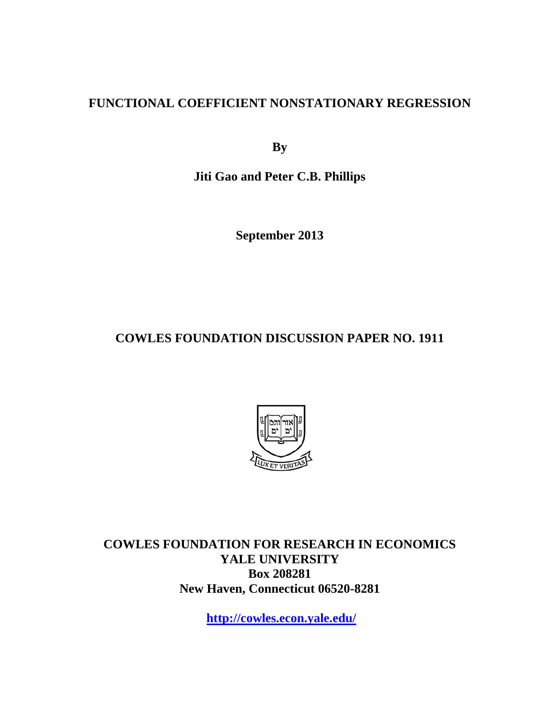# **FUNCTIONAL COEFFICIENT NONSTATIONARY REGRESSION**

**By** 

**Jiti Gao and Peter C.B. Phillips** 

**September 2013** 

**COWLES FOUNDATION DISCUSSION PAPER NO. 1911** 



**COWLES FOUNDATION FOR RESEARCH IN ECONOMICS YALE UNIVERSITY Box 208281 New Haven, Connecticut 06520-8281** 

**http://cowles.econ.yale.edu/**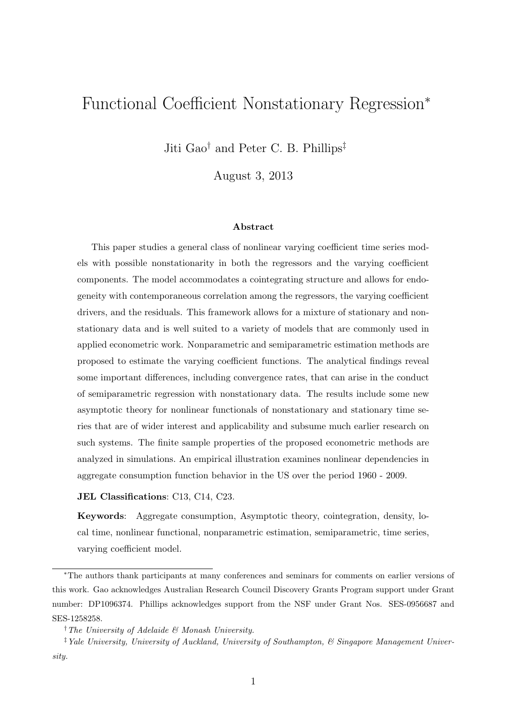# Functional Coefficient Nonstationary Regression<sup>∗</sup>

Jiti Gao† and Peter C. B. Phillips‡

August 3, 2013

#### Abstract

This paper studies a general class of nonlinear varying coefficient time series models with possible nonstationarity in both the regressors and the varying coefficient components. The model accommodates a cointegrating structure and allows for endogeneity with contemporaneous correlation among the regressors, the varying coefficient drivers, and the residuals. This framework allows for a mixture of stationary and nonstationary data and is well suited to a variety of models that are commonly used in applied econometric work. Nonparametric and semiparametric estimation methods are proposed to estimate the varying coefficient functions. The analytical findings reveal some important differences, including convergence rates, that can arise in the conduct of semiparametric regression with nonstationary data. The results include some new asymptotic theory for nonlinear functionals of nonstationary and stationary time series that are of wider interest and applicability and subsume much earlier research on such systems. The finite sample properties of the proposed econometric methods are analyzed in simulations. An empirical illustration examines nonlinear dependencies in aggregate consumption function behavior in the US over the period 1960 - 2009.

#### JEL Classifications: C13, C14, C23.

Keywords: Aggregate consumption, Asymptotic theory, cointegration, density, local time, nonlinear functional, nonparametric estimation, semiparametric, time series, varying coefficient model.

<sup>∗</sup>The authors thank participants at many conferences and seminars for comments on earlier versions of this work. Gao acknowledges Australian Research Council Discovery Grants Program support under Grant number: DP1096374. Phillips acknowledges support from the NSF under Grant Nos. SES-0956687 and SES-1258258.

<sup>†</sup>The University of Adelaide & Monash University.

<sup>&</sup>lt;sup>‡</sup> Yale University, University of Auckland, University of Southampton, & Singapore Management University.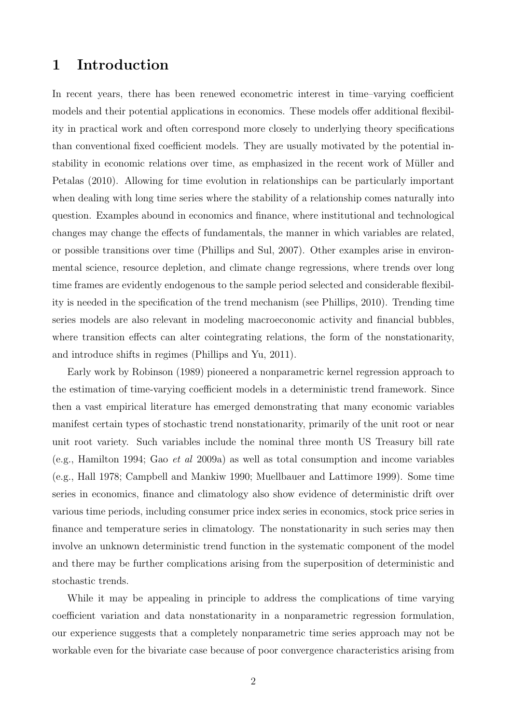# 1 Introduction

In recent years, there has been renewed econometric interest in time–varying coefficient models and their potential applications in economics. These models offer additional flexibility in practical work and often correspond more closely to underlying theory specifications than conventional fixed coefficient models. They are usually motivated by the potential instability in economic relations over time, as emphasized in the recent work of Müller and Petalas (2010). Allowing for time evolution in relationships can be particularly important when dealing with long time series where the stability of a relationship comes naturally into question. Examples abound in economics and finance, where institutional and technological changes may change the effects of fundamentals, the manner in which variables are related, or possible transitions over time (Phillips and Sul, 2007). Other examples arise in environmental science, resource depletion, and climate change regressions, where trends over long time frames are evidently endogenous to the sample period selected and considerable flexibility is needed in the specification of the trend mechanism (see Phillips, 2010). Trending time series models are also relevant in modeling macroeconomic activity and financial bubbles, where transition effects can alter cointegrating relations, the form of the nonstationarity, and introduce shifts in regimes (Phillips and Yu, 2011).

Early work by Robinson (1989) pioneered a nonparametric kernel regression approach to the estimation of time-varying coefficient models in a deterministic trend framework. Since then a vast empirical literature has emerged demonstrating that many economic variables manifest certain types of stochastic trend nonstationarity, primarily of the unit root or near unit root variety. Such variables include the nominal three month US Treasury bill rate (e.g., Hamilton 1994; Gao et al 2009a) as well as total consumption and income variables (e.g., Hall 1978; Campbell and Mankiw 1990; Muellbauer and Lattimore 1999). Some time series in economics, finance and climatology also show evidence of deterministic drift over various time periods, including consumer price index series in economics, stock price series in finance and temperature series in climatology. The nonstationarity in such series may then involve an unknown deterministic trend function in the systematic component of the model and there may be further complications arising from the superposition of deterministic and stochastic trends.

While it may be appealing in principle to address the complications of time varying coefficient variation and data nonstationarity in a nonparametric regression formulation, our experience suggests that a completely nonparametric time series approach may not be workable even for the bivariate case because of poor convergence characteristics arising from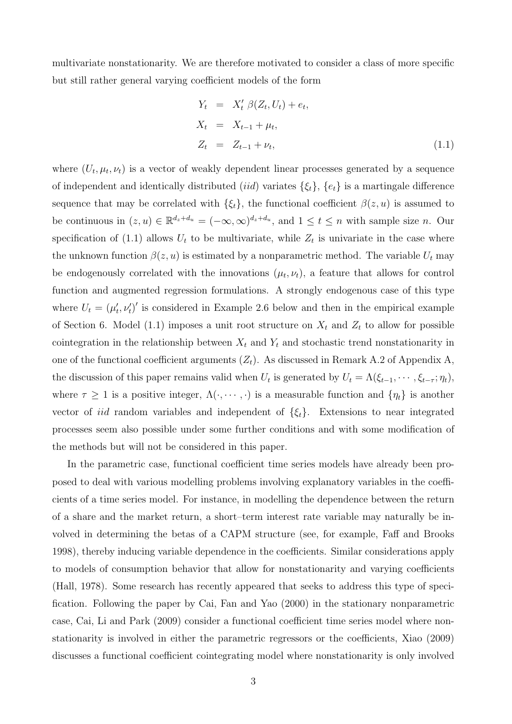multivariate nonstationarity. We are therefore motivated to consider a class of more specific but still rather general varying coefficient models of the form

$$
Y_t = X'_t \beta(Z_t, U_t) + e_t,
$$
  
\n
$$
X_t = X_{t-1} + \mu_t,
$$
  
\n
$$
Z_t = Z_{t-1} + \nu_t,
$$
\n(1.1)

where  $(U_t, \mu_t, \nu_t)$  is a vector of weakly dependent linear processes generated by a sequence of independent and identically distributed (iid) variates  $\{\xi_t\}, \{e_t\}$  is a martingale difference sequence that may be correlated with  $\{\xi_t\}$ , the functional coefficient  $\beta(z, u)$  is assumed to be continuous in  $(z, u) \in \mathbb{R}^{d_z+d_u} = (-\infty, \infty)^{d_z+d_u}$ , and  $1 \le t \le n$  with sample size *n*. Our specification of (1.1) allows  $U_t$  to be multivariate, while  $Z_t$  is univariate in the case where the unknown function  $\beta(z, u)$  is estimated by a nonparametric method. The variable  $U_t$  may be endogenously correlated with the innovations  $(\mu_t, \nu_t)$ , a feature that allows for control function and augmented regression formulations. A strongly endogenous case of this type where  $U_t = (\mu'_t, \nu'_t)'$  is considered in Example 2.6 below and then in the empirical example of Section 6. Model (1.1) imposes a unit root structure on  $X_t$  and  $Z_t$  to allow for possible cointegration in the relationship between  $X_t$  and  $Y_t$  and stochastic trend nonstationarity in one of the functional coefficient arguments  $(Z_t)$ . As discussed in Remark A.2 of Appendix A, the discussion of this paper remains valid when  $U_t$  is generated by  $U_t = \Lambda(\xi_{t-1}, \dots, \xi_{t-\tau}; \eta_t)$ , where  $\tau \geq 1$  is a positive integer,  $\Lambda(\cdot, \dots, \cdot)$  is a measurable function and  $\{\eta_t\}$  is another vector of *iid* random variables and independent of  $\{\xi_t\}$ . Extensions to near integrated processes seem also possible under some further conditions and with some modification of the methods but will not be considered in this paper.

In the parametric case, functional coefficient time series models have already been proposed to deal with various modelling problems involving explanatory variables in the coefficients of a time series model. For instance, in modelling the dependence between the return of a share and the market return, a short–term interest rate variable may naturally be involved in determining the betas of a CAPM structure (see, for example, Faff and Brooks 1998), thereby inducing variable dependence in the coefficients. Similar considerations apply to models of consumption behavior that allow for nonstationarity and varying coefficients (Hall, 1978). Some research has recently appeared that seeks to address this type of specification. Following the paper by Cai, Fan and Yao (2000) in the stationary nonparametric case, Cai, Li and Park (2009) consider a functional coefficient time series model where nonstationarity is involved in either the parametric regressors or the coefficients, Xiao (2009) discusses a functional coefficient cointegrating model where nonstationarity is only involved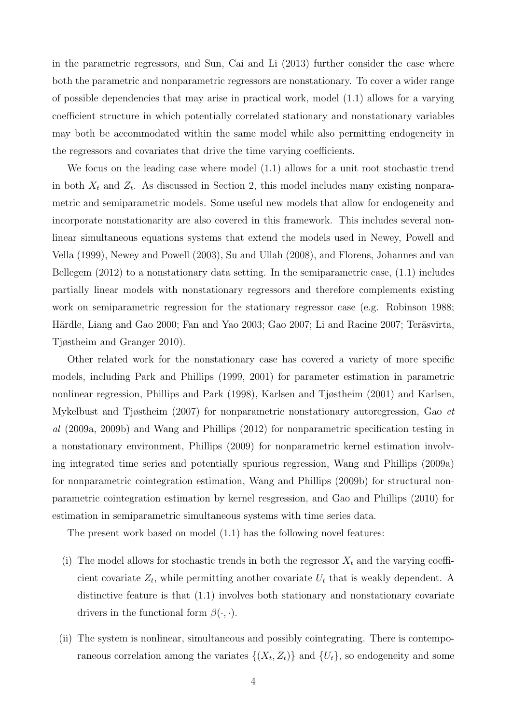in the parametric regressors, and Sun, Cai and Li (2013) further consider the case where both the parametric and nonparametric regressors are nonstationary. To cover a wider range of possible dependencies that may arise in practical work, model (1.1) allows for a varying coefficient structure in which potentially correlated stationary and nonstationary variables may both be accommodated within the same model while also permitting endogeneity in the regressors and covariates that drive the time varying coefficients.

We focus on the leading case where model (1.1) allows for a unit root stochastic trend in both  $X_t$  and  $Z_t$ . As discussed in Section 2, this model includes many existing nonparametric and semiparametric models. Some useful new models that allow for endogeneity and incorporate nonstationarity are also covered in this framework. This includes several nonlinear simultaneous equations systems that extend the models used in Newey, Powell and Vella (1999), Newey and Powell (2003), Su and Ullah (2008), and Florens, Johannes and van Bellegem (2012) to a nonstationary data setting. In the semiparametric case, (1.1) includes partially linear models with nonstationary regressors and therefore complements existing work on semiparametric regression for the stationary regressor case (e.g. Robinson 1988; Härdle, Liang and Gao 2000; Fan and Yao 2003; Gao 2007; Li and Racine 2007; Teräsvirta, Tjøstheim and Granger 2010).

Other related work for the nonstationary case has covered a variety of more specific models, including Park and Phillips (1999, 2001) for parameter estimation in parametric nonlinear regression, Phillips and Park (1998), Karlsen and Tjøstheim (2001) and Karlsen, Mykelbust and Tjøstheim (2007) for nonparametric nonstationary autoregression, Gao et al (2009a, 2009b) and Wang and Phillips (2012) for nonparametric specification testing in a nonstationary environment, Phillips (2009) for nonparametric kernel estimation involving integrated time series and potentially spurious regression, Wang and Phillips (2009a) for nonparametric cointegration estimation, Wang and Phillips (2009b) for structural nonparametric cointegration estimation by kernel resgression, and Gao and Phillips (2010) for estimation in semiparametric simultaneous systems with time series data.

The present work based on model (1.1) has the following novel features:

- (i) The model allows for stochastic trends in both the regressor  $X_t$  and the varying coefficient covariate  $Z_t$ , while permitting another covariate  $U_t$  that is weakly dependent. A distinctive feature is that (1.1) involves both stationary and nonstationary covariate drivers in the functional form  $\beta(\cdot, \cdot)$ .
- (ii) The system is nonlinear, simultaneous and possibly cointegrating. There is contemporaneous correlation among the variates  $\{(X_t, Z_t)\}\$ and  $\{U_t\}$ , so endogeneity and some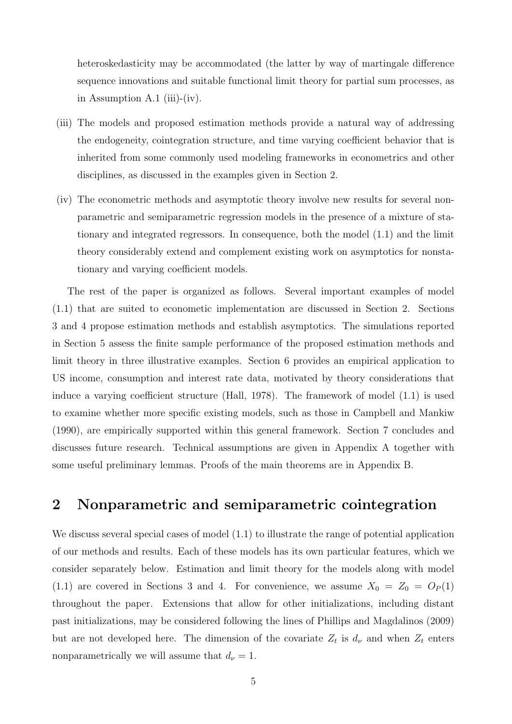heteroskedasticity may be accommodated (the latter by way of martingale difference sequence innovations and suitable functional limit theory for partial sum processes, as in Assumption A.1 (iii)-(iv).

- (iii) The models and proposed estimation methods provide a natural way of addressing the endogeneity, cointegration structure, and time varying coefficient behavior that is inherited from some commonly used modeling frameworks in econometrics and other disciplines, as discussed in the examples given in Section 2.
- (iv) The econometric methods and asymptotic theory involve new results for several nonparametric and semiparametric regression models in the presence of a mixture of stationary and integrated regressors. In consequence, both the model (1.1) and the limit theory considerably extend and complement existing work on asymptotics for nonstationary and varying coefficient models.

The rest of the paper is organized as follows. Several important examples of model (1.1) that are suited to econometic implementation are discussed in Section 2. Sections 3 and 4 propose estimation methods and establish asymptotics. The simulations reported in Section 5 assess the finite sample performance of the proposed estimation methods and limit theory in three illustrative examples. Section 6 provides an empirical application to US income, consumption and interest rate data, motivated by theory considerations that induce a varying coefficient structure (Hall, 1978). The framework of model (1.1) is used to examine whether more specific existing models, such as those in Campbell and Mankiw (1990), are empirically supported within this general framework. Section 7 concludes and discusses future research. Technical assumptions are given in Appendix A together with some useful preliminary lemmas. Proofs of the main theorems are in Appendix B.

# 2 Nonparametric and semiparametric cointegration

We discuss several special cases of model  $(1.1)$  to illustrate the range of potential application of our methods and results. Each of these models has its own particular features, which we consider separately below. Estimation and limit theory for the models along with model (1.1) are covered in Sections 3 and 4. For convenience, we assume  $X_0 = Z_0 = O_P(1)$ throughout the paper. Extensions that allow for other initializations, including distant past initializations, may be considered following the lines of Phillips and Magdalinos (2009) but are not developed here. The dimension of the covariate  $Z_t$  is  $d_{\nu}$  and when  $Z_t$  enters nonparametrically we will assume that  $d_{\nu} = 1$ .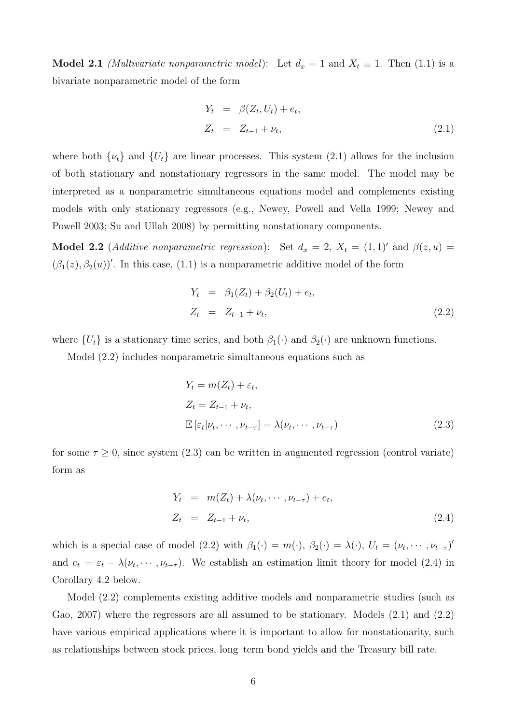**Model 2.1** (Multivariate nonparametric model): Let  $d_x = 1$  and  $X_t \equiv 1$ . Then (1.1) is a bivariate nonparametric model of the form

$$
Y_t = \beta(Z_t, U_t) + e_t,
$$
  
\n
$$
Z_t = Z_{t-1} + \nu_t,
$$
\n(2.1)

where both  $\{\nu_t\}$  and  $\{U_t\}$  are linear processes. This system (2.1) allows for the inclusion of both stationary and nonstationary regressors in the same model. The model may be interpreted as a nonparametric simultaneous equations model and complements existing models with only stationary regressors (e.g., Newey, Powell and Vella 1999; Newey and Powell 2003; Su and Ullah 2008) by permitting nonstationary components.

Model 2.2 (Additive nonparametric regression): Set  $d_x = 2$ ,  $X_t = (1, 1)$  and  $\beta(z, u) =$  $(\beta_1(z), \beta_2(u))'$ . In this case, (1.1) is a nonparametric additive model of the form

$$
Y_t = \beta_1(Z_t) + \beta_2(U_t) + e_t,
$$
  
\n
$$
Z_t = Z_{t-1} + \nu_t,
$$
\n(2.2)

where  $\{U_t\}$  is a stationary time series, and both  $\beta_1(\cdot)$  and  $\beta_2(\cdot)$  are unknown functions.

Model (2.2) includes nonparametric simultaneous equations such as

$$
Y_t = m(Z_t) + \varepsilon_t,
$$
  
\n
$$
Z_t = Z_{t-1} + \nu_t,
$$
  
\n
$$
\mathbb{E} \left[ \varepsilon_t | \nu_t, \cdots, \nu_{t-\tau} \right] = \lambda(\nu_t, \cdots, \nu_{t-\tau})
$$
\n(2.3)

for some  $\tau \geq 0$ , since system (2.3) can be written in augmented regression (control variate) form as

$$
Y_t = m(Z_t) + \lambda(\nu_t, \cdots, \nu_{t-\tau}) + e_t,
$$
  
\n
$$
Z_t = Z_{t-1} + \nu_t,
$$
\n(2.4)

which is a special case of model (2.2) with  $\beta_1(\cdot) = m(\cdot), \beta_2(\cdot) = \lambda(\cdot), U_t = (\nu_t, \cdots, \nu_{t-\tau})'$ and  $e_t = \varepsilon_t - \lambda(\nu_t, \dots, \nu_{t-\tau})$ . We establish an estimation limit theory for model (2.4) in Corollary 4.2 below.

Model (2.2) complements existing additive models and nonparametric studies (such as Gao, 2007) where the regressors are all assumed to be stationary. Models (2.1) and (2.2) have various empirical applications where it is important to allow for nonstationarity, such as relationships between stock prices, long–term bond yields and the Treasury bill rate.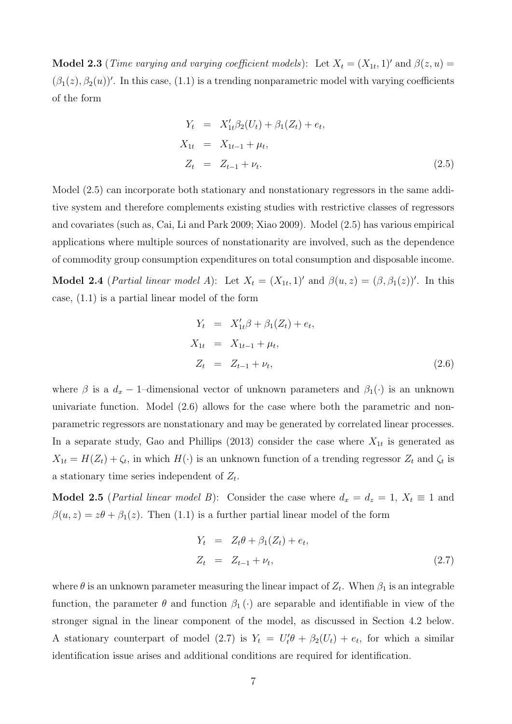**Model 2.3** (*Time varying and varying coefficient models*): Let  $X_t = (X_{1t}, 1)'$  and  $\beta(z, u) =$  $(\beta_1(z), \beta_2(u))'$ . In this case, (1.1) is a trending nonparametric model with varying coefficients of the form

$$
Y_t = X'_{1t}\beta_2(U_t) + \beta_1(Z_t) + e_t,
$$
  
\n
$$
X_{1t} = X_{1t-1} + \mu_t,
$$
  
\n
$$
Z_t = Z_{t-1} + \nu_t.
$$
\n(2.5)

Model (2.5) can incorporate both stationary and nonstationary regressors in the same additive system and therefore complements existing studies with restrictive classes of regressors and covariates (such as, Cai, Li and Park 2009; Xiao 2009). Model (2.5) has various empirical applications where multiple sources of nonstationarity are involved, such as the dependence of commodity group consumption expenditures on total consumption and disposable income.

**Model 2.4** (*Partial linear model A*): Let  $X_t = (X_{1t}, 1)$  and  $\beta(u, z) = (\beta, \beta_1(z))'$ . In this case, (1.1) is a partial linear model of the form

$$
Y_t = X'_{1t}\beta + \beta_1(Z_t) + e_t,
$$
  
\n
$$
X_{1t} = X_{1t-1} + \mu_t,
$$
  
\n
$$
Z_t = Z_{t-1} + \nu_t,
$$
\n(2.6)

where  $\beta$  is a  $d_x$  – 1–dimensional vector of unknown parameters and  $\beta_1(\cdot)$  is an unknown univariate function. Model (2.6) allows for the case where both the parametric and nonparametric regressors are nonstationary and may be generated by correlated linear processes. In a separate study, Gao and Phillips (2013) consider the case where  $X_{1t}$  is generated as  $X_{1t} = H(Z_t) + \zeta_t$ , in which  $H(\cdot)$  is an unknown function of a trending regressor  $Z_t$  and  $\zeta_t$  is a stationary time series independent of  $Z_t$ .

**Model 2.5** (*Partial linear model B*): Consider the case where  $d_x = d_z = 1$ ,  $X_t \equiv 1$  and  $\beta(u, z) = z\theta + \beta_1(z)$ . Then (1.1) is a further partial linear model of the form

$$
Y_t = Z_t \theta + \beta_1 (Z_t) + e_t,
$$
  
\n
$$
Z_t = Z_{t-1} + \nu_t,
$$
\n(2.7)

where  $\theta$  is an unknown parameter measuring the linear impact of  $Z_t$ . When  $\beta_1$  is an integrable function, the parameter  $\theta$  and function  $\beta_1(\cdot)$  are separable and identifiable in view of the stronger signal in the linear component of the model, as discussed in Section 4.2 below. A stationary counterpart of model (2.7) is  $Y_t = U_t' \theta + \beta_2(U_t) + e_t$ , for which a similar identification issue arises and additional conditions are required for identification.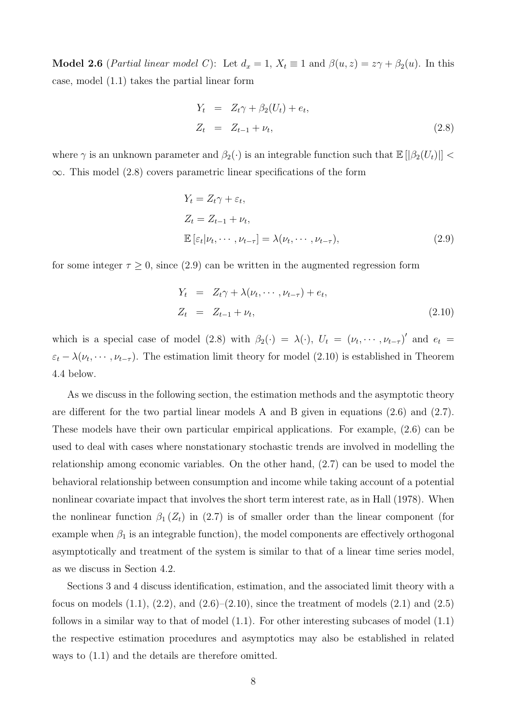**Model 2.6** (*Partial linear model C*): Let  $d_x = 1$ ,  $X_t \equiv 1$  and  $\beta(u, z) = z\gamma + \beta_2(u)$ . In this case, model (1.1) takes the partial linear form

$$
Y_t = Z_t \gamma + \beta_2 (U_t) + e_t,
$$
  
\n
$$
Z_t = Z_{t-1} + \nu_t,
$$
\n(2.8)

where  $\gamma$  is an unknown parameter and  $\beta_2(\cdot)$  is an integrable function such that  $\mathbb{E} [|\beta_2(U_t)|]$  $\infty$ . This model (2.8) covers parametric linear specifications of the form

$$
Y_t = Z_t \gamma + \varepsilon_t,
$$
  
\n
$$
Z_t = Z_{t-1} + \nu_t,
$$
  
\n
$$
\mathbb{E} \left[ \varepsilon_t | \nu_t, \cdots, \nu_{t-\tau} \right] = \lambda(\nu_t, \cdots, \nu_{t-\tau}),
$$
\n(2.9)

for some integer  $\tau \geq 0$ , since (2.9) can be written in the augmented regression form

$$
Y_t = Z_t \gamma + \lambda(\nu_t, \cdots, \nu_{t-\tau}) + e_t,
$$
  
\n
$$
Z_t = Z_{t-1} + \nu_t,
$$
\n(2.10)

which is a special case of model (2.8) with  $\beta_2(\cdot) = \lambda(\cdot)$ ,  $U_t = (\nu_t, \dots, \nu_{t-\tau})'$  and  $e_t =$  $\varepsilon_t - \lambda(\nu_t, \dots, \nu_{t-\tau})$ . The estimation limit theory for model (2.10) is established in Theorem 4.4 below.

As we discuss in the following section, the estimation methods and the asymptotic theory are different for the two partial linear models A and B given in equations (2.6) and (2.7). These models have their own particular empirical applications. For example, (2.6) can be used to deal with cases where nonstationary stochastic trends are involved in modelling the relationship among economic variables. On the other hand, (2.7) can be used to model the behavioral relationship between consumption and income while taking account of a potential nonlinear covariate impact that involves the short term interest rate, as in Hall (1978). When the nonlinear function  $\beta_1(Z_t)$  in (2.7) is of smaller order than the linear component (for example when  $\beta_1$  is an integrable function), the model components are effectively orthogonal asymptotically and treatment of the system is similar to that of a linear time series model, as we discuss in Section 4.2.

Sections 3 and 4 discuss identification, estimation, and the associated limit theory with a focus on models  $(1.1)$ ,  $(2.2)$ , and  $(2.6)$ – $(2.10)$ , since the treatment of models  $(2.1)$  and  $(2.5)$ follows in a similar way to that of model  $(1.1)$ . For other interesting subcases of model  $(1.1)$ the respective estimation procedures and asymptotics may also be established in related ways to (1.1) and the details are therefore omitted.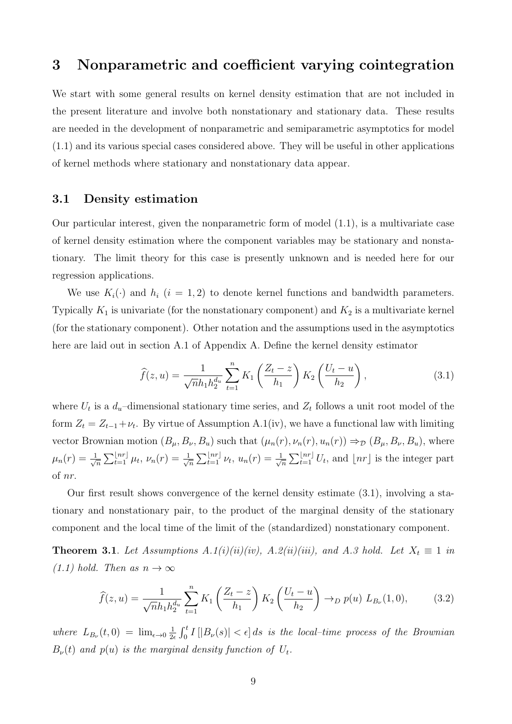# 3 Nonparametric and coefficient varying cointegration

We start with some general results on kernel density estimation that are not included in the present literature and involve both nonstationary and stationary data. These results are needed in the development of nonparametric and semiparametric asymptotics for model (1.1) and its various special cases considered above. They will be useful in other applications of kernel methods where stationary and nonstationary data appear.

### 3.1 Density estimation

Our particular interest, given the nonparametric form of model (1.1), is a multivariate case of kernel density estimation where the component variables may be stationary and nonstationary. The limit theory for this case is presently unknown and is needed here for our regression applications.

We use  $K_i(\cdot)$  and  $h_i$   $(i = 1, 2)$  to denote kernel functions and bandwidth parameters. Typically  $K_1$  is univariate (for the nonstationary component) and  $K_2$  is a multivariate kernel (for the stationary component). Other notation and the assumptions used in the asymptotics here are laid out in section A.1 of Appendix A. Define the kernel density estimator

$$
\widehat{f}(z,u) = \frac{1}{\sqrt{n}h_1h_2^{d_u}} \sum_{t=1}^n K_1\left(\frac{Z_t - z}{h_1}\right) K_2\left(\frac{U_t - u}{h_2}\right),\tag{3.1}
$$

where  $U_t$  is a  $d_u$ -dimensional stationary time series, and  $Z_t$  follows a unit root model of the form  $Z_t = Z_{t-1} + \nu_t$ . By virtue of Assumption A.1(iv), we have a functional law with limiting vector Brownian motion  $(B_{\mu}, B_{\nu}, B_u)$  such that  $(\mu_n(r), \nu_n(r), u_n(r)) \Rightarrow_D (B_{\mu}, B_{\nu}, B_u)$ , where  $\mu_n(r) = \frac{1}{\sqrt{2}}$  $\frac{1}{\overline{n}}\sum_{t=1}^{\lfloor nr\rfloor}\mu_t,\,\nu_n(r)=\frac{1}{\sqrt{2}}$  $\frac{1}{\overline{n}}\sum_{t=1}^{\lfloor nr\rfloor}\nu_t,\,u_n(r)=\frac{1}{\sqrt{2}}$  $\frac{1}{\sqrt{n}}\sum_{t=1}^{\lfloor nr\rfloor} U_t$ , and  $\lfloor nr\rfloor$  is the integer part of nr.

Our first result shows convergence of the kernel density estimate (3.1), involving a stationary and nonstationary pair, to the product of the marginal density of the stationary component and the local time of the limit of the (standardized) nonstationary component.

**Theorem 3.1**. Let Assumptions  $A.1(i)(ii)(iv)$ ,  $A.2(ii)(iii)$ , and  $A.3$  hold. Let  $X_t \equiv 1$  in  $(1.1)$  hold. Then as  $n \to \infty$ 

$$
\widehat{f}(z,u) = \frac{1}{\sqrt{n}h_1h_2^{d_u}} \sum_{t=1}^n K_1\left(\frac{Z_t - z}{h_1}\right) K_2\left(\frac{U_t - u}{h_2}\right) \to_D p(u) L_{B_\nu}(1,0),\tag{3.2}
$$

where  $L_{B_{\nu}}(t,0) = \lim_{\epsilon \to 0} \frac{1}{2\epsilon}$  $\frac{1}{2\epsilon} \int_0^t I[|B_\nu(s)| < \epsilon] ds$  is the local-time process of the Brownian  $B_{\nu}(t)$  and  $p(u)$  is the marginal density function of  $U_t$ .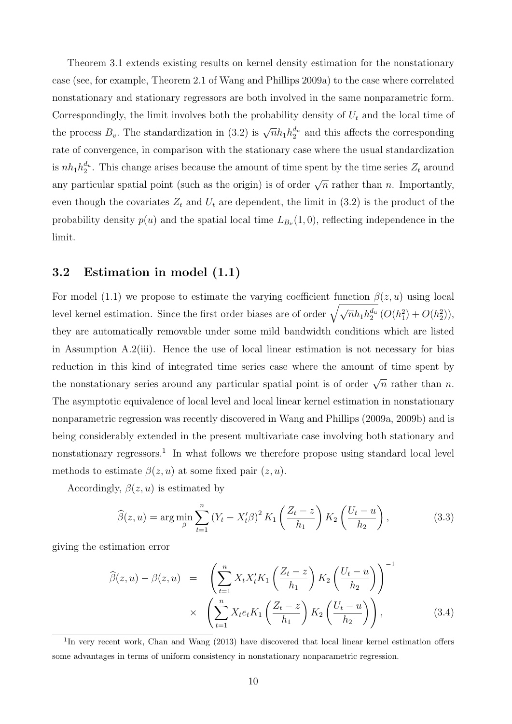Theorem 3.1 extends existing results on kernel density estimation for the nonstationary case (see, for example, Theorem 2.1 of Wang and Phillips 2009a) to the case where correlated nonstationary and stationary regressors are both involved in the same nonparametric form. Correspondingly, the limit involves both the probability density of  $U_t$  and the local time of the process  $B_v$ . The standardization in (3.2) is  $\sqrt{n}h_1h_2^{d_u}$  and this affects the corresponding rate of convergence, in comparison with the stationary case where the usual standardization is  $nh_1h_2^{d_u}$ . This change arises because the amount of time spent by the time series  $Z_t$  around any particular spatial point (such as the origin) is of order  $\sqrt{n}$  rather than n. Importantly, even though the covariates  $Z_t$  and  $U_t$  are dependent, the limit in (3.2) is the product of the probability density  $p(u)$  and the spatial local time  $L_{B_{\nu}}(1,0)$ , reflecting independence in the limit.

## 3.2 Estimation in model (1.1)

For model (1.1) we propose to estimate the varying coefficient function  $\beta(z, u)$  using local level kernel estimation. Since the first order biases are of order  $\sqrt{\sqrt{n}h_1h_2^{d_u}}$   $(O(h_1^2)+O(h_2^2)),$ they are automatically removable under some mild bandwidth conditions which are listed in Assumption A.2(iii). Hence the use of local linear estimation is not necessary for bias reduction in this kind of integrated time series case where the amount of time spent by the nonstationary series around any particular spatial point is of order  $\sqrt{n}$  rather than n. The asymptotic equivalence of local level and local linear kernel estimation in nonstationary nonparametric regression was recently discovered in Wang and Phillips (2009a, 2009b) and is being considerably extended in the present multivariate case involving both stationary and nonstationary regressors.<sup>1</sup> In what follows we therefore propose using standard local level methods to estimate  $\beta(z, u)$  at some fixed pair  $(z, u)$ .

Accordingly,  $\beta(z, u)$  is estimated by

$$
\widehat{\beta}(z, u) = \arg \min_{\beta} \sum_{t=1}^{n} (Y_t - X_t^{\prime} \beta)^2 K_1 \left( \frac{Z_t - z}{h_1} \right) K_2 \left( \frac{U_t - u}{h_2} \right), \tag{3.3}
$$

giving the estimation error

$$
\widehat{\beta}(z,u) - \beta(z,u) = \left(\sum_{t=1}^{n} X_t X_t' K_1 \left(\frac{Z_t - z}{h_1}\right) K_2 \left(\frac{U_t - u}{h_2}\right)\right)^{-1} \times \left(\sum_{t=1}^{n} X_t e_t K_1 \left(\frac{Z_t - z}{h_1}\right) K_2 \left(\frac{U_t - u}{h_2}\right)\right), \tag{3.4}
$$

<sup>&</sup>lt;sup>1</sup>In very recent work, Chan and Wang (2013) have discovered that local linear kernel estimation offers some advantages in terms of uniform consistency in nonstationary nonparametric regression.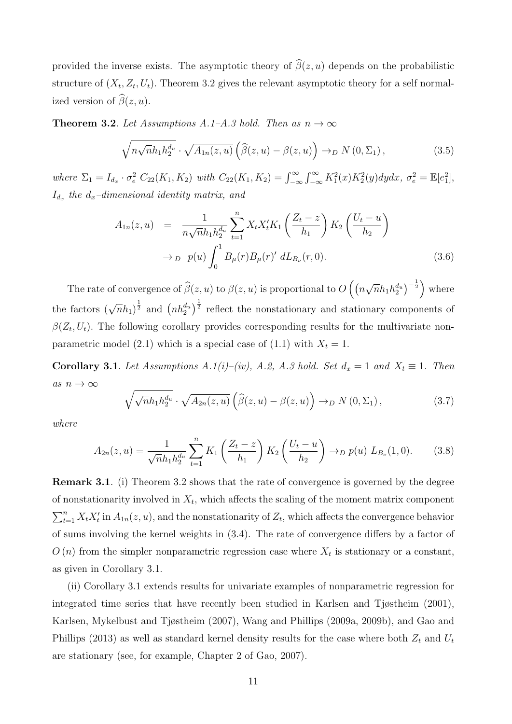provided the inverse exists. The asymptotic theory of  $\widehat{\beta}(z, u)$  depends on the probabilistic structure of  $(X_t, Z_t, U_t)$ . Theorem 3.2 gives the relevant asymptotic theory for a self normalized version of  $\widehat{\beta}(z, u)$ .

**Theorem 3.2.** Let Assumptions A.1–A.3 hold. Then as  $n \to \infty$ 

$$
\sqrt{n\sqrt{n}h_1h_2^{d_u}}\cdot\sqrt{A_{1n}(z,u)}\left(\widehat{\beta}(z,u)-\beta(z,u)\right)\to_D N(0,\Sigma_1),\tag{3.5}
$$

where  $\Sigma_1 = I_{d_x} \cdot \sigma_e^2 C_{22}(K_1, K_2)$  with  $C_{22}(K_1, K_2) = \int_{-\infty}^{\infty} \int_{-\infty}^{\infty} K_1^2(x) K_2^2(y) dy dx$ ,  $\sigma_e^2 = \mathbb{E}[e_1^2]$ ,  $I_{d_x}$  the  $d_x$ -dimensional identity matrix, and

$$
A_{1n}(z,u) = \frac{1}{n\sqrt{n}h_1h_2^{d_u}} \sum_{t=1}^n X_t X_t' K_1 \left(\frac{Z_t - z}{h_1}\right) K_2 \left(\frac{U_t - u}{h_2}\right)
$$
  

$$
\to_D p(u) \int_0^1 B_\mu(r) B_\mu(r)' dL_{B_\nu}(r,0).
$$
 (3.6)

The rate of convergence of  $\widehat{\beta}(z, u)$  to  $\beta(z, u)$  is proportional to  $O\left(\left(n\right)$ √  $\left(\overline{n}h_1h_2^{d_u}\right)^{-\frac{1}{2}}\Big)$  where the factors  $(\sqrt{n}h_1)^{\frac{1}{2}}$  and  $(nh_2^{d_u})^{\frac{1}{2}}$  reflect the nonstationary and stationary components of  $\beta(Z_t, U_t)$ . The following corollary provides corresponding results for the multivariate nonparametric model (2.1) which is a special case of (1.1) with  $X_t = 1$ .

Corollary 3.1. Let Assumptions A.1(i)–(iv), A.2, A.3 hold. Set  $d_x = 1$  and  $X_t \equiv 1$ . Then as  $n \to \infty$ 

$$
\sqrt{\sqrt{n}h_1h_2^{d_u}} \cdot \sqrt{A_{2n}(z,u)} \left(\widehat{\beta}(z,u) - \beta(z,u)\right) \to_D N(0,\Sigma_1),\tag{3.7}
$$

where

$$
A_{2n}(z,u) = \frac{1}{\sqrt{n}h_1h_2^{d_u}} \sum_{t=1}^n K_1\left(\frac{Z_t - z}{h_1}\right) K_2\left(\frac{U_t - u}{h_2}\right) \to_D p(u) L_{B_\nu}(1,0).
$$
 (3.8)

Remark 3.1. (i) Theorem 3.2 shows that the rate of convergence is governed by the degree of nonstationarity involved in  $X_t$ , which affects the scaling of the moment matrix component  $\sum_{t=1}^{n} X_t X_t'$  in  $A_{1n}(z, u)$ , and the nonstationarity of  $Z_t$ , which affects the convergence behavior of sums involving the kernel weights in (3.4). The rate of convergence differs by a factor of  $O(n)$  from the simpler nonparametric regression case where  $X_t$  is stationary or a constant, as given in Corollary 3.1.

(ii) Corollary 3.1 extends results for univariate examples of nonparametric regression for integrated time series that have recently been studied in Karlsen and Tjøstheim (2001), Karlsen, Mykelbust and Tjøstheim (2007), Wang and Phillips (2009a, 2009b), and Gao and Phillips (2013) as well as standard kernel density results for the case where both  $Z_t$  and  $U_t$ are stationary (see, for example, Chapter 2 of Gao, 2007).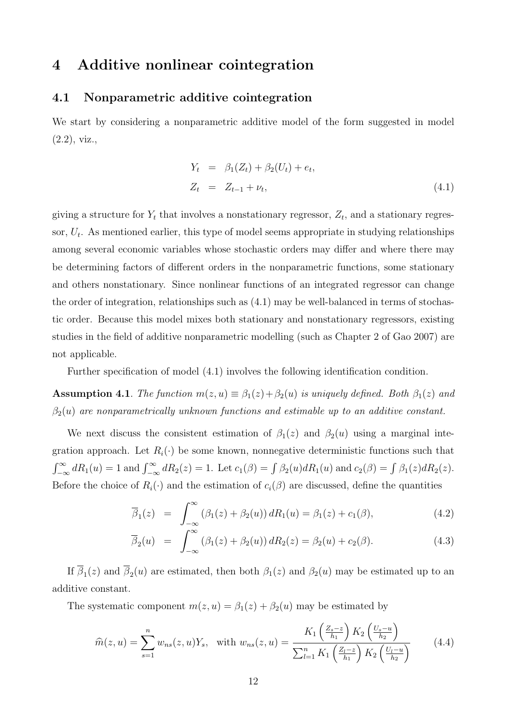# 4 Additive nonlinear cointegration

### 4.1 Nonparametric additive cointegration

We start by considering a nonparametric additive model of the form suggested in model (2.2), viz.,

$$
Y_t = \beta_1(Z_t) + \beta_2(U_t) + e_t,
$$
  
\n
$$
Z_t = Z_{t-1} + \nu_t,
$$
\n(4.1)

giving a structure for  $Y_t$  that involves a nonstationary regressor,  $Z_t$ , and a stationary regressor,  $U_t$ . As mentioned earlier, this type of model seems appropriate in studying relationships among several economic variables whose stochastic orders may differ and where there may be determining factors of different orders in the nonparametric functions, some stationary and others nonstationary. Since nonlinear functions of an integrated regressor can change the order of integration, relationships such as (4.1) may be well-balanced in terms of stochastic order. Because this model mixes both stationary and nonstationary regressors, existing studies in the field of additive nonparametric modelling (such as Chapter 2 of Gao 2007) are not applicable.

Further specification of model (4.1) involves the following identification condition.

**Assumption 4.1**. The function  $m(z, u) \equiv \beta_1(z) + \beta_2(u)$  is uniquely defined. Both  $\beta_1(z)$  and  $\beta_2(u)$  are nonparametrically unknown functions and estimable up to an additive constant.

We next discuss the consistent estimation of  $\beta_1(z)$  and  $\beta_2(u)$  using a marginal integration approach. Let  $R_i(\cdot)$  be some known, nonnegative deterministic functions such that  $\int_{-\infty}^{\infty} dR_1(u) = 1$  and  $\int_{-\infty}^{\infty} dR_2(z) = 1$ . Let  $c_1(\beta) = \int \beta_2(u) dR_1(u)$  and  $c_2(\beta) = \int \beta_1(z) dR_2(z)$ . Before the choice of  $R_i(\cdot)$  and the estimation of  $c_i(\beta)$  are discussed, define the quantities

$$
\overline{\beta}_1(z) = \int_{-\infty}^{\infty} (\beta_1(z) + \beta_2(u)) dR_1(u) = \beta_1(z) + c_1(\beta), \qquad (4.2)
$$

$$
\overline{\beta}_2(u) = \int_{-\infty}^{\infty} (\beta_1(z) + \beta_2(u)) dR_2(z) = \beta_2(u) + c_2(\beta). \tag{4.3}
$$

If  $\beta_1(z)$  and  $\beta_2(u)$  are estimated, then both  $\beta_1(z)$  and  $\beta_2(u)$  may be estimated up to an additive constant.

The systematic component  $m(z, u) = \beta_1(z) + \beta_2(u)$  may be estimated by

$$
\widehat{m}(z,u) = \sum_{s=1}^{n} w_{ns}(z,u) Y_s, \quad \text{with } w_{ns}(z,u) = \frac{K_1\left(\frac{Z_s - z}{h_1}\right) K_2\left(\frac{U_s - u}{h_2}\right)}{\sum_{l=1}^{n} K_1\left(\frac{Z_l - z}{h_1}\right) K_2\left(\frac{U_l - u}{h_2}\right)} \tag{4.4}
$$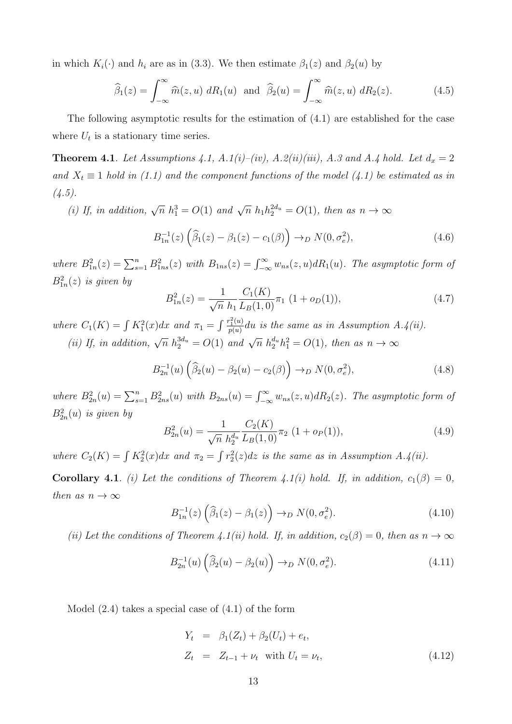in which  $K_i(\cdot)$  and  $h_i$  are as in (3.3). We then estimate  $\beta_1(z)$  and  $\beta_2(u)$  by

$$
\widehat{\beta}_1(z) = \int_{-\infty}^{\infty} \widehat{m}(z, u) dR_1(u) \text{ and } \widehat{\beta}_2(u) = \int_{-\infty}^{\infty} \widehat{m}(z, u) dR_2(z).
$$
 (4.5)

The following asymptotic results for the estimation of (4.1) are established for the case where  $U_t$  is a stationary time series.

**Theorem 4.1.** Let Assumptions 4.1, A.1(i)–(iv), A.2(ii)(iii), A.3 and A.4 hold. Let  $d_x = 2$ and  $X_t \equiv 1$  hold in (1.1) and the component functions of the model (4.1) be estimated as in  $(4.5).$ 

(i) If, in addition,  $\sqrt{n} h_1^3 = O(1)$  and  $\sqrt{n} h_1 h_2^{2d_u} = O(1)$ , then as  $n \to \infty$ 

$$
B_{1n}^{-1}(z)\left(\widehat{\beta}_1(z) - \beta_1(z) - c_1(\beta)\right) \to_D N(0, \sigma_e^2),\tag{4.6}
$$

where  $B_{1n}^2(z) = \sum_{s=1}^n B_{1ns}^2(z)$  with  $B_{1ns}(z) = \int_{-\infty}^{\infty} w_{ns}(z, u) dR_1(u)$ . The asymptotic form of  $B_{1n}^2(z)$  is given by

$$
B_{1n}^2(z) = \frac{1}{\sqrt{n}} \frac{C_1(K)}{h_1 L_B(1,0)} \pi_1 (1 + o_D(1)), \qquad (4.7)
$$

where  $C_1(K) = \int K_1^2(x)dx$  and  $\pi_1 = \int \frac{r_1^2(u)}{p(u)}$  $\frac{f_1^-(u)}{p(u)}$ du is the same as in Assumption A.4(ii). (ii) If, in addition,  $\sqrt{n} h_2^{3d_u} = O(1)$  and  $\sqrt{n} h_2^{d_u} h_1^2 = O(1)$ , then as  $n \to \infty$ 

$$
B_{2n}^{-1}(u)\left(\widehat{\beta}_2(u) - \beta_2(u) - c_2(\beta)\right) \to_D N(0, \sigma_e^2),\tag{4.8}
$$

where  $B_{2n}^2(u) = \sum_{s=1}^n B_{2ns}^2(u)$  with  $B_{2ns}(u) = \int_{-\infty}^{\infty} w_{ns}(z, u) dR_2(z)$ . The asymptotic form of  $B_{2n}^2(u)$  is given by

$$
B_{2n}^2(u) = \frac{1}{\sqrt{n}} \frac{C_2(K)}{h_2^{d_u}} \frac{C_2(K)}{L_B(1,0)} \pi_2 \ (1 + o_P(1)), \tag{4.9}
$$

where  $C_2(K) = \int K_2^2(x)dx$  and  $\pi_2 = \int r_2^2(z)dz$  is the same as in Assumption A.4(ii).

**Corollary 4.1**. (i) Let the conditions of Theorem 4.1(i) hold. If, in addition,  $c_1(\beta) = 0$ , then as  $n \to \infty$ 

$$
B_{1n}^{-1}(z)\left(\widehat{\beta}_1(z) - \beta_1(z)\right) \to_D N(0, \sigma_e^2). \tag{4.10}
$$

(ii) Let the conditions of Theorem 4.1(ii) hold. If, in addition,  $c_2(\beta) = 0$ , then as  $n \to \infty$ 

$$
B_{2n}^{-1}(u)\left(\widehat{\beta}_2(u) - \beta_2(u)\right) \to_D N(0, \sigma_e^2). \tag{4.11}
$$

Model (2.4) takes a special case of (4.1) of the form

$$
Y_t = \beta_1(Z_t) + \beta_2(U_t) + e_t,
$$
  
\n
$$
Z_t = Z_{t-1} + \nu_t \text{ with } U_t = \nu_t,
$$
\n(4.12)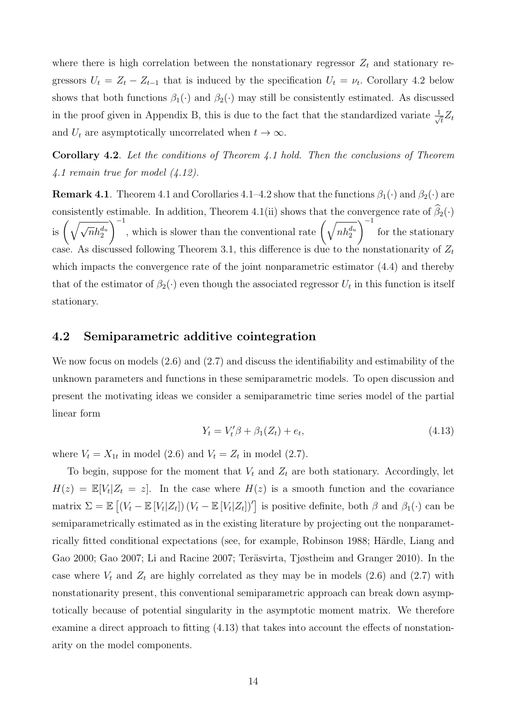where there is high correlation between the nonstationary regressor  $Z_t$  and stationary regressors  $U_t = Z_t - Z_{t-1}$  that is induced by the specification  $U_t = \nu_t$ . Corollary 4.2 below shows that both functions  $\beta_1(\cdot)$  and  $\beta_2(\cdot)$  may still be consistently estimated. As discussed in the proof given in Appendix B, this is due to the fact that the standardized variate  $\frac{1}{\sqrt{2}}$  $\bar{t}^{Z_t}$ and  $U_t$  are asymptotically uncorrelated when  $t \to \infty$ .

Corollary 4.2. Let the conditions of Theorem 4.1 hold. Then the conclusions of Theorem 4.1 remain true for model (4.12).

**Remark 4.1**. Theorem 4.1 and Corollaries 4.1–4.2 show that the functions  $\beta_1(\cdot)$  and  $\beta_2(\cdot)$  are consistently estimable. In addition, Theorem 4.1(ii) shows that the convergence rate of  $\widehat{\beta}_2(\cdot)$ is  $\left(\sqrt{\sqrt{n}h_2^{d_u}}\right)$  $\int$ <sup>-1</sup>, which is slower than the conventional rate  $\left(\sqrt{nh_2^{d_u}}\right)$  $\bigwedge^{-1}$ for the stationary case. As discussed following Theorem 3.1, this difference is due to the nonstationarity of  $Z_t$ which impacts the convergence rate of the joint nonparametric estimator  $(4.4)$  and thereby that of the estimator of  $\beta_2(\cdot)$  even though the associated regressor  $U_t$  in this function is itself stationary.

#### 4.2 Semiparametric additive cointegration

We now focus on models (2.6) and (2.7) and discuss the identifiability and estimability of the unknown parameters and functions in these semiparametric models. To open discussion and present the motivating ideas we consider a semiparametric time series model of the partial linear form

$$
Y_t = V_t' \beta + \beta_1 (Z_t) + e_t,
$$
\n(4.13)

where  $V_t = X_{1t}$  in model (2.6) and  $V_t = Z_t$  in model (2.7).

To begin, suppose for the moment that  $V_t$  and  $Z_t$  are both stationary. Accordingly, let  $H(z) = \mathbb{E}[V_t|Z_t = z]$ . In the case where  $H(z)$  is a smooth function and the covariance matrix  $\Sigma = \mathbb{E} \left[ (V_t - \mathbb{E} [V_t | Z_t]) (V_t - \mathbb{E} [V_t | Z_t])' \right]$  is positive definite, both  $\beta$  and  $\beta_1(\cdot)$  can be semiparametrically estimated as in the existing literature by projecting out the nonparametrically fitted conditional expectations (see, for example, Robinson 1988; Härdle, Liang and Gao 2000; Gao 2007; Li and Racine 2007; Teräsvirta, Tjøstheim and Granger 2010). In the case where  $V_t$  and  $Z_t$  are highly correlated as they may be in models (2.6) and (2.7) with nonstationarity present, this conventional semiparametric approach can break down asymptotically because of potential singularity in the asymptotic moment matrix. We therefore examine a direct approach to fitting (4.13) that takes into account the effects of nonstationarity on the model components.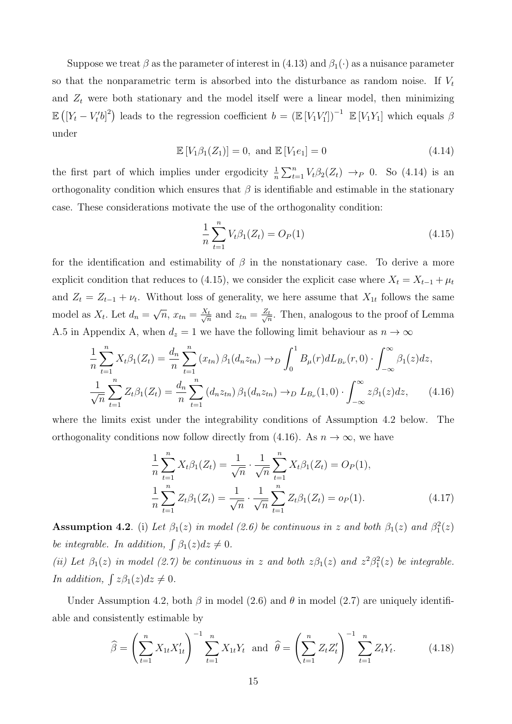Suppose we treat  $\beta$  as the parameter of interest in (4.13) and  $\beta_1(\cdot)$  as a nuisance parameter so that the nonparametric term is absorbed into the disturbance as random noise. If  $V_t$ and  $Z_t$  were both stationary and the model itself were a linear model, then minimizing  $\mathbb{E}([Y_t - V_t' b]^2)$  leads to the regression coefficient  $b = (\mathbb{E} [V_1 V_1'])^{-1} \mathbb{E} [V_1 Y_1]$  which equals  $\beta$ under

$$
\mathbb{E}\left[V_1\beta_1(Z_1)\right] = 0, \text{ and } \mathbb{E}\left[V_1e_1\right] = 0 \tag{4.14}
$$

the first part of which implies under ergodicity  $\frac{1}{n}\sum_{t=1}^{n}V_t\beta_2(Z_t) \rightarrow_P 0$ . So (4.14) is an orthogonality condition which ensures that  $\beta$  is identifiable and estimable in the stationary case. These considerations motivate the use of the orthogonality condition:

$$
\frac{1}{n}\sum_{t=1}^{n}V_{t}\beta_{1}(Z_{t})=O_{P}(1)
$$
\n(4.15)

for the identification and estimability of  $\beta$  in the nonstationary case. To derive a more explicit condition that reduces to (4.15), we consider the explicit case where  $X_t = X_{t-1} + \mu_t$ and  $Z_t = Z_{t-1} + \nu_t$ . Without loss of generality, we here assume that  $X_{1t}$  follows the same model as  $X_t$ . Let  $d_n =$ √  $\overline{n}, x_{tn} = \frac{X_t}{\sqrt{n}}$  $\frac{z_t}{n}$  and  $z_{tn} = \frac{Z_t}{\sqrt{n}}$  $\frac{t}{n}$ . Then, analogous to the proof of Lemma A.5 in Appendix A, when  $d_z = 1$  we have the following limit behaviour as  $n \to \infty$ 

$$
\frac{1}{n}\sum_{t=1}^{n} X_t \beta_1(Z_t) = \frac{d_n}{n}\sum_{t=1}^{n} (x_{tn}) \beta_1(d_n z_{tn}) \to D \int_0^1 B_\mu(r) dL_{B_\nu}(r, 0) \cdot \int_{-\infty}^\infty \beta_1(z) dz,
$$

$$
\frac{1}{\sqrt{n}}\sum_{t=1}^{n} Z_t \beta_1(Z_t) = \frac{d_n}{n}\sum_{t=1}^{n} (d_n z_{tn}) \beta_1(d_n z_{tn}) \to D L_{B_\nu}(1, 0) \cdot \int_{-\infty}^\infty z \beta_1(z) dz,
$$
(4.16)

where the limits exist under the integrability conditions of Assumption 4.2 below. The orthogonality conditions now follow directly from (4.16). As  $n \to \infty$ , we have

$$
\frac{1}{n}\sum_{t=1}^{n} X_t \beta_1(Z_t) = \frac{1}{\sqrt{n}} \cdot \frac{1}{\sqrt{n}} \sum_{t=1}^{n} X_t \beta_1(Z_t) = O_P(1),
$$
  

$$
\frac{1}{n}\sum_{t=1}^{n} Z_t \beta_1(Z_t) = \frac{1}{\sqrt{n}} \cdot \frac{1}{\sqrt{n}} \sum_{t=1}^{n} Z_t \beta_1(Z_t) = o_P(1).
$$
 (4.17)

**Assumption 4.2**. (i) Let  $\beta_1(z)$  in model (2.6) be continuous in z and both  $\beta_1(z)$  and  $\beta_1^2(z)$ be integrable. In addition,  $\int \beta_1(z) dz \neq 0$ .

(ii) Let  $\beta_1(z)$  in model (2.7) be continuous in z and both  $z\beta_1(z)$  and  $z^2\beta_1^2(z)$  be integrable. In addition,  $\int z\beta_1(z)dz \neq 0$ .

Under Assumption 4.2, both  $\beta$  in model (2.6) and  $\theta$  in model (2.7) are uniquely identifiable and consistently estimable by

$$
\widehat{\beta} = \left(\sum_{t=1}^{n} X_{1t} X_{1t}'\right)^{-1} \sum_{t=1}^{n} X_{1t} Y_t \text{ and } \widehat{\theta} = \left(\sum_{t=1}^{n} Z_t Z_t'\right)^{-1} \sum_{t=1}^{n} Z_t Y_t.
$$
 (4.18)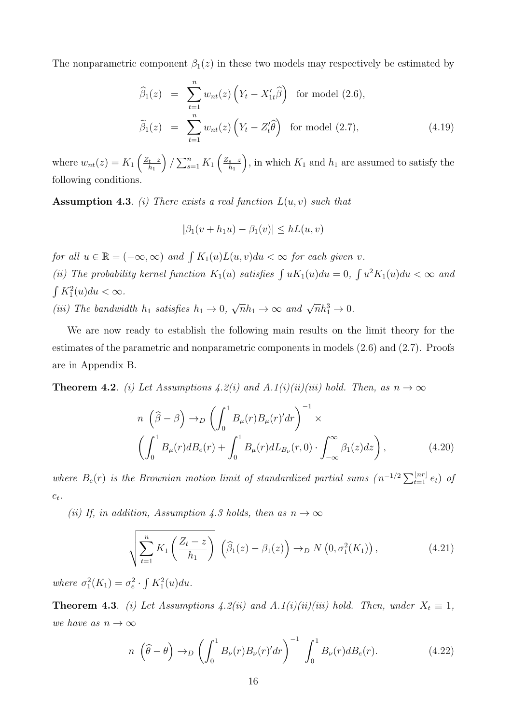The nonparametric component  $\beta_1(z)$  in these two models may respectively be estimated by

$$
\widehat{\beta}_1(z) = \sum_{t=1}^n w_{nt}(z) \left( Y_t - X'_{1t} \widehat{\beta} \right) \text{ for model } (2.6),
$$
  

$$
\widetilde{\beta}_1(z) = \sum_{t=1}^n w_{nt}(z) \left( Y_t - Z'_t \widehat{\theta} \right) \text{ for model } (2.7), \tag{4.19}
$$

where  $w_{nt}(z) = K_1 \left( \frac{Z_t - z}{h_1} \right)$  $h_1$  $\sum_{s=1}^n K_1 \left( \frac{Z_s-z}{h_1} \right)$  $h_1$ ), in which  $K_1$  and  $h_1$  are assumed to satisfy the following conditions.

**Assumption 4.3.** (i) There exists a real function  $L(u, v)$  such that

$$
|\beta_1(v+h_1u)-\beta_1(v)|\leq hL(u,v)
$$

for all  $u \in \mathbb{R} = (-\infty, \infty)$  and  $\int K_1(u)L(u, v)du < \infty$  for each given v. (ii) The probability kernel function  $K_1(u)$  satisfies  $\int uK_1(u)du = 0$ ,  $\int u^2K_1(u)du < \infty$  and  $\int K_1^2(u)du < \infty$ . (iii) The bandwidth  $h_1$  satisfies  $h_1 \rightarrow 0$ ,  $\sqrt{n}h_1 \to \infty$  and  $\sqrt{n}h_1^3 \to 0$ .

We are now ready to establish the following main results on the limit theory for the estimates of the parametric and nonparametric components in models (2.6) and (2.7). Proofs are in Appendix B.

**Theorem 4.2.** (i) Let Assumptions 4.2(i) and A.1(i)(ii)(iii) hold. Then, as  $n \to \infty$ 

$$
n\left(\widehat{\beta} - \beta\right) \to_D \left(\int_0^1 B_\mu(r) B_\mu(r)' dr\right)^{-1} \times \left(\int_0^1 B_\mu(r) dB_e(r) + \int_0^1 B_\mu(r) dL_{B_\nu}(r, 0) \cdot \int_{-\infty}^\infty \beta_1(z) dz\right),\tag{4.20}
$$

where  $B_e(r)$  is the Brownian motion limit of standardized partial sums  $(n^{-1/2}\sum_{t=1}^{\lfloor nr \rfloor}e_t)$  of  $e_t$ .

(ii) If, in addition, Assumption 4.3 holds, then as  $n \to \infty$ 

$$
\sqrt{\sum_{t=1}^{n} K_1\left(\frac{Z_t - z}{h_1}\right)} \left(\widehat{\beta}_1(z) - \beta_1(z)\right) \to_D N\left(0, \sigma_1^2(K_1)\right),\tag{4.21}
$$

where  $\sigma_1^2(K_1) = \sigma_e^2 \cdot \int K_1^2(u) du$ .

**Theorem 4.3**. (i) Let Assumptions 4.2(ii) and A.1(i)(ii)(iii) hold. Then, under  $X_t \equiv 1$ , we have as  $n \to \infty$ 

$$
n\left(\widehat{\theta}-\theta\right)\to_D\left(\int_0^1 B_\nu(r)B_\nu(r)'dr\right)^{-1}\int_0^1 B_\nu(r)dB_e(r). \tag{4.22}
$$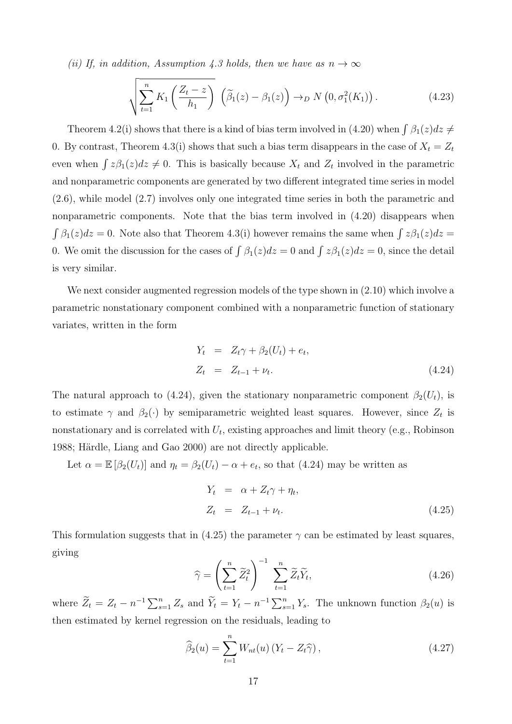(ii) If, in addition, Assumption 4.3 holds, then we have as  $n \to \infty$ 

$$
\sqrt{\sum_{t=1}^{n} K_1\left(\frac{Z_t - z}{h_1}\right)} \left(\widetilde{\beta}_1(z) - \beta_1(z)\right) \to_D N\left(0, \sigma_1^2(K_1)\right). \tag{4.23}
$$

Theorem 4.2(i) shows that there is a kind of bias term involved in (4.20) when  $\int \beta_1(z)dz \neq$ 0. By contrast, Theorem 4.3(i) shows that such a bias term disappears in the case of  $X_t = Z_t$ even when  $\int z\beta_1(z)dz \neq 0$ . This is basically because  $X_t$  and  $Z_t$  involved in the parametric and nonparametric components are generated by two different integrated time series in model (2.6), while model (2.7) involves only one integrated time series in both the parametric and nonparametric components. Note that the bias term involved in (4.20) disappears when  $\int \beta_1(z)dz = 0$ . Note also that Theorem 4.3(i) however remains the same when  $\int z\beta_1(z)dz =$ 0. We omit the discussion for the cases of  $\int \beta_1(z)dz = 0$  and  $\int z\beta_1(z)dz = 0$ , since the detail is very similar.

We next consider augmented regression models of the type shown in  $(2.10)$  which involve a parametric nonstationary component combined with a nonparametric function of stationary variates, written in the form

$$
Y_t = Z_t \gamma + \beta_2 (U_t) + e_t,
$$
  
\n
$$
Z_t = Z_{t-1} + \nu_t.
$$
\n(4.24)

The natural approach to (4.24), given the stationary nonparametric component  $\beta_2(U_t)$ , is to estimate  $\gamma$  and  $\beta_2(\cdot)$  by semiparametric weighted least squares. However, since  $Z_t$  is nonstationary and is correlated with  $U_t$ , existing approaches and limit theory (e.g., Robinson 1988; Härdle, Liang and Gao 2000) are not directly applicable.

Let  $\alpha = \mathbb{E} [\beta_2(U_t)]$  and  $\eta_t = \beta_2(U_t) - \alpha + e_t$ , so that (4.24) may be written as

$$
Y_t = \alpha + Z_t \gamma + \eta_t,
$$
  
\n
$$
Z_t = Z_{t-1} + \nu_t.
$$
\n(4.25)

This formulation suggests that in (4.25) the parameter  $\gamma$  can be estimated by least squares, giving

$$
\widehat{\gamma} = \left(\sum_{t=1}^{n} \widetilde{Z}_t^2\right)^{-1} \sum_{t=1}^{n} \widetilde{Z}_t \widetilde{Y}_t, \tag{4.26}
$$

where  $\widetilde{Z}_t = Z_t - n^{-1} \sum_{s=1}^n Z_s$  and  $\widetilde{Y}_t = Y_t - n^{-1} \sum_{s=1}^n Y_s$ . The unknown function  $\beta_2(u)$  is then estimated by kernel regression on the residuals, leading to

$$
\widehat{\beta}_2(u) = \sum_{t=1}^n W_{nt}(u) \left( Y_t - Z_t \widehat{\gamma} \right), \tag{4.27}
$$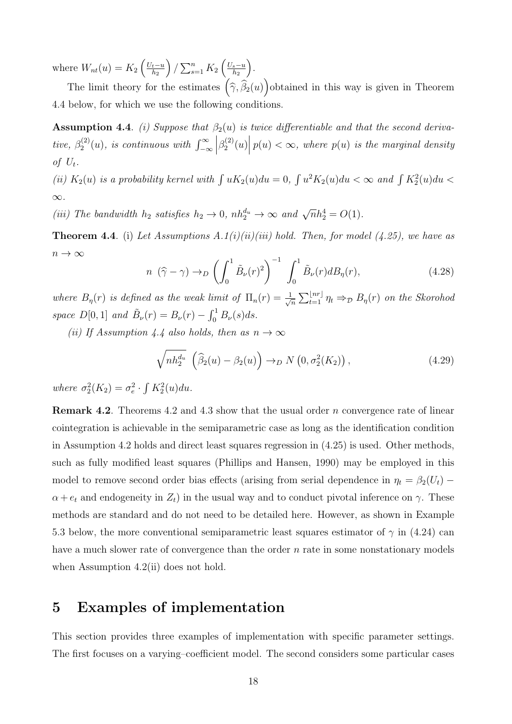where  $W_{nt}(u) = K_2 \left(\frac{U_t - u}{h_2}\right)$  $_{h_2}$  $\sum_{s=1}^{n} K_2 \left( \frac{U_s - u}{h_2} \right)$  $_{h_2}$ .

The limit theory for the estimates  $(\hat{\gamma}, \hat{\beta}_2(u))$  obtained in this way is given in Theorem 4.4 below, for which we use the following conditions.

**Assumption 4.4.** (i) Suppose that  $\beta_2(u)$  is twice differentiable and that the second derivative,  $\beta_2^{(2)}$  $\mathcal{L}_2^{(2)}(u)$ , is continuous with  $\int_{-\infty}^{\infty}$  $\left(\beta_2^{(2)}\right)$  $\mathbb{E}_{2}^{(2)}(u)\Big|\,p(u)<\infty,\text{ where }p(u)\text{ is the marginal density}\big\}.$ of  $U_t$ .

(ii)  $K_2(u)$  is a probability kernel with  $\int uK_2(u)du = 0$ ,  $\int u^2K_2(u)du < \infty$  and  $\int K_2^2(u)du <$ ∞.

(iii) The bandwidth  $h_2$  satisfies  $h_2 \to 0$ ,  $nh_2^{d_u} \to \infty$  and  $\sqrt{n}h_2^4 = O(1)$ .

**Theorem 4.4**. (i) Let Assumptions A.1(i)(ii)(iii) hold. Then, for model (4.25), we have as  $n\to\infty$ 

$$
n(\widehat{\gamma}-\gamma) \to_D \left(\int_0^1 \widetilde{B}_\nu(r)^2\right)^{-1} \int_0^1 \widetilde{B}_\nu(r) dB_\eta(r), \tag{4.28}
$$

where  $B_{\eta}(r)$  is defined as the weak limit of  $\Pi_n(r) = \frac{1}{\sqrt{r}}$  $\frac{1}{\sqrt{n}} \sum_{t=1}^{\lfloor nr \rfloor} \eta_t \Rightarrow_{\mathcal{D}} B_{\eta}(r)$  on the Skorohod space  $D[0, 1]$  and  $\tilde{B}_{\nu}(r) = B_{\nu}(r) - \int_0^1 B_{\nu}(s) ds$ .

(ii) If Assumption 4.4 also holds, then as  $n \to \infty$ 

$$
\sqrt{nh_2^{d_u}} \left( \widehat{\beta}_2(u) - \beta_2(u) \right) \to_D N \left( 0, \sigma_2^2(K_2) \right), \tag{4.29}
$$

where  $\sigma_2^2(K_2) = \sigma_e^2 \cdot \int K_2^2(u) du$ .

Remark 4.2. Theorems 4.2 and 4.3 show that the usual order n convergence rate of linear cointegration is achievable in the semiparametric case as long as the identification condition in Assumption 4.2 holds and direct least squares regression in (4.25) is used. Other methods, such as fully modified least squares (Phillips and Hansen, 1990) may be employed in this model to remove second order bias effects (arising from serial dependence in  $\eta_t = \beta_2(U_t)$  –  $\alpha + e_t$  and endogeneity in  $Z_t$ ) in the usual way and to conduct pivotal inference on  $\gamma$ . These methods are standard and do not need to be detailed here. However, as shown in Example 5.3 below, the more conventional semiparametric least squares estimator of  $\gamma$  in (4.24) can have a much slower rate of convergence than the order  $n$  rate in some nonstationary models when Assumption 4.2(ii) does not hold.

# 5 Examples of implementation

This section provides three examples of implementation with specific parameter settings. The first focuses on a varying–coefficient model. The second considers some particular cases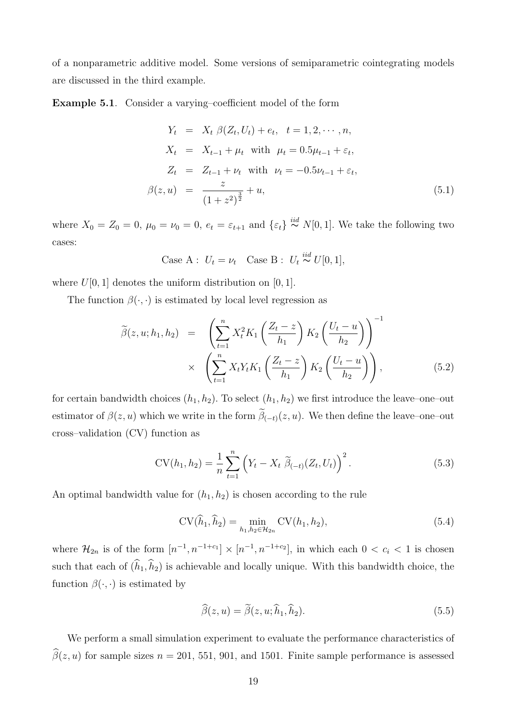of a nonparametric additive model. Some versions of semiparametric cointegrating models are discussed in the third example.

Example 5.1. Consider a varying–coefficient model of the form

$$
Y_t = X_t \beta(Z_t, U_t) + e_t, \quad t = 1, 2, \dots, n,
$$
  
\n
$$
X_t = X_{t-1} + \mu_t \text{ with } \mu_t = 0.5\mu_{t-1} + \varepsilon_t,
$$
  
\n
$$
Z_t = Z_{t-1} + \nu_t \text{ with } \nu_t = -0.5\nu_{t-1} + \varepsilon_t,
$$
  
\n
$$
\beta(z, u) = \frac{z}{(1 + z^2)^{\frac{3}{2}}} + u,
$$
\n(5.1)

where  $X_0 = Z_0 = 0$ ,  $\mu_0 = \nu_0 = 0$ ,  $e_t = \varepsilon_{t+1}$  and  $\{\varepsilon_t\} \stackrel{iid}{\sim} N[0,1]$ . We take the following two cases:

Case A : 
$$
U_t = \nu_t
$$
 Case B :  $U_t \stackrel{iid}{\sim} U[0, 1],$ 

where  $U[0, 1]$  denotes the uniform distribution on  $[0, 1]$ .

The function  $\beta(\cdot, \cdot)$  is estimated by local level regression as

$$
\widetilde{\beta}(z, u; h_1, h_2) = \left(\sum_{t=1}^n X_t^2 K_1 \left(\frac{Z_t - z}{h_1}\right) K_2 \left(\frac{U_t - u}{h_2}\right)\right)^{-1} \times \left(\sum_{t=1}^n X_t Y_t K_1 \left(\frac{Z_t - z}{h_1}\right) K_2 \left(\frac{U_t - u}{h_2}\right)\right),
$$
\n(5.2)

for certain bandwidth choices  $(h_1, h_2)$ . To select  $(h_1, h_2)$  we first introduce the leave–one–out estimator of  $\beta(z, u)$  which we write in the form  $\beta_{(-t)}(z, u)$ . We then define the leave–one–out cross–validation (CV) function as

$$
CV(h_1, h_2) = \frac{1}{n} \sum_{t=1}^{n} \left( Y_t - X_t \ \widetilde{\beta}_{(-t)}(Z_t, U_t) \right)^2.
$$
 (5.3)

An optimal bandwidth value for  $(h_1, h_2)$  is chosen according to the rule

$$
CV(\hat{h}_1, \hat{h}_2) = \min_{h_1, h_2 \in \mathcal{H}_{2n}} CV(h_1, h_2),
$$
\n(5.4)

where  $\mathcal{H}_{2n}$  is of the form  $[n^{-1}, n^{-1+c_1}] \times [n^{-1}, n^{-1+c_2}]$ , in which each  $0 < c_i < 1$  is chosen such that each of  $(\widehat{h}_1, \widehat{h}_2)$  is achievable and locally unique. With this bandwidth choice, the function  $\beta(\cdot, \cdot)$  is estimated by

$$
\widehat{\beta}(z,u) = \widetilde{\beta}(z,u;\widehat{h}_1,\widehat{h}_2). \tag{5.5}
$$

We perform a small simulation experiment to evaluate the performance characteristics of  $\widehat{\beta}(z, u)$  for sample sizes  $n = 201, 551, 901,$  and 1501. Finite sample performance is assessed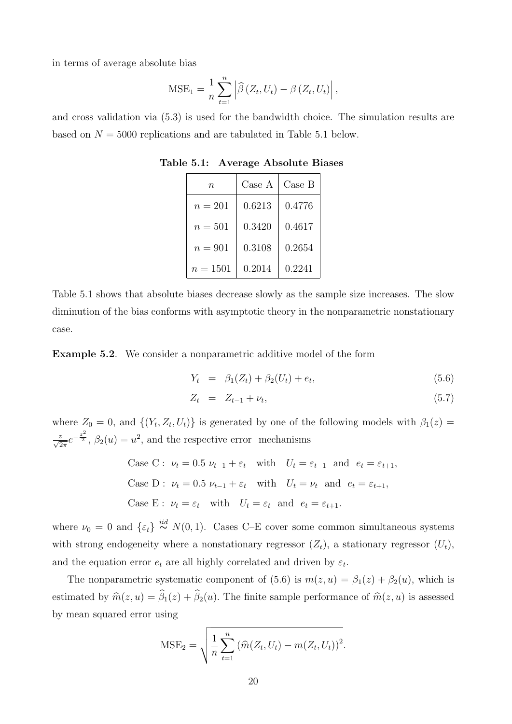in terms of average absolute bias

$$
MSE_1 = \frac{1}{n} \sum_{t=1}^{n} \left| \widehat{\beta} \left( Z_t, U_t \right) - \beta \left( Z_t, U_t \right) \right|,
$$

and cross validation via (5.3) is used for the bandwidth choice. The simulation results are based on  $N = 5000$  replications and are tabulated in Table 5.1 below.

| $\it n$    | Case A | Case B |
|------------|--------|--------|
| $n=201$    | 0.6213 | 0.4776 |
| $n=501$    | 0.3420 | 0.4617 |
| $n=901$    | 0.3108 | 0.2654 |
| $n = 1501$ | 0.2014 | 0.2241 |

Table 5.1: Average Absolute Biases

Table 5.1 shows that absolute biases decrease slowly as the sample size increases. The slow diminution of the bias conforms with asymptotic theory in the nonparametric nonstationary case.

Example 5.2. We consider a nonparametric additive model of the form

$$
Y_t = \beta_1(Z_t) + \beta_2(U_t) + e_t, \tag{5.6}
$$

$$
Z_t = Z_{t-1} + \nu_t, \tag{5.7}
$$

where  $Z_0 = 0$ , and  $\{(Y_t, Z_t, U_t)\}\$ is generated by one of the following models with  $\beta_1(z) =$  $\frac{z}{\sqrt{2\pi}}e^{-\frac{z^2}{2}}, \ \beta_2(u)=u^2$ , and the respective error mechanisms

Case C: 
$$
\nu_t = 0.5 \nu_{t-1} + \varepsilon_t
$$
 with  $U_t = \varepsilon_{t-1}$  and  $e_t = \varepsilon_{t+1}$ ,  
\nCase D:  $\nu_t = 0.5 \nu_{t-1} + \varepsilon_t$  with  $U_t = \nu_t$  and  $e_t = \varepsilon_{t+1}$ ,  
\nCase E:  $\nu_t = \varepsilon_t$  with  $U_t = \varepsilon_t$  and  $e_t = \varepsilon_{t+1}$ .

where  $\nu_0 = 0$  and  $\{\varepsilon_t\} \stackrel{iid}{\sim} N(0, 1)$ . Cases C–E cover some common simultaneous systems with strong endogeneity where a nonstationary regressor  $(Z_t)$ , a stationary regressor  $(U_t)$ , and the equation error  $e_t$  are all highly correlated and driven by  $\varepsilon_t$ .

The nonparametric systematic component of (5.6) is  $m(z, u) = \beta_1(z) + \beta_2(u)$ , which is estimated by  $\widehat{m}(z, u) = \widehat{\beta}_1(z) + \widehat{\beta}_2(u)$ . The finite sample performance of  $\widehat{m}(z, u)$  is assessed by mean squared error using

MSE<sub>2</sub> = 
$$
\sqrt{\frac{1}{n} \sum_{t=1}^{n} (\widehat{m}(Z_t, U_t) - m(Z_t, U_t))^2}
$$
.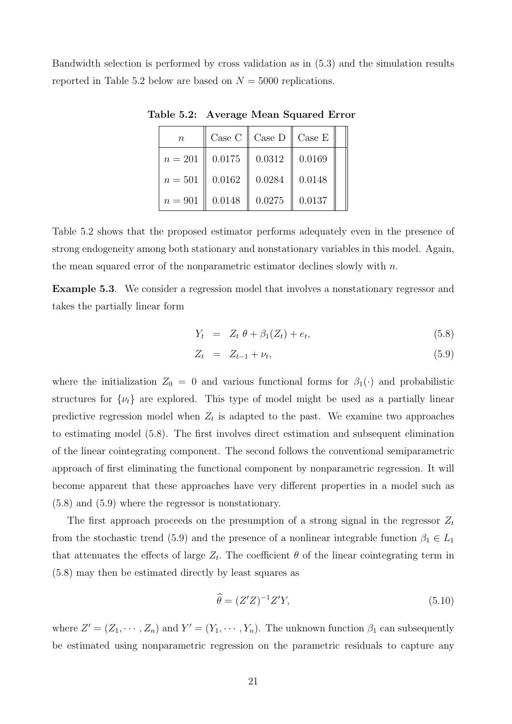Bandwidth selection is performed by cross validation as in (5.3) and the simulation results reported in Table 5.2 below are based on  $N = 5000$  replications.

| $\boldsymbol{n}$ | Case C | Case D | Case E |
|------------------|--------|--------|--------|
| $n = 201$        | 0.0175 | 0.0312 | 0.0169 |
| $n = 501$        | 0.0162 | 0.0284 | 0.0148 |
| $n = 901$        | 0.0148 | 0.0275 | 0.0137 |

Table 5.2: Average Mean Squared Error

Table 5.2 shows that the proposed estimator performs adequately even in the presence of strong endogeneity among both stationary and nonstationary variables in this model. Again, the mean squared error of the nonparametric estimator declines slowly with  $n$ .

Example 5.3. We consider a regression model that involves a nonstationary regressor and takes the partially linear form

$$
Y_t = Z_t \theta + \beta_1 (Z_t) + e_t, \qquad (5.8)
$$

$$
Z_t = Z_{t-1} + \nu_t, \tag{5.9}
$$

where the initialization  $Z_0 = 0$  and various functional forms for  $\beta_1(\cdot)$  and probabilistic structures for  $\{\nu_t\}$  are explored. This type of model might be used as a partially linear predictive regression model when  $Z_t$  is adapted to the past. We examine two approaches to estimating model (5.8). The first involves direct estimation and subsequent elimination of the linear cointegrating component. The second follows the conventional semiparametric approach of first eliminating the functional component by nonparametric regression. It will become apparent that these approaches have very different properties in a model such as (5.8) and (5.9) where the regressor is nonstationary.

The first approach proceeds on the presumption of a strong signal in the regressor  $Z_t$ from the stochastic trend (5.9) and the presence of a nonlinear integrable function  $\beta_1 \in L_1$ that attenuates the effects of large  $Z_t$ . The coefficient  $\theta$  of the linear cointegrating term in (5.8) may then be estimated directly by least squares as

$$
\widehat{\theta} = (Z'Z)^{-1}Z'Y,\tag{5.10}
$$

where  $Z' = (Z_1, \dots, Z_n)$  and  $Y' = (Y_1, \dots, Y_n)$ . The unknown function  $\beta_1$  can subsequently be estimated using nonparametric regression on the parametric residuals to capture any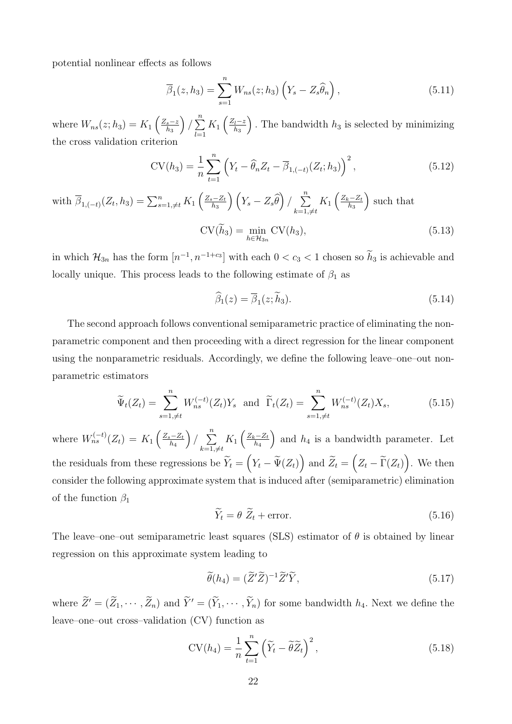potential nonlinear effects as follows

$$
\overline{\beta}_1(z, h_3) = \sum_{s=1}^n W_{ns}(z; h_3) \left( Y_s - Z_s \widehat{\theta}_n \right), \qquad (5.11)
$$

where  $W_{ns}(z; h_3) = K_1 \left(\frac{Z_s - z}{h_2}\right)$  $_{h_3}$  $\Big) / \sum_{n=1}^{n}$  $_{l=1}$  $K_1\left(\frac{Z_l-z}{h_2}\right)$  $_{h_3}$ ). The bandwidth  $h_3$  is selected by minimizing the cross validation criterion

$$
CV(h_3) = \frac{1}{n} \sum_{t=1}^{n} \left( Y_t - \widehat{\theta}_n Z_t - \overline{\beta}_{1,(-t)}(Z_t; h_3) \right)^2, \tag{5.12}
$$

with  $\overline{\beta}_{1,(-t)}(Z_t, h_3) = \sum_{s=1, \neq t}^n K_1\left(\frac{Z_s - Z_t}{h_3}\right)$  $\left(Y_s - Z_s\widehat{\theta}\right)$   $\left(Y_s - Z_s\widehat{\theta}\right)$   $\sum_{k=1}^n$  $k=1,\neq t$  $K_1\left(\frac{Z_k-Z_t}{h_2}\right)$  $_{h_3}$  such that  $CV(h_3) = \min_{h \in H_{3n}} CV(h_3),$  (5.13)

in which  $\mathcal{H}_{3n}$  has the form  $[n^{-1}, n^{-1+c_3}]$  with each  $0 < c_3 < 1$  chosen so  $h_3$  is achievable and locally unique. This process leads to the following estimate of  $\beta_1$  as

$$
\widehat{\beta}_1(z) = \overline{\beta}_1(z; \widetilde{h}_3). \tag{5.14}
$$

The second approach follows conventional semiparametric practice of eliminating the nonparametric component and then proceeding with a direct regression for the linear component using the nonparametric residuals. Accordingly, we define the following leave–one–out nonparametric estimators

$$
\widetilde{\Psi}_t(Z_t) = \sum_{s=1,\neq t}^n W_{ns}^{(-t)}(Z_t) Y_s \text{ and } \widetilde{\Gamma}_t(Z_t) = \sum_{s=1,\neq t}^n W_{ns}^{(-t)}(Z_t) X_s,
$$
\n(5.15)

where  $W_{ns}^{(-t)}(Z_t) = K_1 \left( \frac{Z_s - Z_t}{h_s} \right)$  $_{h_4}$  $\Big) / \Big)$  $k=1,\neq t$  $K_1\left(\frac{Z_k-Z_t}{h_4}\right)$  $h_4$ ) and  $h_4$  is a bandwidth parameter. Let the residuals from these regressions be  $\widetilde{Y}_t = (Y_t - \widetilde{\Psi}(Z_t))$  and  $\widetilde{Z}_t = (Z_t - \widetilde{\Gamma}(Z_t))$ . We then consider the following approximate system that is induced after (semiparametric) elimination of the function  $\beta_1$ 

$$
\widetilde{Y}_t = \theta \; \widetilde{Z}_t + \text{error.} \tag{5.16}
$$

The leave–one–out semiparametric least squares (SLS) estimator of  $\theta$  is obtained by linear regression on this approximate system leading to

$$
\widetilde{\theta}(h_4) = (\widetilde{Z}'\widetilde{Z})^{-1}\widetilde{Z}'\widetilde{Y},\tag{5.17}
$$

where  $\widetilde{Z}' = (\widetilde{Z}_1, \cdots, \widetilde{Z}_n)$  and  $\widetilde{Y}' = (\widetilde{Y}_1, \cdots, \widetilde{Y}_n)$  for some bandwidth  $h_4$ . Next we define the leave–one–out cross–validation (CV) function as

$$
CV(h_4) = \frac{1}{n} \sum_{t=1}^{n} \left( \widetilde{Y}_t - \widetilde{\theta} \widetilde{Z}_t \right)^2, \tag{5.18}
$$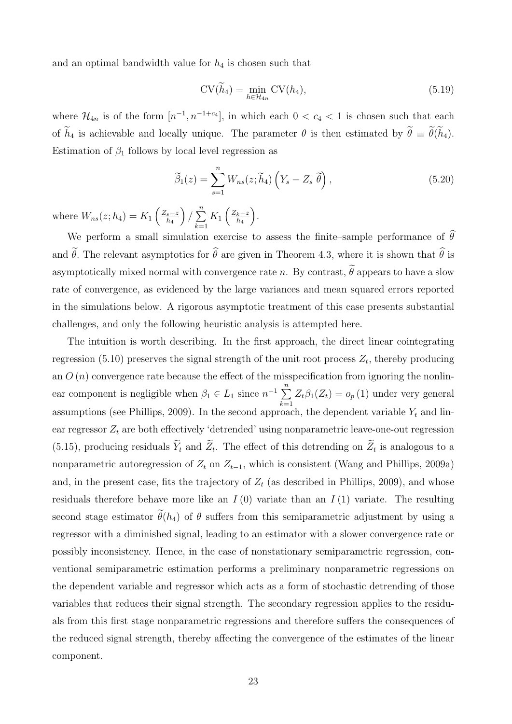and an optimal bandwidth value for  $h_4$  is chosen such that

$$
CV(\widetilde{h}_4) = \min_{h \in \mathcal{H}_{4n}} CV(h_4), \tag{5.19}
$$

where  $\mathcal{H}_{4n}$  is of the form  $[n^{-1}, n^{-1+c_4}]$ , in which each  $0 < c_4 < 1$  is chosen such that each of  $\tilde{h}_4$  is achievable and locally unique. The parameter  $\theta$  is then estimated by  $\tilde{\theta} \equiv \tilde{\theta}(\tilde{h}_4)$ . Estimation of  $\beta_1$  follows by local level regression as

$$
\widetilde{\beta}_1(z) = \sum_{s=1}^n W_{ns}(z; \widetilde{h}_4) \left( Y_s - Z_s \widetilde{\theta} \right), \tag{5.20}
$$

where  $W_{ns}(z; h_4) = K_1 \left(\frac{Z_s - z}{h_4}\right)$  $_{h_4}$  $\big) / \sum_{n=1}^{n}$  $k=1$  $K_1\left(\frac{Z_k-z}{h_4}\right)$  $h_4$ .

We perform a small simulation exercise to assess the finite–sample performance of  $\widehat{\theta}$ and  $\tilde{\theta}$ . The relevant asymptotics for  $\hat{\theta}$  are given in Theorem 4.3, where it is shown that  $\hat{\theta}$  is asymptotically mixed normal with convergence rate n. By contrast,  $\widetilde{\theta}$  appears to have a slow rate of convergence, as evidenced by the large variances and mean squared errors reported in the simulations below. A rigorous asymptotic treatment of this case presents substantial challenges, and only the following heuristic analysis is attempted here.

The intuition is worth describing. In the first approach, the direct linear cointegrating regression (5.10) preserves the signal strength of the unit root process  $Z_t$ , thereby producing an  $O(n)$  convergence rate because the effect of the misspecification from ignoring the nonlinear component is negligible when  $\beta_1 \in L_1$  since  $n^{-1} \sum_{n=1}^{\infty}$  $k=1$  $Z_t\beta_1(Z_t)=o_p(1)$  under very general assumptions (see Phillips, 2009). In the second approach, the dependent variable  $Y_t$  and linear regressor  $Z_t$  are both effectively 'detrended' using nonparametric leave-one-out regression (5.15), producing residuals  $Y_t$  and  $Z_t$ . The effect of this detrending on  $Z_t$  is analogous to a nonparametric autoregression of  $Z_t$  on  $Z_{t-1}$ , which is consistent (Wang and Phillips, 2009a) and, in the present case, fits the trajectory of  $Z_t$  (as described in Phillips, 2009), and whose residuals therefore behave more like an  $I(0)$  variate than an  $I(1)$  variate. The resulting second stage estimator  $\tilde{\theta}(h_4)$  of  $\theta$  suffers from this semiparametric adjustment by using a regressor with a diminished signal, leading to an estimator with a slower convergence rate or possibly inconsistency. Hence, in the case of nonstationary semiparametric regression, conventional semiparametric estimation performs a preliminary nonparametric regressions on the dependent variable and regressor which acts as a form of stochastic detrending of those variables that reduces their signal strength. The secondary regression applies to the residuals from this first stage nonparametric regressions and therefore suffers the consequences of the reduced signal strength, thereby affecting the convergence of the estimates of the linear component.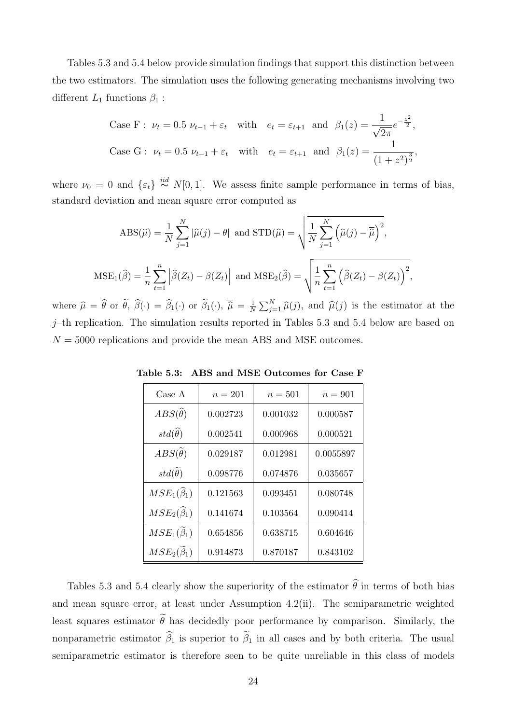Tables 5.3 and 5.4 below provide simulation findings that support this distinction between the two estimators. The simulation uses the following generating mechanisms involving two different  $L_1$  functions  $\beta_1$ :

Case F: 
$$
\nu_t = 0.5 \nu_{t-1} + \varepsilon_t
$$
 with  $e_t = \varepsilon_{t+1}$  and  $\beta_1(z) = \frac{1}{\sqrt{2\pi}} e^{-\frac{z^2}{2}}$ ,  
\nCase G:  $\nu_t = 0.5 \nu_{t-1} + \varepsilon_t$  with  $e_t = \varepsilon_{t+1}$  and  $\beta_1(z) = \frac{1}{(1+z^2)^{\frac{3}{2}}}$ ,

where  $\nu_0 = 0$  and  $\{\varepsilon_t\} \stackrel{iid}{\sim} N[0,1]$ . We assess finite sample performance in terms of bias, standard deviation and mean square error computed as

$$
ABS(\widehat{\mu}) = \frac{1}{N} \sum_{j=1}^{N} |\widehat{\mu}(j) - \theta| \text{ and } STD(\widehat{\mu}) = \sqrt{\frac{1}{N} \sum_{j=1}^{N} (\widehat{\mu}(j) - \overline{\widehat{\mu}})^2},
$$
  

$$
MSE_1(\widehat{\beta}) = \frac{1}{n} \sum_{t=1}^{n} |\widehat{\beta}(Z_t) - \beta(Z_t)| \text{ and } MSE_2(\widehat{\beta}) = \sqrt{\frac{1}{n} \sum_{t=1}^{n} (\widehat{\beta}(Z_t) - \beta(Z_t))^{2}},
$$

where  $\hat{\mu} = \hat{\theta}$  or  $\hat{\theta}$ ,  $\hat{\beta}(\cdot) = \hat{\beta}_1(\cdot)$  or  $\hat{\beta}_1(\cdot), \ \hat{\overline{\mu}} = \frac{1}{N}$  $\frac{1}{N}\sum_{j=1}^{N}\hat{\mu}(j)$ , and  $\hat{\mu}(j)$  is the estimator at the  $j$ –th replication. The simulation results reported in Tables 5.3 and 5.4 below are based on  $N = 5000$  replications and provide the mean ABS and MSE outcomes.

| Case A                          | $n = 201$ | $n=501$  | $n=901$   |
|---------------------------------|-----------|----------|-----------|
| $ABS(\widehat{\theta})$         | 0.002723  | 0.001032 | 0.000587  |
| $std(\widehat{\theta})$         | 0.002541  | 0.000968 | 0.000521  |
| $ABS(\theta)$                   | 0.029187  | 0.012981 | 0.0055897 |
| $std(\theta)$                   | 0.098776  | 0.074876 | 0.035657  |
| $MSE_{1}(\widehat{\beta}_{1})$  | 0.121563  | 0.093451 | 0.080748  |
| $MSE_{2}(\widehat{\beta }_{1})$ | 0.141674  | 0.103564 | 0.090414  |
| $MSE1(\beta1)$                  | 0.654856  | 0.638715 | 0.604646  |
| $MSE_2(\widetilde{\beta}_1)$    | 0.914873  | 0.870187 | 0.843102  |

Table 5.3: ABS and MSE Outcomes for Case F

Tables 5.3 and 5.4 clearly show the superiority of the estimator  $\hat{\theta}$  in terms of both bias and mean square error, at least under Assumption 4.2(ii). The semiparametric weighted least squares estimator  $\tilde{\theta}$  has decidedly poor performance by comparison. Similarly, the nonparametric estimator  $\hat{\beta}_1$  is superior to  $\tilde{\beta}_1$  in all cases and by both criteria. The usual semiparametric estimator is therefore seen to be quite unreliable in this class of models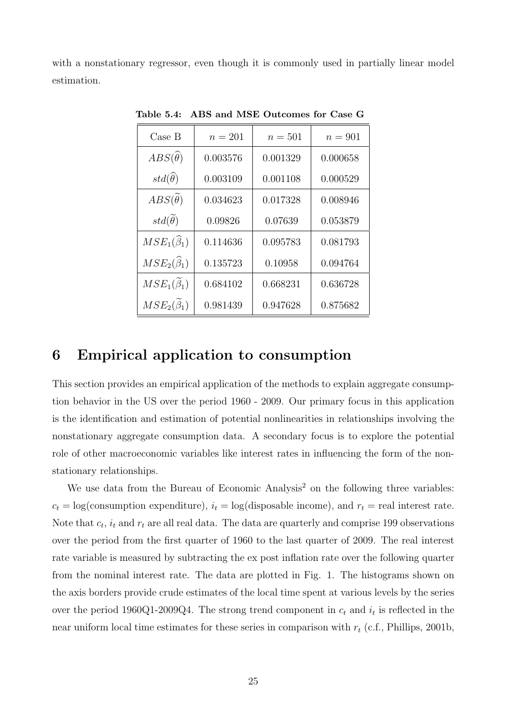with a nonstationary regressor, even though it is commonly used in partially linear model estimation.

| Case B                           | $n = 201$ | $n=501$  | $n = 901$ |
|----------------------------------|-----------|----------|-----------|
| $ABS(\widehat{\theta})$          | 0.003576  | 0.001329 | 0.000658  |
| $std(\widehat{\theta})$          | 0.003109  | 0.001108 | 0.000529  |
| $ABS(\widetilde{\theta})$        | 0.034623  | 0.017328 | 0.008946  |
| $std(\widetilde{\theta})$        | 0.09826   | 0.07639  | 0.053879  |
| $MSE_{1}(\widehat{\beta}_{1})$   | 0.114636  | 0.095783 | 0.081793  |
| $MSE_{2}(\widehat{\beta}_{1})$   | 0.135723  | 0.10958  | 0.094764  |
| $MSE_{1}(\widetilde{\beta}_{1})$ | 0.684102  | 0.668231 | 0.636728  |
| $MSE_{2}(\widetilde{\beta}_{1})$ | 0.981439  | 0.947628 | 0.875682  |

Table 5.4: ABS and MSE Outcomes for Case G

# 6 Empirical application to consumption

This section provides an empirical application of the methods to explain aggregate consumption behavior in the US over the period 1960 - 2009. Our primary focus in this application is the identification and estimation of potential nonlinearities in relationships involving the nonstationary aggregate consumption data. A secondary focus is to explore the potential role of other macroeconomic variables like interest rates in influencing the form of the nonstationary relationships.

We use data from the Bureau of Economic Analysis<sup>2</sup> on the following three variables:  $c_t = \log(\text{consumption expenditure})$ ,  $i_t = \log(\text{disposable income})$ , and  $r_t = \text{real interest rate}$ . Note that  $c_t$ ,  $i_t$  and  $r_t$  are all real data. The data are quarterly and comprise 199 observations over the period from the first quarter of 1960 to the last quarter of 2009. The real interest rate variable is measured by subtracting the ex post inflation rate over the following quarter from the nominal interest rate. The data are plotted in Fig. 1. The histograms shown on the axis borders provide crude estimates of the local time spent at various levels by the series over the period 1960Q1-2009Q4. The strong trend component in  $c_t$  and  $i_t$  is reflected in the near uniform local time estimates for these series in comparison with  $r_t$  (c.f., Phillips, 2001b,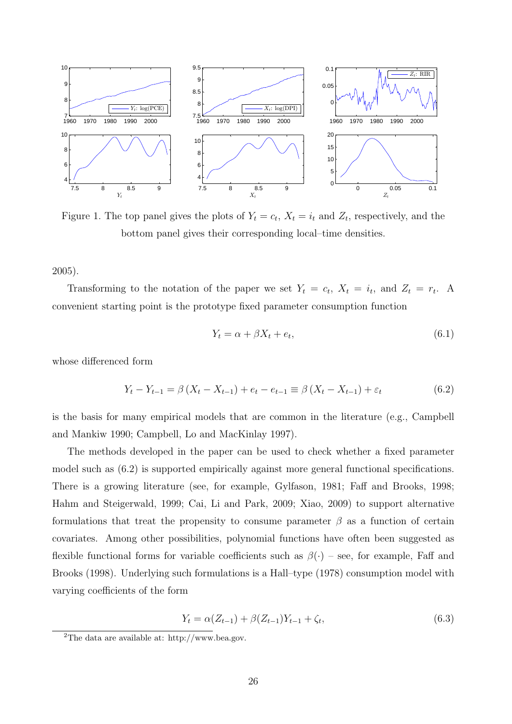

Figure 1. The top panel gives the plots of  $Y_t = c_t$ ,  $X_t = i_t$  and  $Z_t$ , respectively, and the bottom panel gives their corresponding local–time densities.

2005).

Transforming to the notation of the paper we set  $Y_t = c_t$ ,  $X_t = i_t$ , and  $Z_t = r_t$ . A convenient starting point is the prototype fixed parameter consumption function

$$
Y_t = \alpha + \beta X_t + e_t,\tag{6.1}
$$

whose differenced form

$$
Y_{t} - Y_{t-1} = \beta \left( X_{t} - X_{t-1} \right) + e_{t} - e_{t-1} \equiv \beta \left( X_{t} - X_{t-1} \right) + \varepsilon_{t} \tag{6.2}
$$

is the basis for many empirical models that are common in the literature (e.g., Campbell and Mankiw 1990; Campbell, Lo and MacKinlay 1997).

The methods developed in the paper can be used to check whether a fixed parameter model such as (6.2) is supported empirically against more general functional specifications. There is a growing literature (see, for example, Gylfason, 1981; Faff and Brooks, 1998; Hahm and Steigerwald, 1999; Cai, Li and Park, 2009; Xiao, 2009) to support alternative formulations that treat the propensity to consume parameter  $\beta$  as a function of certain covariates. Among other possibilities, polynomial functions have often been suggested as flexible functional forms for variable coefficients such as  $\beta(\cdot)$  – see, for example, Faff and Brooks (1998). Underlying such formulations is a Hall–type (1978) consumption model with varying coefficients of the form

$$
Y_t = \alpha(Z_{t-1}) + \beta(Z_{t-1})Y_{t-1} + \zeta_t, \tag{6.3}
$$

<sup>2</sup>The data are available at: http://www.bea.gov.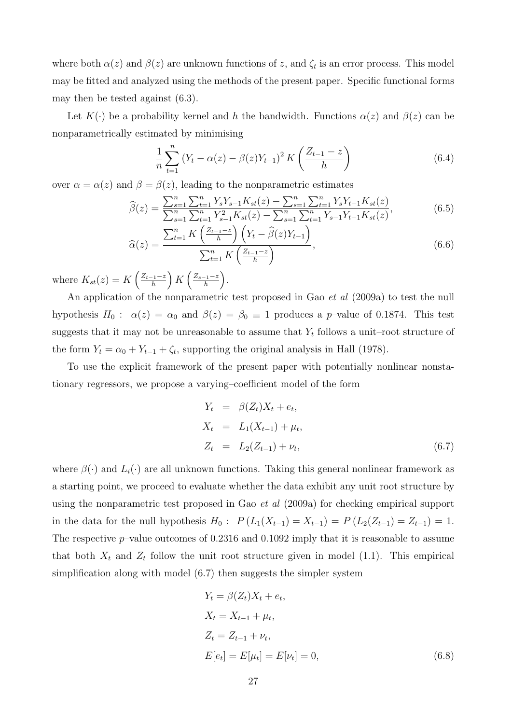where both  $\alpha(z)$  and  $\beta(z)$  are unknown functions of z, and  $\zeta_t$  is an error process. This model may be fitted and analyzed using the methods of the present paper. Specific functional forms may then be tested against (6.3).

Let  $K(\cdot)$  be a probability kernel and h the bandwidth. Functions  $\alpha(z)$  and  $\beta(z)$  can be nonparametrically estimated by minimising

$$
\frac{1}{n}\sum_{t=1}^{n}\left(Y_{t}-\alpha(z)-\beta(z)Y_{t-1}\right)^{2}K\left(\frac{Z_{t-1}-z}{h}\right)
$$
\n(6.4)

over  $\alpha = \alpha(z)$  and  $\beta = \beta(z)$ , leading to the nonparametric estimates

$$
\widehat{\beta}(z) = \frac{\sum_{s=1}^{n} \sum_{t=1}^{n} Y_{s} Y_{s-1} K_{st}(z) - \sum_{s=1}^{n} \sum_{t=1}^{n} Y_{s} Y_{t-1} K_{st}(z)}{\sum_{s=1}^{n} \sum_{t=1}^{n} Y_{s-1}^2 K_{st}(z) - \sum_{s=1}^{n} \sum_{t=1}^{n} Y_{s-1} Y_{t-1} K_{st}(z)},
$$
\n
$$
\widehat{\gamma}^{n} = K \left( \frac{Z_{t-1} - z}{Z_{t-1}} \right) \left( Y_{t-1} - \widehat{\beta}(z) Y_{t-1} \right)
$$
\n(6.5)

$$
\widehat{\alpha}(z) = \frac{\sum_{t=1}^{n} K\left(\frac{Z_{t-1}-z}{h}\right) \left(Y_t - \widehat{\beta}(z)Y_{t-1}\right)}{\sum_{t=1}^{n} K\left(\frac{Z_{t-1}-z}{h}\right)},\tag{6.6}
$$

where  $K_{st}(z) = K\left(\frac{Z_{t-1}-z}{h}\right)$  $\frac{(-1-z)}{h}$  K  $\left(\frac{Z_{s-1}-z}{h}\right)$  $\frac{-1-z}{h}\bigg).$ 

An application of the nonparametric test proposed in Gao *et al* (2009a) to test the null hypothesis  $H_0$ :  $\alpha(z) = \alpha_0$  and  $\beta(z) = \beta_0 \equiv 1$  produces a p-value of 0.1874. This test suggests that it may not be unreasonable to assume that  $Y_t$  follows a unit-root structure of the form  $Y_t = \alpha_0 + Y_{t-1} + \zeta_t$ , supporting the original analysis in Hall (1978).

To use the explicit framework of the present paper with potentially nonlinear nonstationary regressors, we propose a varying–coefficient model of the form

$$
Y_t = \beta(Z_t)X_t + e_t,
$$
  
\n
$$
X_t = L_1(X_{t-1}) + \mu_t,
$$
  
\n
$$
Z_t = L_2(Z_{t-1}) + \nu_t,
$$
\n(6.7)

where  $\beta(\cdot)$  and  $L_i(\cdot)$  are all unknown functions. Taking this general nonlinear framework as a starting point, we proceed to evaluate whether the data exhibit any unit root structure by using the nonparametric test proposed in Gao et al (2009a) for checking empirical support in the data for the null hypothesis  $H_0: P(L_1(X_{t-1}) = X_{t-1}) = P(L_2(Z_{t-1}) = Z_{t-1}) = 1.$ The respective  $p$ -value outcomes of 0.2316 and 0.1092 imply that it is reasonable to assume that both  $X_t$  and  $Z_t$  follow the unit root structure given in model (1.1). This empirical simplification along with model (6.7) then suggests the simpler system

$$
Y_t = \beta(Z_t)X_t + e_t,
$$
  
\n
$$
X_t = X_{t-1} + \mu_t,
$$
  
\n
$$
Z_t = Z_{t-1} + \nu_t,
$$
  
\n
$$
E[e_t] = E[\mu_t] = E[\nu_t] = 0,
$$
\n(6.8)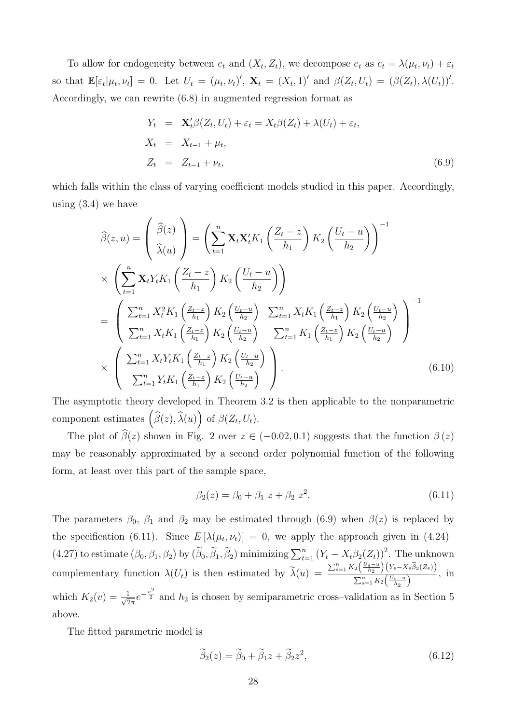To allow for endogeneity between  $e_t$  and  $(X_t, Z_t)$ , we decompose  $e_t$  as  $e_t = \lambda(\mu_t, \nu_t) + \varepsilon_t$ so that  $\mathbb{E}[\varepsilon_t|\mu_t, \nu_t] = 0$ . Let  $U_t = (\mu_t, \nu_t)'$ ,  $\mathbf{X}_t = (X_t, 1)'$  and  $\beta(Z_t, U_t) = (\beta(Z_t), \lambda(U_t))'$ . Accordingly, we can rewrite (6.8) in augmented regression format as

$$
Y_t = \mathbf{X}'_t \beta(Z_t, U_t) + \varepsilon_t = X_t \beta(Z_t) + \lambda(U_t) + \varepsilon_t,
$$
  
\n
$$
X_t = X_{t-1} + \mu_t,
$$
  
\n
$$
Z_t = Z_{t-1} + \nu_t,
$$
\n(6.9)

which falls within the class of varying coefficient models studied in this paper. Accordingly, using (3.4) we have

$$
\widehat{\beta}(z,u) = \left(\frac{\widehat{\beta}(z)}{\widehat{\lambda}(u)}\right) = \left(\sum_{t=1}^{n} \mathbf{X}_{t} \mathbf{X}_{t}^{t} K_{1} \left(\frac{Z_{t}-z}{h_{1}}\right) K_{2} \left(\frac{U_{t}-u}{h_{2}}\right)\right)^{-1}
$$
\n
$$
\times \left(\sum_{t=1}^{n} \mathbf{X}_{t} Y_{t} K_{1} \left(\frac{Z_{t}-z}{h_{1}}\right) K_{2} \left(\frac{U_{t}-u}{h_{2}}\right)\right)
$$
\n
$$
= \left(\sum_{t=1}^{n} X_{t}^{2} K_{1} \left(\frac{Z_{t}-z}{h_{1}}\right) K_{2} \left(\frac{U_{t}-u}{h_{2}}\right) \sum_{t=1}^{n} X_{t} K_{1} \left(\frac{Z_{t}-z}{h_{1}}\right) K_{2} \left(\frac{U_{t}-u}{h_{2}}\right)\right)^{-1}
$$
\n
$$
\times \left(\sum_{t=1}^{n} X_{t} K_{1} \left(\frac{Z_{t}-z}{h_{1}}\right) K_{2} \left(\frac{U_{t}-u}{h_{2}}\right) \sum_{t=1}^{n} K_{1} \left(\frac{Z_{t}-z}{h_{1}}\right) K_{2} \left(\frac{U_{t}-u}{h_{2}}\right)\right)^{-1}
$$
\n
$$
\times \left(\sum_{t=1}^{n} X_{t} Y_{t} K_{1} \left(\frac{Z_{t}-z}{h_{1}}\right) K_{2} \left(\frac{U_{t}-u}{h_{2}}\right)\right).
$$
\n(6.10)

The asymptotic theory developed in Theorem 3.2 is then applicable to the nonparametric component estimates  $(\widehat{\beta}(z), \widehat{\lambda}(u))$  of  $\beta(Z_t, U_t)$ .

The plot of  $\beta(z)$  shown in Fig. 2 over  $z \in (-0.02, 0.1)$  suggests that the function  $\beta(z)$ may be reasonably approximated by a second–order polynomial function of the following form, at least over this part of the sample space,

$$
\beta_2(z) = \beta_0 + \beta_1 \ z + \beta_2 \ z^2. \tag{6.11}
$$

The parameters  $\beta_0$ ,  $\beta_1$  and  $\beta_2$  may be estimated through (6.9) when  $\beta(z)$  is replaced by the specification (6.11). Since  $E[\lambda(\mu_t, \nu_t)] = 0$ , we apply the approach given in (4.24)  $(4.27)$  to estimate  $(\beta_0, \beta_1, \beta_2)$  by  $(\widetilde{\beta}_0, \widetilde{\beta}_1, \widetilde{\beta}_2)$  minimizing  $\sum_{t=1}^n (Y_t - X_t \beta_2(Z_t))^2$ . The unknown complementary function  $\lambda(U_t)$  is then estimated by  $\widetilde{\lambda}(u) = \frac{\sum_{s=1}^n K_2\left(\frac{U_s-u}{h_2}\right)(Y_s-X_s\widetilde{\beta}_2(Z_s))}{\sum_{s=1}^n K_2\left(\frac{U_s-u}{h_2}\right)}$  $\frac{\sum_{s=1}^{n} K_2 \left(\frac{U_s - u}{h_2}\right)}{\sum_{s=1}^{n} K_2 \left(\frac{U_s - u}{h_2}\right)}$ , in which  $K_2(v) = \frac{1}{\sqrt{2}}$  $\frac{1}{2\pi}e^{-\frac{v^2}{2}}$  and  $h_2$  is chosen by semiparametric cross-validation as in Section 5 above.

The fitted parametric model is

$$
\widetilde{\beta}_2(z) = \widetilde{\beta}_0 + \widetilde{\beta}_1 z + \widetilde{\beta}_2 z^2, \tag{6.12}
$$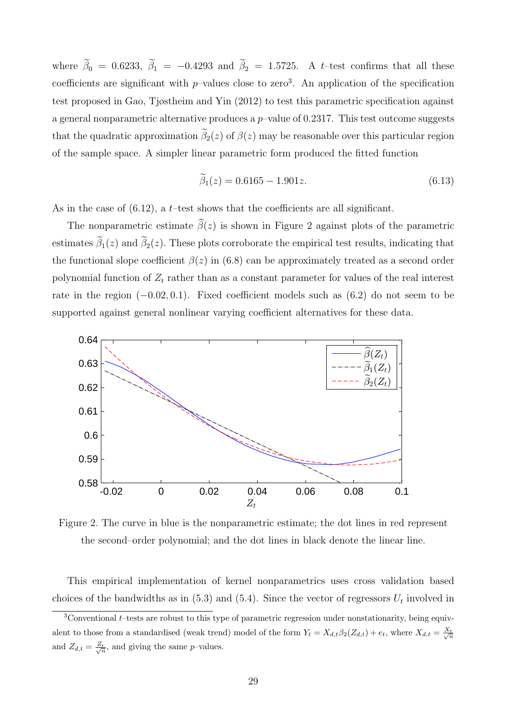where  $\tilde{\beta}_0 = 0.6233$ ,  $\tilde{\beta}_1 = -0.4293$  and  $\tilde{\beta}_2 = 1.5725$ . A t-test confirms that all these coefficients are significant with  $p$ -values close to zero<sup>3</sup>. An application of the specification test proposed in Gao, Tjøstheim and Yin (2012) to test this parametric specification against a general nonparametric alternative produces a  $p$ -value of 0.2317. This test outcome suggests that the quadratic approximation  $\tilde{\beta}_2(z)$  of  $\beta(z)$  may be reasonable over this particular region of the sample space. A simpler linear parametric form produced the fitted function

$$
\widetilde{\beta}_1(z) = 0.6165 - 1.901z.\tag{6.13}
$$

As in the case of  $(6.12)$ , a t–test shows that the coefficients are all significant.

The nonparametric estimate  $\widehat{\beta}(z)$  is shown in Figure 2 against plots of the parametric estimates  $\tilde{\beta}_1(z)$  and  $\tilde{\beta}_2(z)$ . These plots corroborate the empirical test results, indicating that the functional slope coefficient  $\beta(z)$  in (6.8) can be approximately treated as a second order polynomial function of  $Z_t$  rather than as a constant parameter for values of the real interest rate in the region  $(-0.02, 0.1)$ . Fixed coefficient models such as  $(6.2)$  do not seem to be supported against general nonlinear varying coefficient alternatives for these data.



Figure 2. The curve in blue is the nonparametric estimate; the dot lines in red represent the second–order polynomial; and the dot lines in black denote the linear line.

This empirical implementation of kernel nonparametrics uses cross validation based choices of the bandwidths as in  $(5.3)$  and  $(5.4)$ . Since the vector of regressors  $U_t$  involved in

 $3$ Conventional t–tests are robust to this type of parametric regression under nonstationarity, being equivalent to those from a standardised (weak trend) model of the form  $Y_t = X_{d,t} \beta_2 (Z_{d,t}) + e_t$ , where  $X_{d,t} = \frac{X_t}{\sqrt{n}}$ and  $Z_{d,t} = \frac{Z_t}{\sqrt{n}}$ , and giving the same p-values.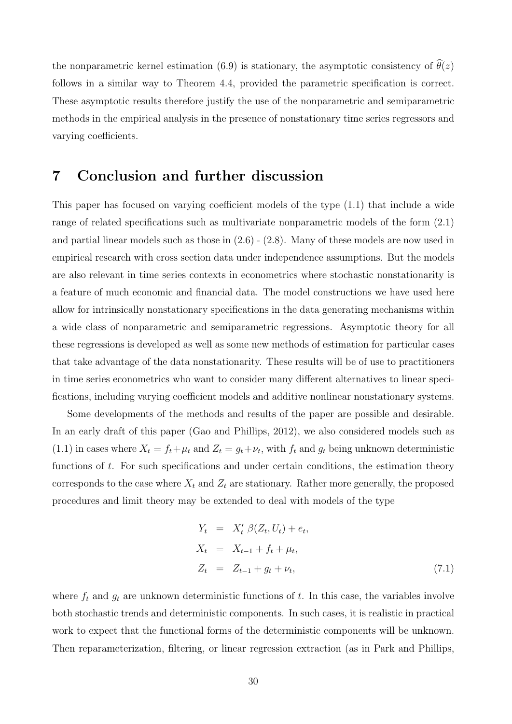the nonparametric kernel estimation (6.9) is stationary, the asymptotic consistency of  $\hat{\theta}(z)$ follows in a similar way to Theorem 4.4, provided the parametric specification is correct. These asymptotic results therefore justify the use of the nonparametric and semiparametric methods in the empirical analysis in the presence of nonstationary time series regressors and varying coefficients.

# 7 Conclusion and further discussion

This paper has focused on varying coefficient models of the type (1.1) that include a wide range of related specifications such as multivariate nonparametric models of the form (2.1) and partial linear models such as those in  $(2.6)$  -  $(2.8)$ . Many of these models are now used in empirical research with cross section data under independence assumptions. But the models are also relevant in time series contexts in econometrics where stochastic nonstationarity is a feature of much economic and financial data. The model constructions we have used here allow for intrinsically nonstationary specifications in the data generating mechanisms within a wide class of nonparametric and semiparametric regressions. Asymptotic theory for all these regressions is developed as well as some new methods of estimation for particular cases that take advantage of the data nonstationarity. These results will be of use to practitioners in time series econometrics who want to consider many different alternatives to linear specifications, including varying coefficient models and additive nonlinear nonstationary systems.

Some developments of the methods and results of the paper are possible and desirable. In an early draft of this paper (Gao and Phillips, 2012), we also considered models such as (1.1) in cases where  $X_t = f_t + \mu_t$  and  $Z_t = g_t + \nu_t$ , with  $f_t$  and  $g_t$  being unknown deterministic functions of  $t$ . For such specifications and under certain conditions, the estimation theory corresponds to the case where  $X_t$  and  $Z_t$  are stationary. Rather more generally, the proposed procedures and limit theory may be extended to deal with models of the type

$$
Y_t = X'_t \beta(Z_t, U_t) + e_t,
$$
  
\n
$$
X_t = X_{t-1} + f_t + \mu_t,
$$
  
\n
$$
Z_t = Z_{t-1} + g_t + \nu_t,
$$
\n(7.1)

where  $f_t$  and  $g_t$  are unknown deterministic functions of t. In this case, the variables involve both stochastic trends and deterministic components. In such cases, it is realistic in practical work to expect that the functional forms of the deterministic components will be unknown. Then reparameterization, filtering, or linear regression extraction (as in Park and Phillips,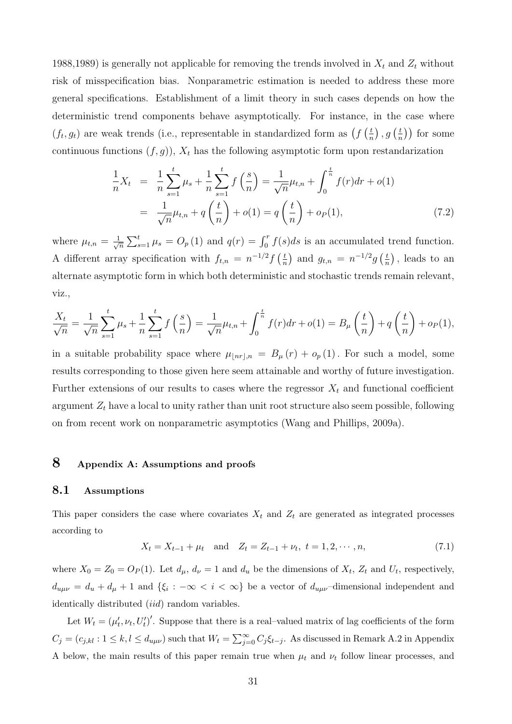1988,1989) is generally not applicable for removing the trends involved in  $X_t$  and  $Z_t$  without risk of misspecification bias. Nonparametric estimation is needed to address these more general specifications. Establishment of a limit theory in such cases depends on how the deterministic trend components behave asymptotically. For instance, in the case where  $(f_t, g_t)$  are weak trends (i.e., representable in standardized form as  $\left(f\left(\frac{t}{n}\right)\right)$  $\left(\frac{t}{n}\right), g\left(\frac{t}{n}\right)$  $(\frac{t}{n})$  for some continuous functions  $(f, g)$ ,  $X_t$  has the following asymptotic form upon restandarization

$$
\frac{1}{n}X_t = \frac{1}{n}\sum_{s=1}^t \mu_s + \frac{1}{n}\sum_{s=1}^t f\left(\frac{s}{n}\right) = \frac{1}{\sqrt{n}}\mu_{t,n} + \int_0^{\frac{t}{n}} f(r)dr + o(1)
$$
\n
$$
= \frac{1}{\sqrt{n}}\mu_{t,n} + q\left(\frac{t}{n}\right) + o(1) = q\left(\frac{t}{n}\right) + o_P(1),\tag{7.2}
$$

where  $\mu_{t,n} = \frac{1}{\sqrt{2}}$  $\frac{1}{n}\sum_{s=1}^t \mu_s = O_p(1)$  and  $q(r) = \int_0^r f(s)ds$  is an accumulated trend function. A different array specification with  $f_{t,n} = n^{-1/2} f\left(\frac{t}{n}\right)$  $\left(\frac{t}{n}\right)$  and  $g_{t,n} = n^{-1/2}g\left(\frac{t}{n}\right)$  $(\frac{t}{n})$ , leads to an alternate asymptotic form in which both deterministic and stochastic trends remain relevant, viz.,

$$
\frac{X_t}{\sqrt{n}} = \frac{1}{\sqrt{n}} \sum_{s=1}^t \mu_s + \frac{1}{n} \sum_{s=1}^t f\left(\frac{s}{n}\right) = \frac{1}{\sqrt{n}} \mu_{t,n} + \int_0^{\frac{t}{n}} f(r) dr + o(1) = B_\mu\left(\frac{t}{n}\right) + q\left(\frac{t}{n}\right) + o_P(1),
$$

in a suitable probability space where  $\mu_{\lfloor nr\rfloor,n} = B_{\mu}(r) + o_p(1)$ . For such a model, some results corresponding to those given here seem attainable and worthy of future investigation. Further extensions of our results to cases where the regressor  $X_t$  and functional coefficient argument  $Z_t$  have a local to unity rather than unit root structure also seem possible, following on from recent work on nonparametric asymptotics (Wang and Phillips, 2009a).

# 8 Appendix A: Assumptions and proofs

#### 8.1 Assumptions

This paper considers the case where covariates  $X_t$  and  $Z_t$  are generated as integrated processes according to

$$
X_t = X_{t-1} + \mu_t \quad \text{and} \quad Z_t = Z_{t-1} + \nu_t, \ t = 1, 2, \cdots, n,
$$
\n
$$
(7.1)
$$

where  $X_0 = Z_0 = O_P(1)$ . Let  $d_{\mu}$ ,  $d_{\nu} = 1$  and  $d_u$  be the dimensions of  $X_t$ ,  $Z_t$  and  $U_t$ , respectively,  $d_{u\mu\nu} = d_u + d_\mu + 1$  and  $\{\xi_i : -\infty < i < \infty\}$  be a vector of  $d_{u\mu\nu}$ -dimensional independent and identically distributed *(iid)* random variables.

Let  $W_t = (\mu'_t, \nu_t, U'_t)'$ . Suppose that there is a real-valued matrix of lag coefficients of the form  $C_j = (c_{j,kl} : 1 \le k, l \le d_{u\mu\nu})$  such that  $W_t = \sum_{j=0}^{\infty} C_j \xi_{t-j}$ . As discussed in Remark A.2 in Appendix A below, the main results of this paper remain true when  $\mu_t$  and  $\nu_t$  follow linear processes, and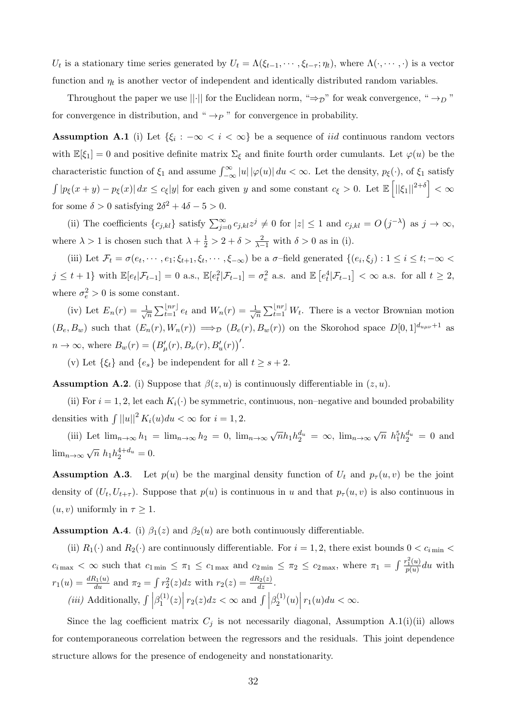$U_t$  is a stationary time series generated by  $U_t = \Lambda(\xi_{t-1}, \cdots, \xi_{t-\tau}; \eta_t)$ , where  $\Lambda(\cdot, \cdots, \cdot)$  is a vector function and  $\eta_t$  is another vector of independent and identically distributed random variables.

Throughout the paper we use  $||\cdot||$  for the Euclidean norm, " $\Rightarrow$  " for weak convergence, " $\rightarrow_D$ " for convergence in distribution, and " $\rightarrow P$ " for convergence in probability.

**Assumption A.1** (i) Let  $\{\xi_i : -\infty < i < \infty\}$  be a sequence of *iid* continuous random vectors with  $\mathbb{E}[\xi_1] = 0$  and positive definite matrix  $\Sigma_{\xi}$  and finite fourth order cumulants. Let  $\varphi(u)$  be the characteristic function of  $\xi_1$  and assume  $\int_{-\infty}^{\infty} |u| |\varphi(u)| du < \infty$ . Let the density,  $p_{\xi}(\cdot)$ , of  $\xi_1$  satisfy  $\int |p_{\xi}(x+y)-p_{\xi}(x)| dx \leq c_{\xi}|y|$  for each given y and some constant  $c_{\xi} > 0$ . Let  $\mathbb{E}\left[||\xi_1||^{2+\delta}\right] < \infty$ for some  $\delta > 0$  satisfying  $2\delta^2 + 4\delta - 5 > 0$ .

(ii) The coefficients  $\{c_{j,kl}\}\$  satisfy  $\sum_{j=0}^{\infty} c_{j,kl}z^j \neq 0$  for  $|z| \leq 1$  and  $c_{j,kl} = O(j^{-\lambda})$  as  $j \to \infty$ , where  $\lambda > 1$  is chosen such that  $\lambda + \frac{1}{2} > 2 + \delta > \frac{2}{\lambda - 1}$  with  $\delta > 0$  as in (i).

(iii) Let  $\mathcal{F}_t = \sigma(e_t, \dots, e_1; \xi_{t+1}, \xi_t, \dots, \xi_{-\infty})$  be a  $\sigma$ -field generated  $\{(e_i, \xi_j) : 1 \leq i \leq t; -\infty$  $j \leq t+1$  with  $\mathbb{E}[e_t|\mathcal{F}_{t-1}] = 0$  a.s.,  $\mathbb{E}[e_t^2|\mathcal{F}_{t-1}] = \sigma_e^2$  a.s. and  $\mathbb{E}[e_t^4|\mathcal{F}_{t-1}] < \infty$  a.s. for all  $t \geq 2$ , where  $\sigma_e^2 > 0$  is some constant.

(iv) Let  $E_n(r) = \frac{1}{\sqrt{2}}$  $\frac{1}{\overline{n}}\sum_{t=1}^{\lfloor nr\rfloor}e_t$  and  $W_n(r)=\frac{1}{\sqrt{2}}$  $\frac{1}{\sqrt{n}}\sum_{t=1}^{\lfloor nr \rfloor} W_t$ . There is a vector Brownian motion  $(B_e, B_w)$  such that  $(E_n(r), W_n(r)) \implies_D (B_e(r), B_w(r))$  on the Skorohod space  $D[0, 1]^{d_{u\mu\nu}+1}$  as  $n \to \infty$ , where  $B_w(r) = (B'_{\mu}(r), B_{\nu}(r), B'_{u}(r))'.$ 

(v) Let  $\{\xi_t\}$  and  $\{e_s\}$  be independent for all  $t > s + 2$ .

**Assumption A.2.** (i) Suppose that  $\beta(z, u)$  is continuously differentiable in  $(z, u)$ .

(ii) For  $i = 1, 2$ , let each  $K_i(\cdot)$  be symmetric, continuous, non-negative and bounded probability densities with  $\int ||u||^2 K_i(u) du < \infty$  for  $i = 1, 2$ .

(iii) Let  $\lim_{n\to\infty} h_1 = \lim_{n\to\infty} h_2 = 0$ ,  $\lim_{n\to\infty} \sqrt{n} h_1 h_2^{d_u} = \infty$ ,  $\lim_{n\to\infty} \sqrt{n} h_1^{5} h_2^{d_u} = 0$  and  $\lim_{n\to\infty}\sqrt{n} h_1 h_2^{4+d_u} = 0.$ 

**Assumption A.3.** Let  $p(u)$  be the marginal density function of  $U_t$  and  $p_\tau(u, v)$  be the joint density of  $(U_t, U_{t+\tau})$ . Suppose that  $p(u)$  is continuous in u and that  $p_{\tau}(u, v)$  is also continuous in  $(u, v)$  uniformly in  $\tau \geq 1$ .

**Assumption A.4.** (i)  $\beta_1(z)$  and  $\beta_2(u)$  are both continuously differentiable.

(ii)  $R_1(\cdot)$  and  $R_2(\cdot)$  are continuously differentiable. For  $i = 1, 2$ , there exist bounds  $0 < c_{i \text{min}} <$  $c_{i \max} < \infty$  such that  $c_{1 \min} \leq \pi_1 \leq c_{1 \max}$  and  $c_{2 \min} \leq \pi_2 \leq c_{2 \max}$ , where  $\pi_1 = \int \frac{r_1^2(u)}{p(u)}$  $\frac{q_1(u)}{p(u)}$ du with  $r_1(u) = \frac{dR_1(u)}{du}$  and  $\pi_2 = \int r_2^2(z)dz$  with  $r_2(z) = \frac{dR_2(z)}{dz}$ . (*iii*) Additionally,  $\int \left| \beta_1^{(1)} \right|$  $\int_1^{(1)}(z)\Big| r_2(z)dz < \infty$  and  $\int \Big|\beta_2^{(1)}\Big|$  $r_2^{(1)}(u)$   $r_1(u)du < \infty$ .

Since the lag coefficient matrix  $C_j$  is not necessarily diagonal, Assumption A.1(i)(ii) allows for contemporaneous correlation between the regressors and the residuals. This joint dependence structure allows for the presence of endogeneity and nonstationarity.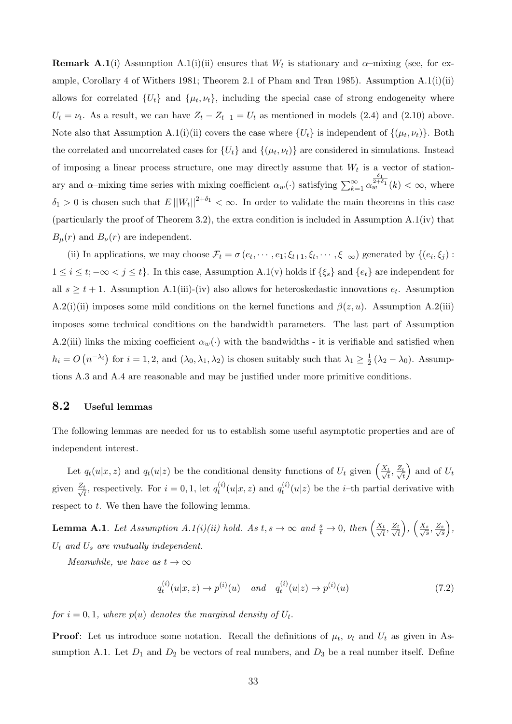**Remark A.1**(i) Assumption A.1(i)(ii) ensures that  $W_t$  is stationary and  $\alpha$ -mixing (see, for example, Corollary 4 of Withers 1981; Theorem 2.1 of Pham and Tran 1985). Assumption A.1(i)(ii) allows for correlated  $\{U_t\}$  and  $\{\mu_t, \nu_t\}$ , including the special case of strong endogeneity where  $U_t = \nu_t$ . As a result, we can have  $Z_t - Z_{t-1} = U_t$  as mentioned in models (2.4) and (2.10) above. Note also that Assumption A.1(i)(ii) covers the case where  $\{U_t\}$  is independent of  $\{(\mu_t, \nu_t)\}\$ . Both the correlated and uncorrelated cases for  $\{U_t\}$  and  $\{(\mu_t, \nu_t)\}\$  are considered in simulations. Instead of imposing a linear process structure, one may directly assume that  $W_t$  is a vector of stationary and  $\alpha$ –mixing time series with mixing coefficient  $\alpha_w(\cdot)$  satisfying  $\sum_{k=1}^{\infty} \alpha_k$  $\frac{\delta_1}{\delta_1^{2+\delta_1}}(k) < \infty$ , where  $\delta_1 > 0$  is chosen such that  $E||W_t||^{2+\delta_1} < \infty$ . In order to validate the main theorems in this case (particularly the proof of Theorem 3.2), the extra condition is included in Assumption A.1(iv) that  $B_{\mu}(r)$  and  $B_{\nu}(r)$  are independent.

(ii) In applications, we may choose  $\mathcal{F}_t = \sigma(e_t, \dots, e_1; \xi_{t+1}, \xi_t, \dots, \xi_{-\infty})$  generated by  $\{(e_i, \xi_j):$  $1 \leq i \leq t; -\infty < j \leq t$ . In this case, Assumption A.1(v) holds if  $\{\xi_s\}$  and  $\{e_t\}$  are independent for all  $s \geq t + 1$ . Assumption A.1(iii)-(iv) also allows for heteroskedastic innovations  $e_t$ . Assumption A.2(i)(ii) imposes some mild conditions on the kernel functions and  $\beta(z, u)$ . Assumption A.2(iii) imposes some technical conditions on the bandwidth parameters. The last part of Assumption A.2(iii) links the mixing coefficient  $\alpha_w(\cdot)$  with the bandwidths - it is verifiable and satisfied when  $h_i = O(n^{-\lambda_i})$  for  $i = 1, 2$ , and  $(\lambda_0, \lambda_1, \lambda_2)$  is chosen suitably such that  $\lambda_1 \geq \frac{1}{2}$  $\frac{1}{2}(\lambda_2 - \lambda_0)$ . Assumptions A.3 and A.4 are reasonable and may be justified under more primitive conditions.

#### 8.2 Useful lemmas

The following lemmas are needed for us to establish some useful asymptotic properties and are of independent interest.

Let  $q_t(u|x, z)$  and  $q_t(u|z)$  be the conditional density functions of  $U_t$  given  $\left(\frac{X_t}{\sqrt{t}}, \frac{Z_t}{\sqrt{t}}\right)$ t ) and of  $U_t$ given  $\frac{Z_t}{\sqrt{t}}$  $\frac{t}{t}$ , respectively. For  $i = 0, 1$ , let  $q_t^{(i)}$  $y_t^{(i)}(u|x,z)$  and  $q_t^{(i)}$  $t_i^{(i)}(u|z)$  be the *i*-th partial derivative with respect to t. We then have the following lemma.

**Lemma A.1**. Let Assumption A.1(i)(ii) hold. As  $t, s \to \infty$  and  $\frac{s}{t} \to 0$ , then  $\left(\frac{X_t}{\sqrt{t}}, \frac{Z_t}{\sqrt{t}}\right)$ t  $\bigg), \bigg(\frac{X_s}{\sqrt{2}}\bigg)$  $\frac{s}{s}, \frac{Z_s}{\sqrt{s}}$ s  $\big),$  $U_t$  and  $U_s$  are mutually independent.

Meanwhile, we have as  $t \to \infty$ 

$$
q_t^{(i)}(u|x,z) \to p^{(i)}(u) \quad \text{and} \quad q_t^{(i)}(u|z) \to p^{(i)}(u) \tag{7.2}
$$

for  $i = 0, 1$ , where  $p(u)$  denotes the marginal density of  $U_t$ .

**Proof:** Let us introduce some notation. Recall the definitions of  $\mu_t$ ,  $\nu_t$  and  $U_t$  as given in Assumption A.1. Let  $D_1$  and  $D_2$  be vectors of real numbers, and  $D_3$  be a real number itself. Define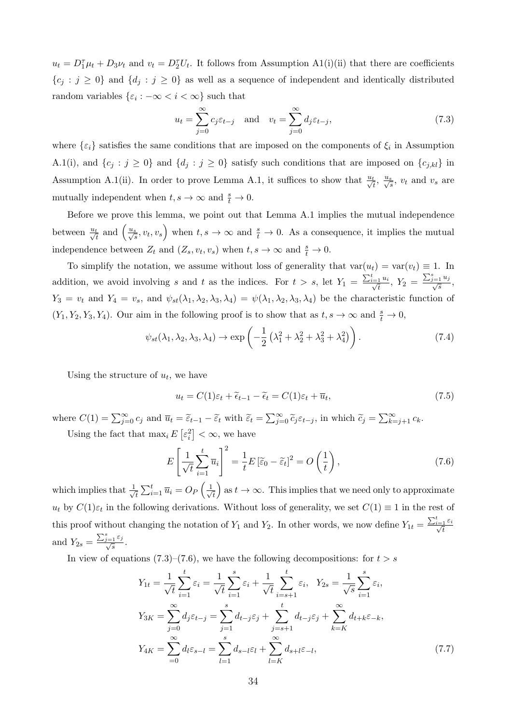$u_t = D_1^{\tau} \mu_t + D_3 \nu_t$  and  $v_t = D_2^{\tau} U_t$ . It follows from Assumption A1(i)(ii) that there are coefficients  ${c_j : j \ge 0}$  and  ${d_j : j \ge 0}$  as well as a sequence of independent and identically distributed random variables  $\{\varepsilon_i : -\infty < i < \infty\}$  such that

$$
u_t = \sum_{j=0}^{\infty} c_j \varepsilon_{t-j} \quad \text{and} \quad v_t = \sum_{j=0}^{\infty} d_j \varepsilon_{t-j},\tag{7.3}
$$

where  $\{\varepsilon_i\}$  satisfies the same conditions that are imposed on the components of  $\xi_i$  in Assumption A.1(i), and  $\{c_j : j \ge 0\}$  and  $\{d_j : j \ge 0\}$  satisfy such conditions that are imposed on  $\{c_{j,kl}\}$  in Assumption A.1(ii). In order to prove Lemma A.1, it suffices to show that  $\frac{u_t}{\sqrt{t}}, \frac{u_s}{\sqrt{s}}, v_t$  and  $v_s$  are mutually independent when  $t, s \to \infty$  and  $\frac{s}{t} \to 0$ .

Before we prove this lemma, we point out that Lemma A.1 implies the mutual independence between  $\frac{u_t}{\sqrt{t}}$  and  $\left(\frac{u_s}{\sqrt{s}}, v_t, v_s\right)$  when  $t, s \to \infty$  and  $\frac{s}{t} \to 0$ . As a consequence, it implies the mutual independence between  $Z_t$  and  $(Z_s, v_t, v_s)$  when  $t, s \to \infty$  and  $\frac{s}{t} \to 0$ .

To simplify the notation, we assume without loss of generality that  $var(u_t) = var(v_t) \equiv 1$ . In addition, we avoid involving s and t as the indices. For  $t > s$ , let  $Y_1 = \frac{\sum_{i=1}^{t} u_i}{\sqrt{t}}$  $\frac{1}{t}^{u_i}, Y_2 = \frac{\sum_{j=1}^s u_j}{\sqrt{s}},$  $Y_3 = v_t$  and  $Y_4 = v_s$ , and  $\psi_{st}(\lambda_1, \lambda_2, \lambda_3, \lambda_4) = \psi(\lambda_1, \lambda_2, \lambda_3, \lambda_4)$  be the characteristic function of  $(Y_1, Y_2, Y_3, Y_4)$ . Our aim in the following proof is to show that as  $t, s \to \infty$  and  $\frac{s}{t} \to 0$ ,

$$
\psi_{st}(\lambda_1, \lambda_2, \lambda_3, \lambda_4) \to \exp\left(-\frac{1}{2}\left(\lambda_1^2 + \lambda_2^2 + \lambda_3^2 + \lambda_4^2\right)\right). \tag{7.4}
$$

Using the structure of  $u_t$ , we have

$$
u_t = C(1)\varepsilon_t + \tilde{\epsilon}_{t-1} - \tilde{\epsilon}_t = C(1)\varepsilon_t + \overline{u}_t, \tag{7.5}
$$

where  $C(1) = \sum_{j=0}^{\infty} c_j$  and  $\overline{u}_t = \widetilde{\varepsilon}_{t-1} - \widetilde{\varepsilon}_t$  with  $\widetilde{\varepsilon}_t = \sum_{j=0}^{\infty} \widetilde{c}_j \varepsilon_{t-j}$ , in which  $\widetilde{c}_j = \sum_{k=j+1}^{\infty} c_k$ . Using the fact that  $\max_i E\left[\varepsilon_i^2\right] < \infty$ , we have

$$
E\left[\frac{1}{\sqrt{t}}\sum_{i=1}^{t}\overline{u}_{i}\right]^{2} = \frac{1}{t}E\left[\widetilde{\varepsilon}_{0} - \widetilde{\varepsilon}_{t}\right]^{2} = O\left(\frac{1}{t}\right),\tag{7.6}
$$

which implies that  $\frac{1}{\sqrt{2}}$  $\overline{t}_{\overline{t}}\sum_{i=1}^t \overline{u}_i = O_P\left(\frac{1}{\sqrt{2}}\right)$ t as  $t \to \infty$ . This implies that we need only to approximate  $u_t$  by  $C(1)\varepsilon_t$  in the following derivations. Without loss of generality, we set  $C(1) \equiv 1$  in the rest of this proof without changing the notation of  $Y_1$  and  $Y_2$ . In other words, we now define  $Y_{1t} = \frac{\sum_{i=1}^{t} \varepsilon_i}{\sqrt{t}}$ t and  $Y_{2s} = \frac{\sum_{j=1}^{s} \varepsilon_j}{\sqrt{s}}$ .

In view of equations (7.3)–(7.6), we have the following decompositions: for  $t > s$ 

$$
Y_{1t} = \frac{1}{\sqrt{t}} \sum_{i=1}^{t} \varepsilon_{i} = \frac{1}{\sqrt{t}} \sum_{i=1}^{s} \varepsilon_{i} + \frac{1}{\sqrt{t}} \sum_{i=s+1}^{t} \varepsilon_{i}, \quad Y_{2s} = \frac{1}{\sqrt{s}} \sum_{i=1}^{s} \varepsilon_{i},
$$
  
\n
$$
Y_{3K} = \sum_{j=0}^{\infty} d_{j} \varepsilon_{t-j} = \sum_{j=1}^{s} d_{t-j} \varepsilon_{j} + \sum_{j=s+1}^{t} d_{t-j} \varepsilon_{j} + \sum_{k=K}^{\infty} d_{t+k} \varepsilon_{-k},
$$
  
\n
$$
Y_{4K} = \sum_{i=0}^{\infty} d_{l} \varepsilon_{s-l} = \sum_{l=1}^{s} d_{s-l} \varepsilon_{l} + \sum_{l=K}^{\infty} d_{s+l} \varepsilon_{-l},
$$
\n(7.7)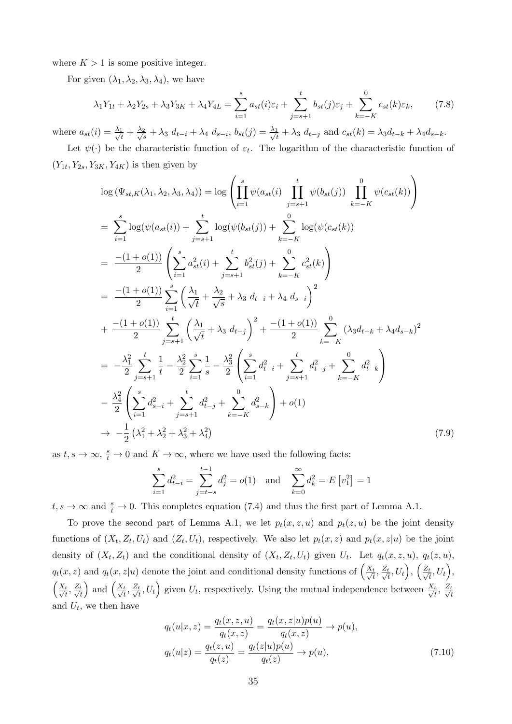where  $K > 1$  is some positive integer.

For given  $(\lambda_1, \lambda_2, \lambda_3, \lambda_4)$ , we have

$$
\lambda_1 Y_{1t} + \lambda_2 Y_{2s} + \lambda_3 Y_{3K} + \lambda_4 Y_{4L} = \sum_{i=1}^s a_{st}(i)\varepsilon_i + \sum_{j=s+1}^t b_{st}(j)\varepsilon_j + \sum_{k=-K}^0 c_{st}(k)\varepsilon_k, \tag{7.8}
$$

where  $a_{st}(i) = \frac{\lambda_1}{\sqrt{4}}$  $\frac{1}{t}+\frac{\lambda_2}{\sqrt{s}}$  $\frac{2}{s} + \lambda_3 d_{t-i} + \lambda_4 d_{s-i}, b_{st}(j) = \frac{\lambda_1}{\sqrt{i}}$  $t_{\frac{1}{t}} + \lambda_3 d_{t-j}$  and  $c_{st}(k) = \lambda_3 d_{t-k} + \lambda_4 d_{s-k}$ .

Let  $\psi(\cdot)$  be the characteristic function of  $\varepsilon_t$ . The logarithm of the characteristic function of  $(Y_{1t}, Y_{2s}, Y_{3K}, Y_{4K})$  is then given by

$$
\log (\Psi_{st,K}(\lambda_1, \lambda_2, \lambda_3, \lambda_4)) = \log \left( \prod_{i=1}^s \psi(a_{st}(i) \prod_{j=s+1}^t \psi(b_{st}(j)) \prod_{k=-K}^0 \psi(c_{st}(k)) \right)
$$
  
\n
$$
= \sum_{i=1}^s \log(\psi(a_{st}(i)) + \sum_{j=s+1}^t \log(\psi(b_{st}(j)) + \sum_{k=-K}^0 \log(\psi(c_{st}(k)))
$$
  
\n
$$
= \frac{-(1+o(1))}{2} \left( \sum_{i=1}^s a_{st}^2(i) + \sum_{j=s+1}^t b_{st}^2(j) + \sum_{k=-K}^0 c_{st}^2(k) \right)
$$
  
\n
$$
= \frac{-(1+o(1))}{2} \sum_{i=1}^s \left( \frac{\lambda_1}{\sqrt{t}} + \frac{\lambda_2}{\sqrt{s}} + \lambda_3 d_{t-i} + \lambda_4 d_{s-i} \right)^2
$$
  
\n
$$
+ \frac{-(1+o(1))}{2} \sum_{j=s+1}^t \left( \frac{\lambda_1}{\sqrt{t}} + \lambda_3 d_{t-j} \right)^2 + \frac{-(1+o(1))}{2} \sum_{k=-K}^0 (\lambda_3 d_{t-k} + \lambda_4 d_{s-k})^2
$$
  
\n
$$
= -\frac{\lambda_1^2}{2} \sum_{j=s+1}^t \frac{1}{t} - \frac{\lambda_2^2}{2} \sum_{i=1}^s \frac{1}{s} - \frac{\lambda_3^2}{2} \left( \sum_{i=1}^s d_{t-i}^2 + \sum_{j=s+1}^t d_{t-j}^2 + \sum_{k=-K}^0 d_{t-k}^2 \right)
$$
  
\n
$$
- \frac{\lambda_4^2}{2} \left( \sum_{i=1}^s d_{s-i}^2 + \sum_{j=s+1}^t d_{t-j}^2 + \sum_{k=-K}^0 d_{s-k}^2 \right) + o(1)
$$
  
\n
$$
\rightarrow -\frac{1}{2} (\lambda_1^2 + \lambda_2^2 + \lambda_3^2 + \lambda_4^2)
$$
 (7.9)

as  $t, s \to \infty$ ,  $\frac{s}{t} \to 0$  and  $K \to \infty$ , where we have used the following facts:

$$
\sum_{i=1}^{s} d_{t-i}^{2} = \sum_{j=t-s}^{t-1} d_{j}^{2} = o(1) \text{ and } \sum_{k=0}^{\infty} d_{k}^{2} = E[v_{1}^{2}] = 1
$$

 $t, s \to \infty$  and  $\frac{s}{t} \to 0$ . This completes equation (7.4) and thus the first part of Lemma A.1.

To prove the second part of Lemma A.1, we let  $p_t(x, z, u)$  and  $p_t(z, u)$  be the joint density functions of  $(X_t, Z_t, U_t)$  and  $(Z_t, U_t)$ , respectively. We also let  $p_t(x, z)$  and  $p_t(x, z|u)$  be the joint density of  $(X_t, Z_t)$  and the conditional density of  $(X_t, Z_t, U_t)$  given  $U_t$ . Let  $q_t(x, z, u)$ ,  $q_t(z, u)$ ,  $q_t(x, z)$  and  $q_t(x, z|u)$  denote the joint and conditional density functions of  $\left(\frac{X_t}{\sqrt{t}}, \frac{Z_t}{\sqrt{t}}\right)$  $\left(\frac{t}{\ell}, U_t\right),\, \left(\frac{Z_t}{\sqrt{u}}\right)$  $\frac{t}{\overline{t}}, U_t\Big),$  $\left(\frac{X_t}{\sqrt{t}}, \frac{Z_t}{\sqrt{t}}\right)$ t ) and  $\left(\frac{X_t}{\sqrt{t}}, \frac{Z_t}{\sqrt{t}}\right)$  $\frac{t}{t}, U_t$  given  $U_t$ , respectively. Using the mutual independence between  $\frac{X_t}{\sqrt{t}}, \frac{Z_t}{\sqrt{t}}$ t and  $U_t$ , we then have

$$
q_t(u|x, z) = \frac{q_t(x, z, u)}{q_t(x, z)} = \frac{q_t(x, z|u)p(u)}{q_t(x, z)} \to p(u),
$$
  

$$
q_t(u|z) = \frac{q_t(z, u)}{q_t(z)} = \frac{q_t(z|u)p(u)}{q_t(z)} \to p(u),
$$
 (7.10)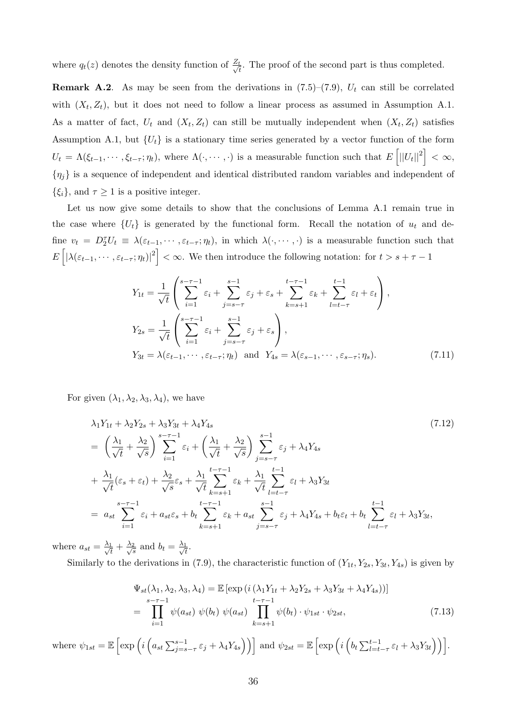where  $q_t(z)$  denotes the density function of  $\frac{Z_t}{\sqrt{A}}$  $\frac{t}{t}$ . The proof of the second part is thus completed.

**Remark A.2**. As may be seen from the derivations in  $(7.5)-(7.9)$ ,  $U_t$  can still be correlated with  $(X_t, Z_t)$ , but it does not need to follow a linear process as assumed in Assumption A.1. As a matter of fact,  $U_t$  and  $(X_t, Z_t)$  can still be mutually independent when  $(X_t, Z_t)$  satisfies Assumption A.1, but  $\{U_t\}$  is a stationary time series generated by a vector function of the form  $U_t = \Lambda(\xi_{t-1}, \dots, \xi_{t-\tau}; \eta_t),$  where  $\Lambda(\cdot, \dots, \cdot)$  is a measurable function such that  $E\left[||U_t||^2\right] < \infty$ ,  $\{\eta_j\}$  is a sequence of independent and identical distributed random variables and independent of  $\{\xi_i\}$ , and  $\tau \geq 1$  is a positive integer.

Let us now give some details to show that the conclusions of Lemma A.1 remain true in the case where  $\{U_t\}$  is generated by the functional form. Recall the notation of  $u_t$  and define  $v_t = D_2^{\tau} U_t \equiv \lambda(\varepsilon_{t-1}, \cdots, \varepsilon_{t-\tau}; \eta_t)$ , in which  $\lambda(\cdot, \cdots, \cdot)$  is a measurable function such that  $E\left[|\lambda(\varepsilon_{t-1},\cdots,\varepsilon_{t-\tau};\eta_t)|^2\right]<\infty.$  We then introduce the following notation: for  $t>s+\tau-1$ 

$$
Y_{1t} = \frac{1}{\sqrt{t}} \left( \sum_{i=1}^{s-\tau-1} \varepsilon_i + \sum_{j=s-\tau}^{s-1} \varepsilon_j + \varepsilon_s + \sum_{k=s+1}^{t-\tau-1} \varepsilon_k + \sum_{l=t-\tau}^{t-1} \varepsilon_l + \varepsilon_t \right),
$$
  
\n
$$
Y_{2s} = \frac{1}{\sqrt{t}} \left( \sum_{i=1}^{s-\tau-1} \varepsilon_i + \sum_{j=s-\tau}^{s-1} \varepsilon_j + \varepsilon_s \right),
$$
  
\n
$$
Y_{3t} = \lambda(\varepsilon_{t-1}, \cdots, \varepsilon_{t-\tau}; \eta_t) \text{ and } Y_{4s} = \lambda(\varepsilon_{s-1}, \cdots, \varepsilon_{s-\tau}; \eta_s).
$$
\n(7.11)

For given  $(\lambda_1, \lambda_2, \lambda_3, \lambda_4)$ , we have

$$
\lambda_1 Y_{1t} + \lambda_2 Y_{2s} + \lambda_3 Y_{3t} + \lambda_4 Y_{4s} \tag{7.12}
$$
\n
$$
= \left(\frac{\lambda_1}{\sqrt{t}} + \frac{\lambda_2}{\sqrt{s}}\right) \sum_{i=1}^{s-\tau-1} \varepsilon_i + \left(\frac{\lambda_1}{\sqrt{t}} + \frac{\lambda_2}{\sqrt{s}}\right) \sum_{j=s-\tau}^{s-1} \varepsilon_j + \lambda_4 Y_{4s} \tag{7.12}
$$
\n
$$
+ \frac{\lambda_1}{\sqrt{t}} (\varepsilon_s + \varepsilon_t) + \frac{\lambda_2}{\sqrt{s}} \varepsilon_s + \frac{\lambda_1}{\sqrt{t}} \sum_{k=s+1}^{t-\tau-1} \varepsilon_k + \frac{\lambda_1}{\sqrt{t}} \sum_{l=t-\tau}^{t-1} \varepsilon_l + \lambda_3 Y_{3t}
$$
\n
$$
= a_{st} \sum_{i=1}^{s-\tau-1} \varepsilon_i + a_{st} \varepsilon_s + b_t \sum_{k=s+1}^{t-\tau-1} \varepsilon_k + a_{st} \sum_{j=s-\tau}^{s-1} \varepsilon_j + \lambda_4 Y_{4s} + b_t \varepsilon_t + b_t \sum_{l=t-\tau}^{t-1} \varepsilon_l + \lambda_3 Y_{3t},
$$

where  $a_{st} = \frac{\lambda_1}{\sqrt{4}}$  $\frac{1}{t}+\frac{\lambda_2}{\sqrt{s}}$  $\frac{2}{s}$  and  $b_t = \frac{\lambda_1}{\sqrt{t}}$  $\frac{1}{t}$ .

Similarly to the derivations in (7.9), the characteristic function of  $(Y_{1t}, Y_{2s}, Y_{3t}, Y_{4s})$  is given by

$$
\Psi_{st}(\lambda_1, \lambda_2, \lambda_3, \lambda_4) = \mathbb{E} \left[ \exp\left(i\left(\lambda_1 Y_{1t} + \lambda_2 Y_{2s} + \lambda_3 Y_{3t} + \lambda_4 Y_{4s}\right)\right) \right]
$$
\n
$$
= \prod_{i=1}^{s-\tau-1} \psi(a_{st}) \psi(b_t) \psi(a_{st}) \prod_{k=s+1}^{t-\tau-1} \psi(b_t) \cdot \psi_{1st} \cdot \psi_{2st},
$$
\n(7.13)

where  $\psi_{1st} = \mathbb{E}\left[\exp\left(i\left(a_{st}\sum_{j=s-\tau}^{s-1} \varepsilon_j + \lambda_4 Y_{4s}\right)\right)\right]$  and  $\psi_{2st} = \mathbb{E}\left[\exp\left(i\left(b_t\sum_{l=t-\tau}^{t-1} \varepsilon_l + \lambda_3 Y_{3t}\right)\right)\right]$ .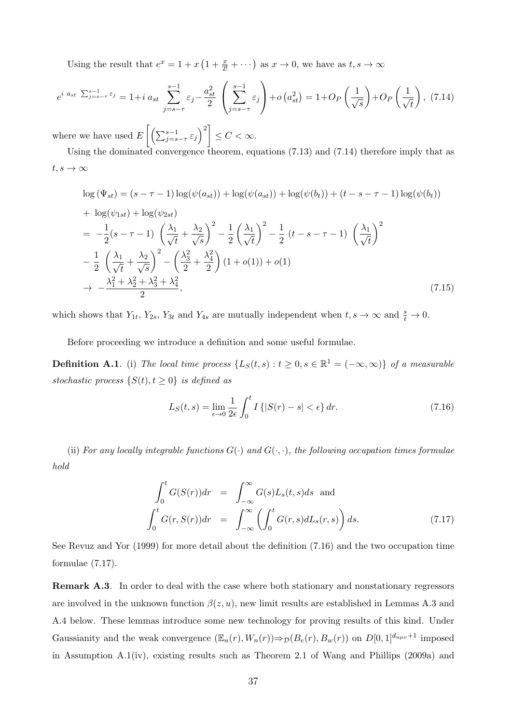Using the result that  $e^x = 1 + x(1 + \frac{x}{2!} + \cdots)$  as  $x \to 0$ , we have as  $t, s \to \infty$ 

$$
e^{i a_{st} \sum_{j=s-\tau}^{s-1} \varepsilon_j} = 1 + i a_{st} \sum_{j=s-\tau}^{s-1} \varepsilon_j - \frac{a_{st}^2}{2} \left( \sum_{j=s-\tau}^{s-1} \varepsilon_j \right) + o\left(a_{st}^2\right) = 1 + O_P\left(\frac{1}{\sqrt{s}}\right) + O_P\left(\frac{1}{\sqrt{t}}\right), (7.14)
$$

where we have used  $E\left[\left(\sum_{j=s-\tau}^{s-1} \varepsilon_j\right)^2\right] \leq C < \infty$ .

Using the dominated convergence theorem, equations (7.13) and (7.14) therefore imply that as  $t, s \rightarrow \infty$ 

$$
\log (\Psi_{st}) = (s - \tau - 1) \log (\psi(a_{st})) + \log (\psi(a_{st})) + \log (\psi(b_{t})) + (t - s - \tau - 1) \log (\psi(b_{t}))
$$
  
+ 
$$
\log (\psi_{1st}) + \log (\psi_{2st})
$$
  
= 
$$
-\frac{1}{2}(s - \tau - 1) \left(\frac{\lambda_1}{\sqrt{t}} + \frac{\lambda_2}{\sqrt{s}}\right)^2 - \frac{1}{2} \left(\frac{\lambda_1}{\sqrt{t}}\right)^2 - \frac{1}{2} (t - s - \tau - 1) \left(\frac{\lambda_1}{\sqrt{t}}\right)^2
$$
  
- 
$$
\frac{1}{2} \left(\frac{\lambda_1}{\sqrt{t}} + \frac{\lambda_2}{\sqrt{s}}\right)^2 - \left(\frac{\lambda_3^2}{2} + \frac{\lambda_4^2}{2}\right) (1 + o(1)) + o(1)
$$
  

$$
\rightarrow -\frac{\lambda_1^2 + \lambda_2^2 + \lambda_3^2 + \lambda_4^2}{2}, \tag{7.15}
$$

which shows that  $Y_{1t}$ ,  $Y_{2s}$ ,  $Y_{3t}$  and  $Y_{4s}$  are mutually independent when  $t, s \to \infty$  and  $\frac{s}{t} \to 0$ .

Before proceeding we introduce a definition and some useful formulae.

**Definition A.1**. (i) The local time process  $\{L_S(t, s) : t \geq 0, s \in \mathbb{R}^1 = (-\infty, \infty)\}\$  of a measurable stochastic process  $\{S(t), t \geq 0\}$  is defined as

$$
L_S(t,s) = \lim_{\epsilon \to 0} \frac{1}{2\epsilon} \int_0^t I\left\{|S(r) - s| < \epsilon\right\} dr. \tag{7.16}
$$

(ii) For any locally integrable functions  $G(\cdot)$  and  $G(\cdot, \cdot)$ , the following occupation times formulae hold

$$
\int_0^t G(S(r))dr = \int_{-\infty}^{\infty} G(s)L_s(t,s)ds \text{ and}
$$

$$
\int_0^t G(r, S(r))dr = \int_{-\infty}^{\infty} \left( \int_0^t G(r, s)dL_s(r, s) \right)ds.
$$
(7.17)

See Revuz and Yor (1999) for more detail about the definition (7.16) and the two occupation time formulae (7.17).

Remark A.3. In order to deal with the case where both stationary and nonstationary regressors are involved in the unknown function  $\beta(z, u)$ , new limit results are established in Lemmas A.3 and A.4 below. These lemmas introduce some new technology for proving results of this kind. Under Gaussianity and the weak convergence  $(\mathbb{E}_n(r), W_n(r)) \Rightarrow_D (B_e(r), B_w(r))$  on  $D[0, 1]^{d_{u\mu\nu}+1}$  imposed in Assumption A.1(iv), existing results such as Theorem 2.1 of Wang and Phillips (2009a) and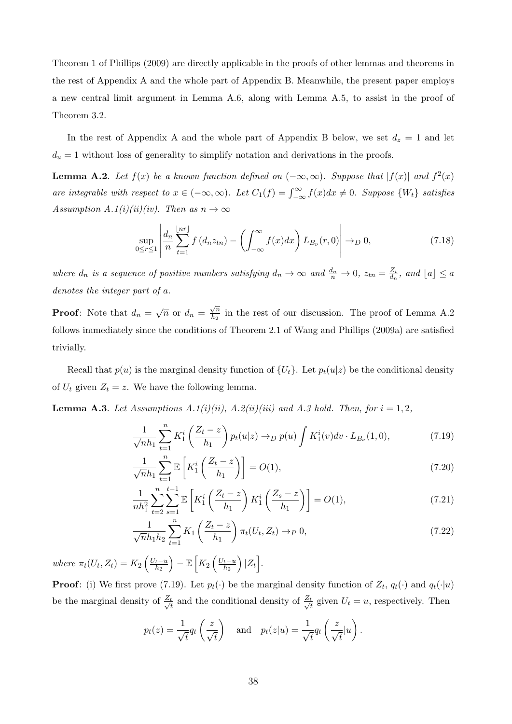Theorem 1 of Phillips (2009) are directly applicable in the proofs of other lemmas and theorems in the rest of Appendix A and the whole part of Appendix B. Meanwhile, the present paper employs a new central limit argument in Lemma A.6, along with Lemma A.5, to assist in the proof of Theorem 3.2.

In the rest of Appendix A and the whole part of Appendix B below, we set  $d_z = 1$  and let  $d_u = 1$  without loss of generality to simplify notation and derivations in the proofs.

**Lemma A.2.** Let  $f(x)$  be a known function defined on  $(-\infty, \infty)$ . Suppose that  $|f(x)|$  and  $f^{2}(x)$ are integrable with respect to  $x \in (-\infty, \infty)$ . Let  $C_1(f) = \int_{-\infty}^{\infty} f(x) dx \neq 0$ . Suppose  $\{W_t\}$  satisfies Assumption A.1(i)(ii)(iv). Then as  $n \to \infty$ 

$$
\sup_{0 \le r \le 1} \left| \frac{d_n}{n} \sum_{t=1}^{\lfloor nr \rfloor} f(d_n z_{tn}) - \left( \int_{-\infty}^{\infty} f(x) dx \right) L_{B_\nu}(r, 0) \right| \to_D 0, \tag{7.18}
$$

where  $d_n$  is a sequence of positive numbers satisfying  $d_n \to \infty$  and  $\frac{d_n}{n} \to 0$ ,  $z_{tn} = \frac{Z_t}{d_n}$  $\frac{Z_t}{d_n}$ , and  $\lfloor a \rfloor \leq a$ denotes the integer part of a.

**Proof:** Note that  $d_n = \sqrt{n}$  or  $d_n =$  $\sqrt{n}$  $\frac{\sqrt{n}}{h_2}$  in the rest of our discussion. The proof of Lemma A.2 follows immediately since the conditions of Theorem 2.1 of Wang and Phillips (2009a) are satisfied trivially.

Recall that  $p(u)$  is the marginal density function of  $\{U_t\}$ . Let  $p_t(u|z)$  be the conditional density of  $U_t$  given  $Z_t = z$ . We have the following lemma.

**Lemma A.3**. Let Assumptions A.1(i)(ii), A.2(ii)(iii) and A.3 hold. Then, for  $i = 1, 2$ ,

$$
\frac{1}{\sqrt{n}h_1} \sum_{t=1}^n K_1^i \left( \frac{Z_t - z}{h_1} \right) p_t(u|z) \to_D p(u) \int K_1^i(v) dv \cdot L_{B_\nu}(1,0), \tag{7.19}
$$

$$
\frac{1}{\sqrt{n}h_1} \sum_{t=1}^n \mathbb{E}\left[K_1^i\left(\frac{Z_t - z}{h_1}\right)\right] = O(1),\tag{7.20}
$$

$$
\frac{1}{nh_1^2} \sum_{t=2}^n \sum_{s=1}^{t-1} \mathbb{E}\left[K_1^i\left(\frac{Z_t - z}{h_1}\right) K_1^i\left(\frac{Z_s - z}{h_1}\right)\right] = O(1),\tag{7.21}
$$

$$
\frac{1}{\sqrt{n}h_1h_2} \sum_{t=1}^{n} K_1 \left( \frac{Z_t - z}{h_1} \right) \pi_t(U_t, Z_t) \to_P 0,
$$
\n(7.22)

where  $\pi_t(U_t, Z_t) = K_2 \left( \frac{U_t - u}{h_2} \right)$  $_{h_2}$  $= \mathbb{E}\left[K_2\left(\frac{U_t-u}{h_2}\right)\right]$  $_{h_2}$  $\Big| |Z_t|.$ 

**Proof**: (i) We first prove (7.19). Let  $p_t(\cdot)$  be the marginal density function of  $Z_t$ ,  $q_t(\cdot)$  and  $q_t(\cdot|u)$ be the marginal density of  $\frac{Z_t}{Z}$  $\frac{t}{t}$  and the conditional density of  $\frac{Z_t}{\sqrt{t}}$  $\frac{t}{t}$  given  $U_t = u$ , respectively. Then

$$
p_t(z) = \frac{1}{\sqrt{t}} q_t\left(\frac{z}{\sqrt{t}}\right)
$$
 and  $p_t(z|u) = \frac{1}{\sqrt{t}} q_t\left(\frac{z}{\sqrt{t}}|u\right)$ .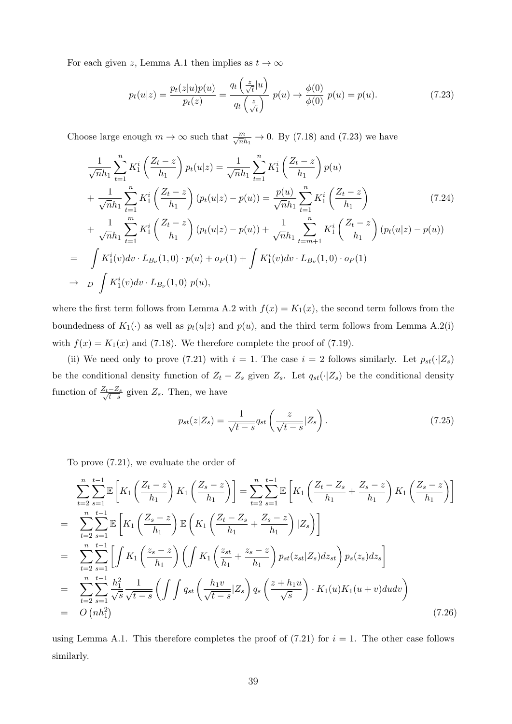For each given z, Lemma A.1 then implies as  $t \to \infty$ 

$$
p_t(u|z) = \frac{p_t(z|u)p(u)}{p_t(z)} = \frac{q_t\left(\frac{z}{\sqrt{t}}|u\right)}{q_t\left(\frac{z}{\sqrt{t}}\right)}\ p(u) \to \frac{\phi(0)}{\phi(0)}\ p(u) = p(u). \tag{7.23}
$$

Choose large enough  $m \to \infty$  such that  $\frac{m}{\sqrt{n}h_1} \to 0$ . By (7.18) and (7.23) we have

$$
\frac{1}{\sqrt{n}h_1} \sum_{t=1}^{n} K_1^i \left( \frac{Z_t - z}{h_1} \right) p_t(u|z) = \frac{1}{\sqrt{n}h_1} \sum_{t=1}^{n} K_1^i \left( \frac{Z_t - z}{h_1} \right) p(u) \n+ \frac{1}{\sqrt{n}h_1} \sum_{t=1}^{n} K_1^i \left( \frac{Z_t - z}{h_1} \right) (p_t(u|z) - p(u)) = \frac{p(u)}{\sqrt{n}h_1} \sum_{t=1}^{n} K_1^i \left( \frac{Z_t - z}{h_1} \right) \n+ \frac{1}{\sqrt{n}h_1} \sum_{t=1}^{m} K_1^i \left( \frac{Z_t - z}{h_1} \right) (p_t(u|z) - p(u)) + \frac{1}{\sqrt{n}h_1} \sum_{t=m+1}^{n} K_1^i \left( \frac{Z_t - z}{h_1} \right) (p_t(u|z) - p(u)) \n= \int K_1^i(v) dv \cdot L_{B_\nu}(1,0) \cdot p(u) + o_P(1) + \int K_1^i(v) dv \cdot L_{B_\nu}(1,0) \cdot o_P(1) \n\rightarrow D \int K_1^i(v) dv \cdot L_{B_\nu}(1,0) p(u),
$$
\n
$$
(1,0) (1,0) (0,0) (0,0) (1)
$$

where the first term follows from Lemma A.2 with  $f(x) = K_1(x)$ , the second term follows from the boundedness of  $K_1(\cdot)$  as well as  $p_t(u|z)$  and  $p(u)$ , and the third term follows from Lemma A.2(i) with  $f(x) = K_1(x)$  and (7.18). We therefore complete the proof of (7.19).

(ii) We need only to prove (7.21) with  $i = 1$ . The case  $i = 2$  follows similarly. Let  $p_{st}(\cdot | Z_s)$ be the conditional density function of  $Z_t - Z_s$  given  $Z_s$ . Let  $q_{st}(\cdot | Z_s)$  be the conditional density function of  $\frac{Z_t - Z_s}{\sqrt{t-s}}$  given  $Z_s$ . Then, we have

$$
p_{st}(z|Z_s) = \frac{1}{\sqrt{t-s}} q_{st} \left( \frac{z}{\sqrt{t-s}} |Z_s \right). \tag{7.25}
$$

To prove (7.21), we evaluate the order of

$$
\sum_{t=2}^{n} \sum_{s=1}^{t-1} \mathbb{E}\left[K_{1}\left(\frac{Z_{t}-z}{h_{1}}\right)K_{1}\left(\frac{Z_{s}-z}{h_{1}}\right)\right] = \sum_{t=2}^{n} \sum_{s=1}^{t-1} \mathbb{E}\left[K_{1}\left(\frac{Z_{t}-Z_{s}}{h_{1}}+\frac{Z_{s}-z}{h_{1}}\right)K_{1}\left(\frac{Z_{s}-z}{h_{1}}\right)\right]
$$
\n
$$
= \sum_{t=2}^{n} \sum_{s=1}^{t-1} \mathbb{E}\left[K_{1}\left(\frac{Z_{s}-z}{h_{1}}\right) \mathbb{E}\left(K_{1}\left(\frac{Z_{t}-Z_{s}}{h_{1}}+\frac{Z_{s}-z}{h_{1}}\right)|Z_{s}\right)\right]
$$
\n
$$
= \sum_{t=2}^{n} \sum_{s=1}^{t-1} \left[\int K_{1}\left(\frac{z_{s}-z}{h_{1}}\right) \left(\int K_{1}\left(\frac{z_{st}}{h_{1}}+\frac{z_{s}-z}{h_{1}}\right) p_{st}(z_{st}|Z_{s}) dz_{st}\right) p_{s}(z_{s}) dz_{s}\right]
$$
\n
$$
= \sum_{t=2}^{n} \sum_{s=1}^{t-1} \frac{h_{1}^{2}}{\sqrt{s}} \frac{1}{\sqrt{t-s}} \left(\int \int q_{st}\left(\frac{h_{1}v}{\sqrt{t-s}}|Z_{s}\right) q_{s}\left(\frac{z+h_{1}u}{\sqrt{s}}\right) \cdot K_{1}(u) K_{1}(u+v) du dv\right)
$$
\n
$$
= O\left(nh_{1}^{2}\right) \tag{7.26}
$$

using Lemma A.1. This therefore completes the proof of  $(7.21)$  for  $i = 1$ . The other case follows similarly.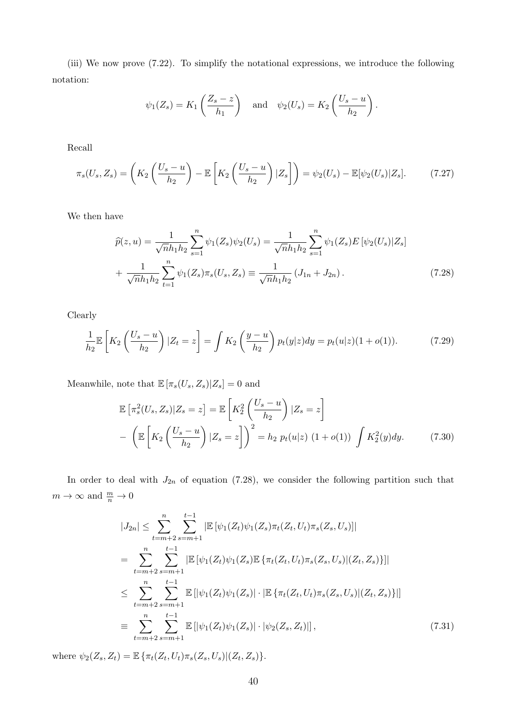(iii) We now prove (7.22). To simplify the notational expressions, we introduce the following notation:

$$
\psi_1(Z_s) = K_1\left(\frac{Z_s - z}{h_1}\right)
$$
 and  $\psi_2(U_s) = K_2\left(\frac{U_s - u}{h_2}\right)$ .

Recall

$$
\pi_s(U_s, Z_s) = \left( K_2 \left( \frac{U_s - u}{h_2} \right) - \mathbb{E} \left[ K_2 \left( \frac{U_s - u}{h_2} \right) | Z_s \right] \right) = \psi_2(U_s) - \mathbb{E} [\psi_2(U_s) | Z_s]. \tag{7.27}
$$

We then have

$$
\widehat{p}(z,u) = \frac{1}{\sqrt{n}h_1h_2} \sum_{s=1}^n \psi_1(Z_s)\psi_2(U_s) = \frac{1}{\sqrt{n}h_1h_2} \sum_{s=1}^n \psi_1(Z_s)E\left[\psi_2(U_s)|Z_s\right]
$$

$$
+ \frac{1}{\sqrt{n}h_1h_2} \sum_{t=1}^n \psi_1(Z_s)\pi_s(U_s, Z_s) \equiv \frac{1}{\sqrt{n}h_1h_2} \left(J_{1n} + J_{2n}\right). \tag{7.28}
$$

Clearly

$$
\frac{1}{h_2} \mathbb{E}\left[K_2\left(\frac{U_s - u}{h_2}\right)|Z_t = z\right] = \int K_2\left(\frac{y - u}{h_2}\right) p_t(y|z) dy = p_t(u|z)(1 + o(1)).\tag{7.29}
$$

Meanwhile, note that  $\mathbb{E}\left[\pi_s(U_s,Z_s)\middle|Z_s\right]=0$  and

$$
\mathbb{E}\left[\pi_s^2(U_s, Z_s)|Z_s = z\right] = \mathbb{E}\left[K_2^2\left(\frac{U_s - u}{h_2}\right)|Z_s = z\right]
$$

$$
-\left(\mathbb{E}\left[K_2\left(\frac{U_s - u}{h_2}\right)|Z_s = z\right]\right)^2 = h_2 p_t(u|z) \left(1 + o(1)\right) \int K_2^2(y)dy. \tag{7.30}
$$

In order to deal with  $J_{2n}$  of equation (7.28), we consider the following partition such that  $m \to \infty$  and  $\frac{m}{n} \to 0$ 

$$
|J_{2n}| \leq \sum_{t=m+2}^{n} \sum_{s=m+1}^{t-1} |\mathbb{E}[\psi_1(Z_t)\psi_1(Z_s)\pi_t(Z_t, U_t)\pi_s(Z_s, U_s)]|
$$
  
\n
$$
= \sum_{t=m+2}^{n} \sum_{s=m+1}^{t-1} |\mathbb{E}[\psi_1(Z_t)\psi_1(Z_s)\mathbb{E}\{\pi_t(Z_t, U_t)\pi_s(Z_s, U_s)|(Z_t, Z_s)\}]|
$$
  
\n
$$
\leq \sum_{t=m+2}^{n} \sum_{s=m+1}^{t-1} \mathbb{E}[\psi_1(Z_t)\psi_1(Z_s)| \cdot |\mathbb{E}\{\pi_t(Z_t, U_t)\pi_s(Z_s, U_s)|(Z_t, Z_s)\}]|
$$
  
\n
$$
= \sum_{t=m+2}^{n} \sum_{s=m+1}^{t-1} \mathbb{E}[\psi_1(Z_t)\psi_1(Z_s)| \cdot |\psi_2(Z_s, Z_t)|], \qquad (7.31)
$$

where  $\psi_2(Z_s, Z_t) = \mathbb{E} \{ \pi_t(Z_t, U_t) \pi_s(Z_s, U_s) | (Z_t, Z_s) \}.$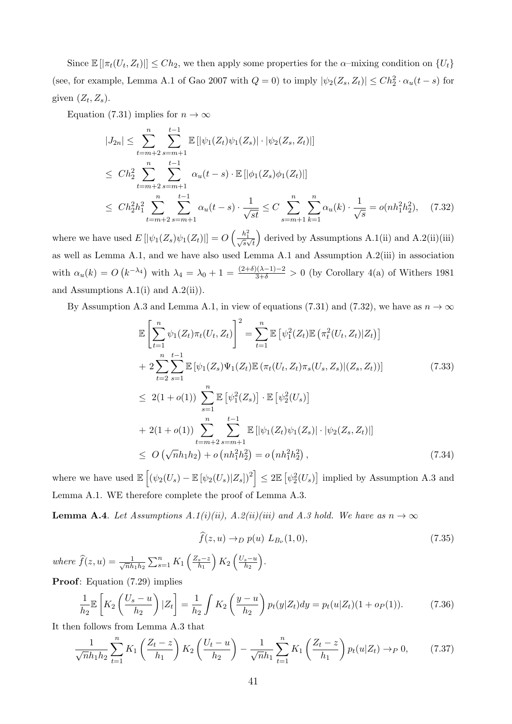Since  $\mathbb{E}[\pi_t(U_t, Z_t)] \leq Ch_2$ , we then apply some properties for the  $\alpha$ -mixing condition on  $\{U_t\}$ (see, for example, Lemma A.1 of Gao 2007 with  $Q = 0$ ) to imply  $|\psi_2(Z_s, Z_t)| \leq Ch_2^2 \cdot \alpha_u(t - s)$  for given  $(Z_t, Z_s)$ .

Equation (7.31) implies for  $n \to \infty$ 

$$
|J_{2n}| \leq \sum_{t=m+2}^{n} \sum_{s=m+1}^{t-1} \mathbb{E} \left[ |\psi_1(Z_t)\psi_1(Z_s)| \cdot |\psi_2(Z_s, Z_t)| \right]
$$
  
\n
$$
\leq C h_2^2 \sum_{t=m+2}^{n} \sum_{s=m+1}^{t-1} \alpha_u(t-s) \cdot \mathbb{E} \left[ |\phi_1(Z_s)\phi_1(Z_t)| \right]
$$
  
\n
$$
\leq C h_2^2 h_1^2 \sum_{t=m+2}^{n} \sum_{s=m+1}^{t-1} \alpha_u(t-s) \cdot \frac{1}{\sqrt{st}} \leq C \sum_{s=m+1}^{n} \sum_{k=1}^{n} \alpha_u(k) \cdot \frac{1}{\sqrt{s}} = o(nh_1^2 h_2^2), \quad (7.32)
$$

where we have used  $E\left[|\psi_1(Z_s)\psi_1(Z_t)|\right] = O\left(\frac{h_1^2}{\sqrt{s}\sqrt{t}}\right)$ ) derived by Assumptions  $A.1(ii)$  and  $A.2(ii)(iii)$ as well as Lemma A.1, and we have also used Lemma A.1 and Assumption A.2(iii) in association with  $\alpha_u(k) = O\left(k^{-\lambda_4}\right)$  with  $\lambda_4 = \lambda_0 + 1 = \frac{(2+\delta)(\lambda-1)-2}{3+\delta} > 0$  (by Corollary 4(a) of Withers 1981 and Assumptions A.1(i) and A.2(ii)).

By Assumption A.3 and Lemma A.1, in view of equations (7.31) and (7.32), we have as  $n \to \infty$ 

$$
\mathbb{E}\left[\sum_{t=1}^{n}\psi_{1}(Z_{t})\pi_{t}(U_{t},Z_{t})\right]^{2} = \sum_{t=1}^{n}\mathbb{E}\left[\psi_{1}^{2}(Z_{t})\mathbb{E}\left(\pi_{t}^{2}(U_{t},Z_{t})|Z_{t}\right)\right]
$$
\n
$$
+ 2\sum_{t=2}^{n}\sum_{s=1}^{t-1}\mathbb{E}\left[\psi_{1}(Z_{s})\Psi_{1}(Z_{t})\mathbb{E}\left(\pi_{t}(U_{t},Z_{t})\pi_{s}(U_{s},Z_{s})|(Z_{s},Z_{t})\right)\right]
$$
\n
$$
\leq 2(1+o(1))\sum_{s=1}^{n}\mathbb{E}\left[\psi_{1}^{2}(Z_{s})\right]\cdot\mathbb{E}\left[\psi_{2}^{2}(U_{s})\right]
$$
\n
$$
+ 2(1+o(1))\sum_{t=m+2}^{n}\sum_{s=m+1}^{t-1}\mathbb{E}\left[\left|\psi_{1}(Z_{t})\psi_{1}(Z_{s})\right|\cdot\left|\psi_{2}(Z_{s},Z_{t})\right|\right]
$$
\n
$$
\leq O\left(\sqrt{n}h_{1}h_{2}\right)+o\left(nh_{1}^{2}h_{2}^{2}\right)=o\left(nh_{1}^{2}h_{2}^{2}\right),\tag{7.34}
$$

where we have used  $\mathbb{E}\left[\left(\psi_2(U_s) - \mathbb{E}\left[\psi_2(U_s)|Z_s\right]\right)^2\right] \leq 2\mathbb{E}\left[\psi_2^2(U_s)\right]$  implied by Assumption A.3 and Lemma A.1. WE therefore complete the proof of Lemma A.3.

**Lemma A.4.** Let Assumptions  $A.1(i)(ii)$ ,  $A.2(ii)(iii)$  and  $A.3$  hold. We have as  $n \to \infty$ 

$$
\widehat{f}(z,u) \to_D p(u) L_{B_\nu}(1,0),\tag{7.35}
$$

where  $\widehat{f}(z, u) = \frac{1}{\sqrt{n}h}$  $\frac{1}{\overline{n}h_1h_2}\sum_{s=1}^n K_1\left(\frac{Z_s-z}{h_1}\right)$  $h_1$  $K_2\left(\frac{U_s-u}{h_2}\right)$  $_{h_2}$ .

Proof: Equation (7.29) implies

$$
\frac{1}{h_2} \mathbb{E}\left[K_2\left(\frac{U_s - u}{h_2}\right)|Z_t\right] = \frac{1}{h_2} \int K_2\left(\frac{y - u}{h_2}\right) p_t(y|Z_t) dy = p_t(u|Z_t)(1 + o_P(1)).\tag{7.36}
$$

It then follows from Lemma A.3 that

$$
\frac{1}{\sqrt{n}h_1h_2} \sum_{t=1}^n K_1 \left( \frac{Z_t - z}{h_1} \right) K_2 \left( \frac{U_t - u}{h_2} \right) - \frac{1}{\sqrt{n}h_1} \sum_{t=1}^n K_1 \left( \frac{Z_t - z}{h_1} \right) p_t(u|Z_t) \to_P 0, \tag{7.37}
$$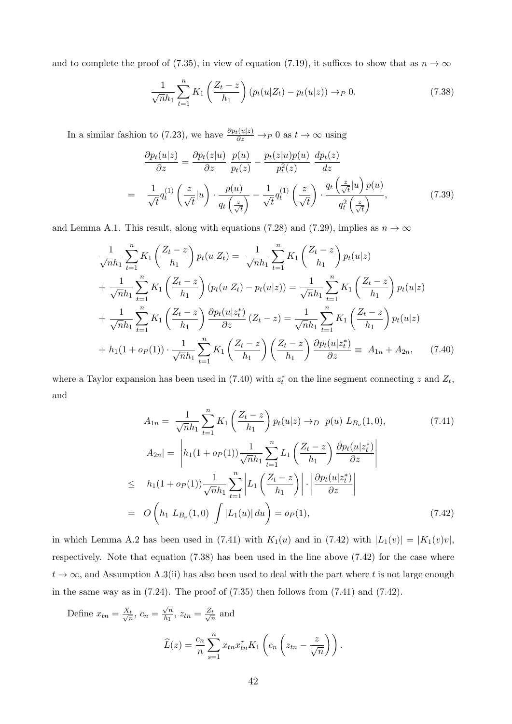and to complete the proof of (7.35), in view of equation (7.19), it suffices to show that as  $n \to \infty$ 

$$
\frac{1}{\sqrt{n}h_1} \sum_{t=1}^{n} K_1 \left( \frac{Z_t - z}{h_1} \right) (p_t(u|Z_t) - p_t(u|z)) \to_P 0.
$$
 (7.38)

In a similar fashion to (7.23), we have  $\frac{\partial p_t(u|z)}{\partial z} \to_P 0$  as  $t \to \infty$  using

$$
\frac{\partial p_t(u|z)}{\partial z} = \frac{\partial p_t(z|u)}{\partial z} \frac{p(u)}{p_t(z)} - \frac{p_t(z|u)p(u)}{p_t^2(z)} \frac{dp_t(z)}{dz}
$$
\n
$$
= \frac{1}{\sqrt{t}} q_t^{(1)} \left(\frac{z}{\sqrt{t}}|u\right) \cdot \frac{p(u)}{q_t\left(\frac{z}{\sqrt{t}}\right)} - \frac{1}{\sqrt{t}} q_t^{(1)} \left(\frac{z}{\sqrt{t}}\right) \cdot \frac{q_t\left(\frac{z}{\sqrt{t}}|u\right)p(u)}{q_t^2\left(\frac{z}{\sqrt{t}}\right)},\tag{7.39}
$$

and Lemma A.1. This result, along with equations (7.28) and (7.29), implies as  $n \to \infty$ 

$$
\frac{1}{\sqrt{n}h_1} \sum_{t=1}^{n} K_1 \left( \frac{Z_t - z}{h_1} \right) p_t(u|Z_t) = \frac{1}{\sqrt{n}h_1} \sum_{t=1}^{n} K_1 \left( \frac{Z_t - z}{h_1} \right) p_t(u|z)
$$
  
+ 
$$
\frac{1}{\sqrt{n}h_1} \sum_{t=1}^{n} K_1 \left( \frac{Z_t - z}{h_1} \right) (p_t(u|Z_t) - p_t(u|z)) = \frac{1}{\sqrt{n}h_1} \sum_{t=1}^{n} K_1 \left( \frac{Z_t - z}{h_1} \right) p_t(u|z)
$$
  
+ 
$$
\frac{1}{\sqrt{n}h_1} \sum_{t=1}^{n} K_1 \left( \frac{Z_t - z}{h_1} \right) \frac{\partial p_t(u|z_t^*)}{\partial z} (Z_t - z) = \frac{1}{\sqrt{n}h_1} \sum_{t=1}^{n} K_1 \left( \frac{Z_t - z}{h_1} \right) p_t(u|z)
$$
  
+ 
$$
h_1(1 + o_P(1)) \cdot \frac{1}{\sqrt{n}h_1} \sum_{t=1}^{n} K_1 \left( \frac{Z_t - z}{h_1} \right) \left( \frac{Z_t - z}{h_1} \right) \frac{\partial p_t(u|z_t^*)}{\partial z} \equiv A_{1n} + A_{2n}, \quad (7.40)
$$

where a Taylor expansion has been used in (7.40) with  $z_t^*$  on the line segment connecting z and  $Z_t$ , and

$$
A_{1n} = \frac{1}{\sqrt{n}h_1} \sum_{t=1}^{n} K_1 \left( \frac{Z_t - z}{h_1} \right) p_t(u|z) \to_D p(u) L_{B_{\nu}}(1,0),
$$
(7.41)  

$$
|A_{2n}| = \left| h_1(1 + o_P(1)) \frac{1}{\sqrt{n}h_1} \sum_{t=1}^{n} L_1 \left( \frac{Z_t - z}{h_1} \right) \frac{\partial p_t(u|z_t^*)}{\partial z} \right|
$$
  

$$
\leq h_1(1 + o_P(1)) \frac{1}{\sqrt{n}h_1} \sum_{t=1}^{n} \left| L_1 \left( \frac{Z_t - z}{h_1} \right) \right| \cdot \left| \frac{\partial p_t(u|z_t^*)}{\partial z} \right|
$$
  

$$
= O\left( h_1 L_{B_{\nu}}(1,0) \int |L_1(u)| du \right) = o_P(1),
$$
(7.42)

in which Lemma A.2 has been used in (7.41) with  $K_1(u)$  and in (7.42) with  $|L_1(v)| = |K_1(v)v|$ , respectively. Note that equation (7.38) has been used in the line above (7.42) for the case where  $t \to \infty$ , and Assumption A.3(ii) has also been used to deal with the part where t is not large enough in the same way as in  $(7.24)$ . The proof of  $(7.35)$  then follows from  $(7.41)$  and  $(7.42)$ .

Define 
$$
x_{tn} = \frac{X_t}{\sqrt{n}}
$$
,  $c_n = \frac{\sqrt{n}}{h_1}$ ,  $z_{tn} = \frac{Z_t}{\sqrt{n}}$  and  
\n
$$
\widehat{L}(z) = \frac{c_n}{n} \sum_{s=1}^n x_{tn} x_{tn}^\tau K_1 \left( c_n \left( z_{tn} - \frac{z}{\sqrt{n}} \right) \right).
$$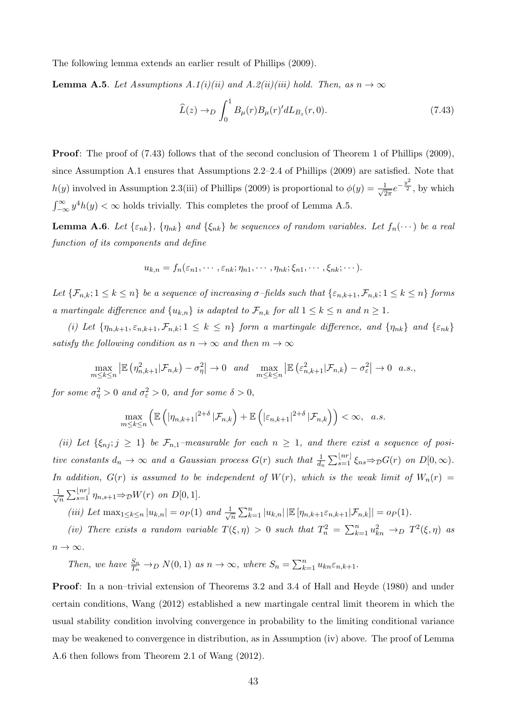The following lemma extends an earlier result of Phillips (2009).

**Lemma A.5.** Let Assumptions A.1(i)(ii) and A.2(ii)(iii) hold. Then, as  $n \to \infty$ 

$$
\widehat{L}(z) \to D \int_0^1 B_{\mu}(r) B_{\mu}(r)' dL_{B_z}(r, 0). \tag{7.43}
$$

**Proof:** The proof of (7.43) follows that of the second conclusion of Theorem 1 of Phillips (2009), since Assumption A.1 ensures that Assumptions 2.2–2.4 of Phillips (2009) are satisfied. Note that  $h(y)$  involved in Assumption 2.3(iii) of Phillips (2009) is proportional to  $\phi(y) = \frac{1}{\sqrt{2}}$  $rac{1}{2\pi}e^{-\frac{y^2}{2}},$  by which  $\int_{-\infty}^{\infty} y^4 h(y) < \infty$  holds trivially. This completes the proof of Lemma A.5.

**Lemma A.6.** Let  $\{\varepsilon_{nk}\}\$ ,  $\{\eta_{nk}\}\$  and  $\{\xi_{nk}\}\$  be sequences of random variables. Let  $f_n(\cdots)$  be a real function of its components and define

$$
u_{k,n} = f_n(\varepsilon_{n1}, \cdots, \varepsilon_{nk}; \eta_{n1}, \cdots, \eta_{nk}; \xi_{n1}, \cdots, \xi_{nk}; \cdots).
$$

Let  $\{\mathcal{F}_{n,k}; 1 \leq k \leq n\}$  be a sequence of increasing  $\sigma$ -fields such that  $\{\varepsilon_{n,k+1}, \mathcal{F}_{n,k}; 1 \leq k \leq n\}$  forms a martingale difference and  $\{u_{k,n}\}\$ is adapted to  $\mathcal{F}_{n,k}$  for all  $1 \leq k \leq n$  and  $n \geq 1$ .

(i) Let  $\{\eta_{n,k+1}, \varepsilon_{n,k+1}, \mathcal{F}_{n,k}; 1 \leq k \leq n\}$  form a martingale difference, and  $\{\eta_{nk}\}\$  and  $\{\varepsilon_{nk}\}\$ satisfy the following condition as  $n \to \infty$  and then  $m \to \infty$ 

$$
\max_{m \leq k \leq n} \left| \mathbb{E} \left( \eta_{n,k+1}^2 | \mathcal{F}_{n,k} \right) - \sigma_{\eta}^2 \right| \to 0 \quad \text{and} \quad \max_{m \leq k \leq n} \left| \mathbb{E} \left( \varepsilon_{n,k+1}^2 | \mathcal{F}_{n,k} \right) - \sigma_{\varepsilon}^2 \right| \to 0 \quad a.s.,
$$

for some  $\sigma_{\eta}^2 > 0$  and  $\sigma_{\varepsilon}^2 > 0$ , and for some  $\delta > 0$ ,

$$
\max_{m\leq k\leq n}\left(\mathbb{E}\left(\left|\eta_{n,k+1}\right|^{2+\delta}|\mathcal{F}_{n,k}\right)+\mathbb{E}\left(\left|\varepsilon_{n,k+1}\right|^{2+\delta}|\mathcal{F}_{n,k}\right)\right)<\infty, a.s.
$$

(ii) Let  $\{\xi_{nj}; j \geq 1\}$  be  $\mathcal{F}_{n,1}$ -measurable for each  $n \geq 1$ , and there exist a sequence of positive constants  $d_n \to \infty$  and a Gaussian process  $G(r)$  such that  $\frac{1}{d_n} \sum_{s=1}^{\lfloor nr \rfloor} \xi_{ns} \Rightarrow_D G(r)$  on  $D[0,\infty)$ . In addition,  $G(r)$  is assumed to be independent of  $W(r)$ , which is the weak limit of  $W_n(r)$  $\frac{1}{\sqrt{2}}$  $\frac{1}{n} \sum_{s=1}^{\lfloor nr \rfloor} \eta_{n,s+1} \Rightarrow_{\mathcal{D}} W(r)$  on  $D[0,1].$ 

(iii) Let 
$$
\max_{1 \leq k \leq n} |u_{k,n}| = o_P(1)
$$
 and  $\frac{1}{\sqrt{n}} \sum_{k=1}^n |u_{k,n}| |\mathbb{E}[\eta_{n,k+1} \varepsilon_{n,k+1} | \mathcal{F}_{n,k}]| = o_P(1)$ .

(iv) There exists a random variable  $T(\xi, \eta) > 0$  such that  $T_n^2 = \sum_{k=1}^n u_{kn}^2 \to D T^2(\xi, \eta)$  as  $n \to \infty$ .

Then, we have  $\frac{S_n}{T_n} \to_D N(0, 1)$  as  $n \to \infty$ , where  $S_n = \sum_{k=1}^n u_{kn} \varepsilon_{n,k+1}$ .

Proof: In a non–trivial extension of Theorems 3.2 and 3.4 of Hall and Heyde (1980) and under certain conditions, Wang (2012) established a new martingale central limit theorem in which the usual stability condition involving convergence in probability to the limiting conditional variance may be weakened to convergence in distribution, as in Assumption (iv) above. The proof of Lemma A.6 then follows from Theorem 2.1 of Wang (2012).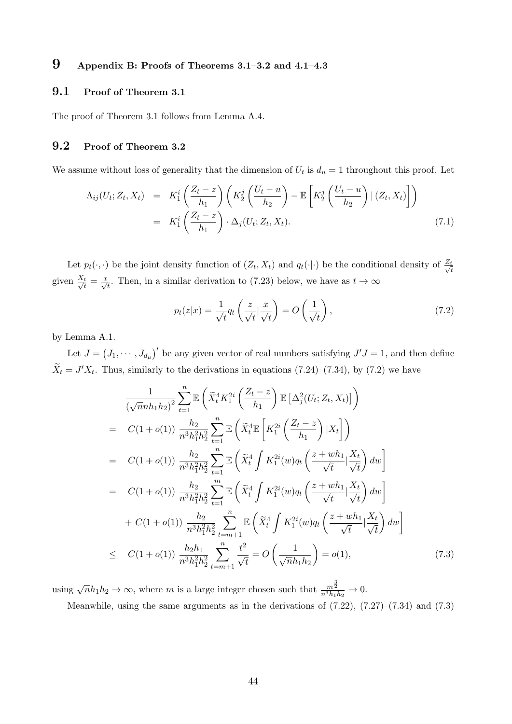# 9 Appendix B: Proofs of Theorems 3.1–3.2 and 4.1–4.3

#### 9.1 Proof of Theorem 3.1

The proof of Theorem 3.1 follows from Lemma A.4.

### 9.2 Proof of Theorem 3.2

We assume without loss of generality that the dimension of  $U_t$  is  $d_u = 1$  throughout this proof. Let

$$
\Lambda_{ij}(U_t; Z_t, X_t) = K_1^i \left( \frac{Z_t - z}{h_1} \right) \left( K_2^j \left( \frac{U_t - u}{h_2} \right) - \mathbb{E} \left[ K_2^j \left( \frac{U_t - u}{h_2} \right) | (Z_t, X_t) \right] \right)
$$
  

$$
= K_1^i \left( \frac{Z_t - z}{h_1} \right) \cdot \Delta_j(U_t; Z_t, X_t).
$$
 (7.1)

Let  $p_t(\cdot, \cdot)$  be the joint density function of  $(Z_t, X_t)$  and  $q_t(\cdot | \cdot)$  be the conditional density of  $\frac{Z_t}{\sqrt{2}}$ t given  $\frac{X_t}{\sqrt{t}} = \frac{x}{\sqrt{t}}$ . Then, in a similar derivation to (7.23) below, we have as  $t \to \infty$ 

$$
p_t(z|x) = \frac{1}{\sqrt{t}} q_t \left(\frac{z}{\sqrt{t}} \Big| \frac{x}{\sqrt{t}}\right) = O\left(\frac{1}{\sqrt{t}}\right),\tag{7.2}
$$

by Lemma A.1.

Let  $J = (J_1, \dots, J_{d_\mu})'$  be any given vector of real numbers satisfying  $J'J = 1$ , and then define  $\widetilde{X}_t = J'X_t$ . Thus, similarly to the derivations in equations (7.24)–(7.34), by (7.2) we have

$$
\frac{1}{(\sqrt{n}nh_1h_2)^2} \sum_{t=1}^{n} \mathbb{E}\left(\tilde{X}_t^4 K_1^{2i} \left(\frac{Z_t - z}{h_1}\right) \mathbb{E}\left[\Delta_j^2 (U_t; Z_t, X_t)\right]\right)
$$
\n
$$
= C(1+o(1)) \frac{h_2}{n^3 h_1^2 h_2^2} \sum_{t=1}^{n} \mathbb{E}\left(\tilde{X}_t^4 \mathbb{E}\left[K_1^{2i} \left(\frac{Z_t - z}{h_1}\right) | X_t\right]\right)
$$
\n
$$
= C(1+o(1)) \frac{h_2}{n^3 h_1^2 h_2^2} \sum_{t=1}^{n} \mathbb{E}\left(\tilde{X}_t^4 \int K_1^{2i}(w) q_t \left(\frac{z+wh_1}{\sqrt{t}} | \frac{X_t}{\sqrt{t}}\right) dw\right)
$$
\n
$$
= C(1+o(1)) \frac{h_2}{n^3 h_1^2 h_2^2} \sum_{t=1}^{m} \mathbb{E}\left(\tilde{X}_t^4 \int K_1^{2i}(w) q_t \left(\frac{z+wh_1}{\sqrt{t}} | \frac{X_t}{\sqrt{t}}\right) dw\right)
$$
\n
$$
+ C(1+o(1)) \frac{h_2}{n^3 h_1^2 h_2^2} \sum_{t=m+1}^{n} \mathbb{E}\left(\tilde{X}_t^4 \int K_1^{2i}(w) q_t \left(\frac{z+wh_1}{\sqrt{t}} | \frac{X_t}{\sqrt{t}}\right) dw\right)
$$
\n
$$
\leq C(1+o(1)) \frac{h_2 h_1}{n^3 h_1^2 h_2^2} \sum_{t=m+1}^{n} \frac{t^2}{\sqrt{t}} = O\left(\frac{1}{\sqrt{n}h_1 h_2}\right) = o(1), \qquad (7.3)
$$

using  $\sqrt{n}h_1h_2 \to \infty$ , where m is a large integer chosen such that  $\frac{m^{\frac{3}{2}}}{n^3h_1h_2} \to 0$ .

Meanwhile, using the same arguments as in the derivations of (7.22), (7.27)–(7.34) and (7.3)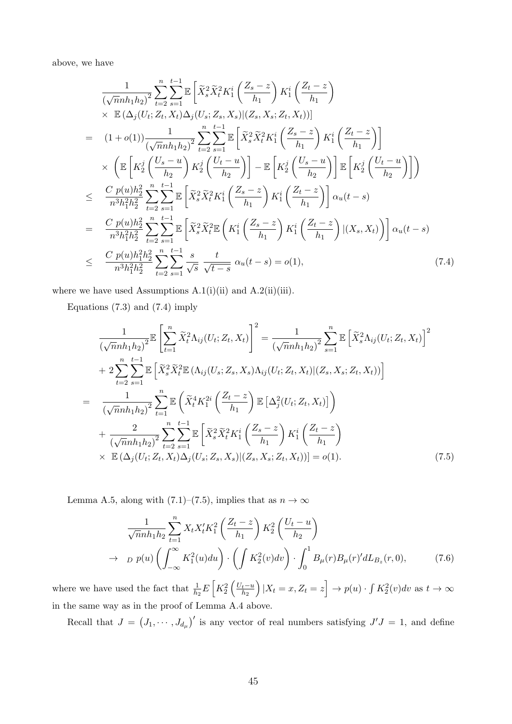above, we have

$$
\frac{1}{(\sqrt{n}nh_1h_2)^2} \sum_{t=2}^{n} \sum_{s=1}^{t-1} \mathbb{E} \left[ \tilde{X}_s^2 \tilde{X}_t^2 K_1^i \left( \frac{Z_s - z}{h_1} \right) K_1^i \left( \frac{Z_t - z}{h_1} \right) \times \mathbb{E} \left( \Delta_j (U_t; Z_t, X_t) \Delta_j (U_s; Z_s, X_s) | (Z_s, X_s; Z_t, X_t) \right) \right]
$$
\n
$$
= (1+o(1)) \frac{1}{(\sqrt{n}nh_1h_2)^2} \sum_{t=2}^{n} \sum_{s=1}^{t-1} \mathbb{E} \left[ \tilde{X}_s^2 \tilde{X}_t^2 K_1^i \left( \frac{Z_s - z}{h_1} \right) K_1^i \left( \frac{Z_t - z}{h_1} \right) \right]
$$
\n
$$
\times \left( \mathbb{E} \left[ K_2^j \left( \frac{U_s - u}{h_2} \right) K_2^j \left( \frac{U_t - u}{h_2} \right) \right] - \mathbb{E} \left[ K_2^j \left( \frac{U_s - u}{h_2} \right) \right] \mathbb{E} \left[ K_2^j \left( \frac{U_t - u}{h_2} \right) \right] \right)
$$
\n
$$
\leq \frac{C p(u)h_2^2}{n^3 h_1^2 h_2^2} \sum_{t=2}^{n} \sum_{s=1}^{t-1} \mathbb{E} \left[ \tilde{X}_s^2 \tilde{X}_t^2 K_1^i \left( \frac{Z_s - z}{h_1} \right) K_1^i \left( \frac{Z_t - z}{h_1} \right) \right] \alpha_u(t - s)
$$
\n
$$
= \frac{C p(u)h_2^2}{n^3 h_1^2 h_2^2} \sum_{t=2}^{n} \sum_{s=1}^{t-1} \mathbb{E} \left[ \tilde{X}_s^2 \tilde{X}_t^2 \mathbb{E} \left( K_1^i \left( \frac{Z_s - z}{h_1} \right) K_1^i \left( \frac{Z_t - z}{h_1} \right) | (X_s, X_t) \right) \right] \alpha_u(t - s)
$$
\n<math display="</math>

where we have used Assumptions  $A.1(i)(ii)$  and  $A.2(ii)(iii)$ .

Equations (7.3) and (7.4) imply

$$
\frac{1}{(\sqrt{n}nh_1h_2)^2} \mathbb{E}\left[\sum_{t=1}^n \tilde{X}_t^2 \Lambda_{ij}(U_t; Z_t, X_t)\right]^2 = \frac{1}{(\sqrt{n}nh_1h_2)^2} \sum_{s=1}^n \mathbb{E}\left[\tilde{X}_s^2 \Lambda_{ij}(U_t; Z_t, X_t)\right]^2 \n+ 2 \sum_{t=2}^n \sum_{s=1}^{t-1} \mathbb{E}\left[\tilde{X}_s^2 \tilde{X}_t^2 \mathbb{E}(\Lambda_{ij}(U_s; Z_s, X_s) \Lambda_{ij}(U_t; Z_t, X_t)|(Z_s, X_s; Z_t, X_t))\right] \n= \frac{1}{(\sqrt{n}nh_1h_2)^2} \sum_{t=1}^n \mathbb{E}\left(\tilde{X}_t^4 K_1^{2i} \left(\frac{Z_t - z}{h_1}\right) \mathbb{E}\left[\Delta_j^2(U_t; Z_t, X_t)\right]\right) \n+ \frac{2}{(\sqrt{n}nh_1h_2)^2} \sum_{t=2}^n \sum_{s=1}^{t-1} \mathbb{E}\left[\tilde{X}_s^2 \tilde{X}_t^2 K_1^i \left(\frac{Z_s - z}{h_1}\right) K_1^i \left(\frac{Z_t - z}{h_1}\right) \right] \n\times \mathbb{E}(\Delta_j(U_t; Z_t, X_t) \Delta_j(U_s; Z_s, X_s)|(Z_s, X_s; Z_t, X_t))] = o(1).
$$
\n(7.5)

Lemma A.5, along with (7.1)–(7.5), implies that as  $n \to \infty$ 

$$
\frac{1}{\sqrt{n}nh_1h_2} \sum_{t=1}^n X_t X_t' K_1^2 \left( \frac{Z_t - z}{h_1} \right) K_2^2 \left( \frac{U_t - u}{h_2} \right)
$$
\n
$$
\to \quad D \; p(u) \left( \int_{-\infty}^{\infty} K_1^2(u) du \right) \cdot \left( \int K_2^2(v) dv \right) \cdot \int_0^1 B_\mu(r) B_\mu(r)' dL_{B_z}(r, 0), \tag{7.6}
$$

where we have used the fact that  $\frac{1}{h_2}E\left[K_2^2\left(\frac{U_t-u}{h_2}\right)\right]$  $h<sub>2</sub>$  $\Big(|X_t = x, Z_t = z\Big| \to p(u) \cdot \int K_2^2(v) dv$  as  $t \to \infty$ in the same way as in the proof of Lemma A.4 above.

Recall that  $J = (J_1, \dots, J_{d_\mu})'$  is any vector of real numbers satisfying  $J'J = 1$ , and define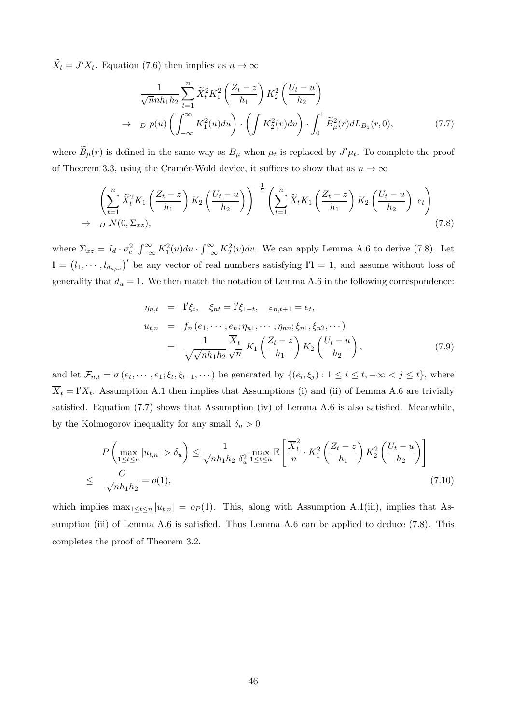$\widetilde{X}_t = J'X_t$ . Equation (7.6) then implies as  $n \to \infty$ 

$$
\frac{1}{\sqrt{n}nh_1h_2} \sum_{t=1}^n \widetilde{X}_t^2 K_1^2 \left( \frac{Z_t - z}{h_1} \right) K_2^2 \left( \frac{U_t - u}{h_2} \right)
$$
  
\n
$$
\to \quad p(u) \left( \int_{-\infty}^{\infty} K_1^2(u) du \right) \cdot \left( \int K_2^2(v) dv \right) \cdot \int_0^1 \widetilde{B}_{\mu}^2(r) dL_{B_z}(r, 0), \tag{7.7}
$$

where  $\widetilde{B}_{\mu}(r)$  is defined in the same way as  $B_{\mu}$  when  $\mu_t$  is replaced by  $J'\mu_t$ . To complete the proof of Theorem 3.3, using the Cramér-Wold device, it suffices to show that as  $n \to \infty$ 

$$
\left(\sum_{t=1}^{n} \widetilde{X}_t^2 K_1\left(\frac{Z_t - z}{h_1}\right) K_2\left(\frac{U_t - u}{h_2}\right)\right)^{-\frac{1}{2}} \left(\sum_{t=1}^{n} \widetilde{X}_t K_1\left(\frac{Z_t - z}{h_1}\right) K_2\left(\frac{U_t - u}{h_2}\right) e_t\right)
$$
\n
$$
\rightarrow D N(0, \Sigma_{xz}), \tag{7.8}
$$

where  $\Sigma_{xz} = I_d \cdot \sigma_e^2 \int_{-\infty}^{\infty} K_1^2(u) du \cdot \int_{-\infty}^{\infty} K_2^2(v) dv$ . We can apply Lemma A.6 to derive (7.8). Let  $\mathbf{l} = (l_1, \dots, l_{d_{u\mu\nu}})'$  be any vector of real numbers satisfying  $\mathbf{l}'\mathbf{l} = 1$ , and assume without loss of generality that  $d_u = 1$ . We then match the notation of Lemma A.6 in the following correspondence:

$$
\eta_{n,t} = \mathbf{I}' \xi_t, \quad \xi_{nt} = \mathbf{I}' \xi_{1-t}, \quad \varepsilon_{n,t+1} = e_t,
$$
\n
$$
u_{t,n} = f_n(e_1, \cdots, e_n; \eta_{n1}, \cdots, \eta_{nn}; \xi_{n1}, \xi_{n2}, \cdots)
$$
\n
$$
= \frac{1}{\sqrt{\sqrt{n}h_1h_2}} \frac{\overline{X}_t}{\sqrt{n}} K_1 \left( \frac{Z_t - z}{h_1} \right) K_2 \left( \frac{U_t - u}{h_2} \right), \tag{7.9}
$$

and let  $\mathcal{F}_{n,t} = \sigma(e_t, \dots, e_1; \xi_t, \xi_{t-1}, \dots)$  be generated by  $\{(e_i, \xi_j) : 1 \le i \le t, -\infty < j \le t\}$ , where  $\overline{X}_t = \mathbf{l}' X_t$ . Assumption A.1 then implies that Assumptions (i) and (ii) of Lemma A.6 are trivially satisfied. Equation (7.7) shows that Assumption (iv) of Lemma A.6 is also satisfied. Meanwhile, by the Kolmogorov inequality for any small  $\delta_u > 0$ 

$$
P\left(\max_{1\leq t\leq n}|u_{t,n}|>\delta_u\right)\leq \frac{1}{\sqrt{n}h_1h_2\delta_u^2}\max_{1\leq t\leq n}\mathbb{E}\left[\frac{\overline{X}_t^2}{n}\cdot K_1^2\left(\frac{Z_t-z}{h_1}\right)K_2^2\left(\frac{U_t-u}{h_2}\right)\right]
$$
\n
$$
\leq \frac{C}{\sqrt{n}h_1h_2}=o(1),\tag{7.10}
$$

which implies  $\max_{1 \leq t \leq n} |u_{t,n}| = o_P(1)$ . This, along with Assumption A.1(iii), implies that Assumption (iii) of Lemma A.6 is satisfied. Thus Lemma A.6 can be applied to deduce (7.8). This completes the proof of Theorem 3.2.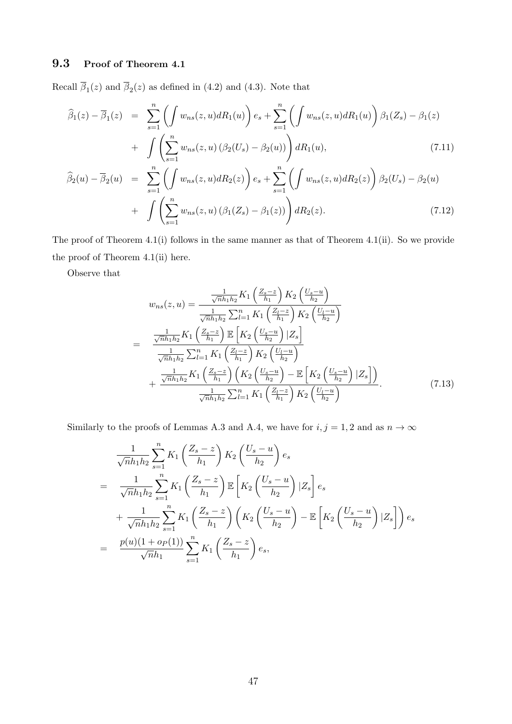# 9.3 Proof of Theorem 4.1

Recall  $\beta_1(z)$  and  $\beta_2(z)$  as defined in (4.2) and (4.3). Note that

$$
\widehat{\beta}_1(z) - \overline{\beta}_1(z) = \sum_{s=1}^n \left( \int w_{ns}(z, u) dR_1(u) \right) e_s + \sum_{s=1}^n \left( \int w_{ns}(z, u) dR_1(u) \right) \beta_1(Z_s) - \beta_1(z) + \int \left( \sum_{s=1}^n w_{ns}(z, u) \left( \beta_2(U_s) - \beta_2(u) \right) \right) dR_1(u), \tag{7.11}
$$

$$
\widehat{\beta}_2(u) - \overline{\beta}_2(u) = \sum_{s=1}^n \left( \int w_{ns}(z, u) dR_2(z) \right) e_s + \sum_{s=1}^n \left( \int w_{ns}(z, u) dR_2(z) \right) \beta_2(U_s) - \beta_2(u) + \int \left( \sum_{s=1}^n w_{ns}(z, u) \left( \beta_1(Z_s) - \beta_1(z) \right) \right) dR_2(z).
$$
\n(7.12)

The proof of Theorem 4.1(i) follows in the same manner as that of Theorem 4.1(ii). So we provide the proof of Theorem 4.1(ii) here.

Observe that

$$
w_{ns}(z, u) = \frac{\frac{1}{\sqrt{n}h_1h_2} K_1\left(\frac{Z_s - z}{h_1}\right) K_2\left(\frac{U_s - u}{h_2}\right)}{\frac{1}{\sqrt{n}h_1h_2} \sum_{l=1}^n K_1\left(\frac{Z_l - z}{h_1}\right) K_2\left(\frac{U_l - u}{h_2}\right)}
$$
  

$$
= \frac{\frac{1}{\sqrt{n}h_1h_2} K_1\left(\frac{Z_s - z}{h_1}\right) \mathbb{E}\left[K_2\left(\frac{U_s - u}{h_2}\right) | Z_s\right]}{\frac{1}{\sqrt{n}h_1h_2} \sum_{l=1}^n K_1\left(\frac{Z_l - z}{h_1}\right) K_2\left(\frac{U_l - u}{h_2}\right)}
$$

$$
+ \frac{\frac{1}{\sqrt{n}h_1h_2} K_1\left(\frac{Z_s - z}{h_1}\right) \left(K_2\left(\frac{U_s - u}{h_2}\right) - \mathbb{E}\left[K_2\left(\frac{U_s - u}{h_2}\right) | Z_s\right]\right)}{\frac{1}{\sqrt{n}h_1h_2} \sum_{l=1}^n K_1\left(\frac{Z_l - z}{h_1}\right) K_2\left(\frac{U_l - u}{h_2}\right)}.
$$
(7.13)

Similarly to the proofs of Lemmas A.3 and A.4, we have for  $i, j = 1, 2$  and as  $n \to \infty$ 

$$
\frac{1}{\sqrt{n}h_1h_2} \sum_{s=1}^{n} K_1 \left( \frac{Z_s - z}{h_1} \right) K_2 \left( \frac{U_s - u}{h_2} \right) e_s
$$
\n
$$
= \frac{1}{\sqrt{n}h_1h_2} \sum_{s=1}^{n} K_1 \left( \frac{Z_s - z}{h_1} \right) \mathbb{E} \left[ K_2 \left( \frac{U_s - u}{h_2} \right) | Z_s \right] e_s
$$
\n
$$
+ \frac{1}{\sqrt{n}h_1h_2} \sum_{s=1}^{n} K_1 \left( \frac{Z_s - z}{h_1} \right) \left( K_2 \left( \frac{U_s - u}{h_2} \right) - \mathbb{E} \left[ K_2 \left( \frac{U_s - u}{h_2} \right) | Z_s \right] \right) e_s
$$
\n
$$
= \frac{p(u)(1 + op(1))}{\sqrt{n}h_1} \sum_{s=1}^{n} K_1 \left( \frac{Z_s - z}{h_1} \right) e_s,
$$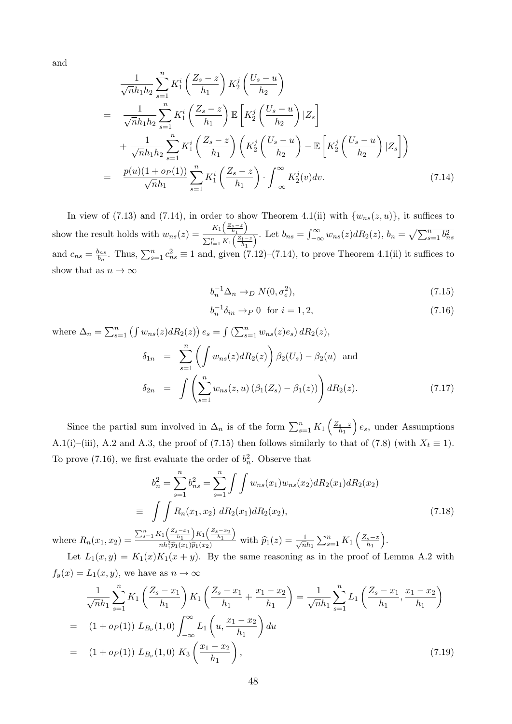and

$$
\frac{1}{\sqrt{n}h_{1}h_{2}}\sum_{s=1}^{n} K_{1}^{i}\left(\frac{Z_{s}-z}{h_{1}}\right) K_{2}^{j}\left(\frac{U_{s}-u}{h_{2}}\right)
$$
\n
$$
= \frac{1}{\sqrt{n}h_{1}h_{2}}\sum_{s=1}^{n} K_{1}^{i}\left(\frac{Z_{s}-z}{h_{1}}\right) \mathbb{E}\left[K_{2}^{j}\left(\frac{U_{s}-u}{h_{2}}\right)|Z_{s}\right]
$$
\n
$$
+ \frac{1}{\sqrt{n}h_{1}h_{2}}\sum_{s=1}^{n} K_{1}^{i}\left(\frac{Z_{s}-z}{h_{1}}\right)\left(K_{2}^{j}\left(\frac{U_{s}-u}{h_{2}}\right)-\mathbb{E}\left[K_{2}^{j}\left(\frac{U_{s}-u}{h_{2}}\right)|Z_{s}\right]\right)
$$
\n
$$
= \frac{p(u)(1+o_{1}u)}{\sqrt{n}h_{1}}\sum_{s=1}^{n} K_{1}^{i}\left(\frac{Z_{s}-z}{h_{1}}\right) \cdot \int_{-\infty}^{\infty} K_{2}^{j}(v)dv. \tag{7.14}
$$

In view of (7.13) and (7.14), in order to show Theorem 4.1(ii) with  $\{w_{ns}(z, u)\}\$ , it suffices to show the result holds with  $w_{ns}(z) = \frac{K_1\left(\frac{Z_s-z}{h_1}\right)}{\sum_{k=1}^n K_k\left(\frac{Z_k-z}{h_1}\right)}$  $\frac{R_1(\frac{v}{h_1})}{\sum_{l=1}^n K_l(\frac{Z_l-z}{h_1})}$ . Let  $b_{ns} = \int_{-\infty}^{\infty} w_{ns}(z) dR_2(z)$ ,  $b_n = \sqrt{\sum_{s=1}^n b_{ns}^2}$ and  $c_{ns} = \frac{b_{ns}}{b_n}$  $\frac{b_{ns}}{b_n}$ . Thus,  $\sum_{s=1}^n c_{ns}^2 \equiv 1$  and, given  $(7.12)-(7.14)$ , to prove Theorem 4.1(ii) it suffices to show that as  $n \to \infty$ 

$$
b_n^{-1} \Delta_n \to_D N(0, \sigma_e^2),\tag{7.15}
$$

$$
b_n^{-1}\delta_{in} \to_P 0 \quad \text{for } i = 1, 2,
$$
\n
$$
(7.16)
$$

where 
$$
\Delta_n = \sum_{s=1}^n \left( \int w_{ns}(z) dR_2(z) \right) e_s = \int (\sum_{s=1}^n w_{ns}(z) e_s) dR_2(z),
$$
  
\n
$$
\delta_{1n} = \sum_{s=1}^n \left( \int w_{ns}(z) dR_2(z) \right) \beta_2(U_s) - \beta_2(u) \text{ and }
$$
\n
$$
\delta_{2n} = \int \left( \sum_{s=1}^n w_{ns}(z, u) \left( \beta_1(Z_s) - \beta_1(z) \right) \right) dR_2(z). \tag{7.17}
$$

Since the partial sum involved in  $\Delta_n$  is of the form  $\sum_{s=1}^n K_1\left(\frac{Z_s-z_s}{h_1}\right)$  $\overline{h_1}$  $\Big\} e_s$ , under Assumptions A.1(i)–(iii), A.2 and A.3, the proof of (7.15) then follows similarly to that of (7.8) (with  $X_t \equiv 1$ ). To prove (7.16), we first evaluate the order of  $b_n^2$ . Observe that

$$
b_n^2 = \sum_{s=1}^n b_{ns}^2 = \sum_{s=1}^n \int \int w_{ns}(x_1)w_{ns}(x_2) dR_2(x_1) dR_2(x_2)
$$
  
\n
$$
\equiv \int \int R_n(x_1, x_2) dR_2(x_1) dR_2(x_2),
$$
  
\n
$$
\sum_{s=1}^n K_1\left(\frac{z_s - x_1}{h_1}\right) K_1\left(\frac{z_s - x_2}{h_1}\right) \text{ with } \hat{p}_1(z) = \frac{1}{\sqrt{n}} \sum_{s=1}^n K_1\left(\frac{z_s - z}{h_1}\right).
$$
\n(7.18)

where  $R_n(x_1, x_2) =$  $\sum_{s=1}^{n} K_1\left(\frac{Z_s-x_1}{h_1}\right) K_1\left(\frac{Z_s-x_2}{h_1}\right)$  $\frac{n_1(\overline{h_1})^{n_1}(\overline{h_1})}{nh_1^2\hat{p}_1(x_1)\hat{p}_1(x_2)}$  with  $\hat{p}_1(z) = \frac{1}{\sqrt{n}}$  $\frac{1}{\overline{n}h_1}\sum_{s=1}^n K_1\left(\frac{Z_s-z}{h_1}\right)$  $\overline{h_1}$ 

Let  $L_1(x,y) = K_1(x)K_1(x+y)$ . By the same reasoning as in the proof of Lemma A.2 with  $f_y(x) = L_1(x, y)$ , we have as  $n \to \infty$ 

$$
\frac{1}{\sqrt{n}h_1} \sum_{s=1}^{n} K_1 \left( \frac{Z_s - x_1}{h_1} \right) K_1 \left( \frac{Z_s - x_1}{h_1} + \frac{x_1 - x_2}{h_1} \right) = \frac{1}{\sqrt{n}h_1} \sum_{s=1}^{n} L_1 \left( \frac{Z_s - x_1}{h_1}, \frac{x_1 - x_2}{h_1} \right)
$$
  
\n
$$
= (1 + o_P(1)) L_{B_{\nu}}(1, 0) \int_{-\infty}^{\infty} L_1 \left( u, \frac{x_1 - x_2}{h_1} \right) du
$$
  
\n
$$
= (1 + o_P(1)) L_{B_{\nu}}(1, 0) K_3 \left( \frac{x_1 - x_2}{h_1} \right), \tag{7.19}
$$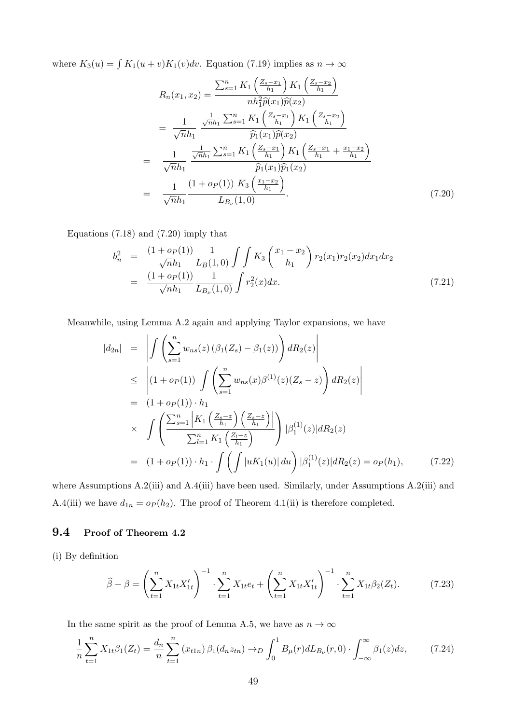where  $K_3(u) = \int K_1(u + v)K_1(v)dv$ . Equation (7.19) implies as  $n \to \infty$ 

$$
R_{n}(x_{1}, x_{2}) = \frac{\sum_{s=1}^{n} K_{1}\left(\frac{Z_{s}-x_{1}}{h_{1}}\right) K_{1}\left(\frac{Z_{s}-x_{2}}{h_{1}}\right)}{nh_{1}^{2}\hat{p}(x_{1})\hat{p}(x_{2})}
$$
  
\n
$$
= \frac{1}{\sqrt{n}h_{1}} \frac{\frac{1}{\sqrt{n}h_{1}} \sum_{s=1}^{n} K_{1}\left(\frac{Z_{s}-x_{1}}{h_{1}}\right) K_{1}\left(\frac{Z_{s}-x_{2}}{h_{1}}\right)}{\hat{p}_{1}(x_{1})\hat{p}(x_{2})}
$$
  
\n
$$
= \frac{1}{\sqrt{n}h_{1}} \frac{\frac{1}{\sqrt{n}h_{1}} \sum_{s=1}^{n} K_{1}\left(\frac{Z_{s}-x_{1}}{h_{1}}\right) K_{1}\left(\frac{Z_{s}-x_{1}}{h_{1}}+\frac{x_{1}-x_{2}}{h_{1}}\right)}{\hat{p}_{1}(x_{1})\hat{p}_{1}(x_{2})}
$$
  
\n
$$
= \frac{1}{\sqrt{n}h_{1}} \frac{(1+o_{P}(1)) K_{3}\left(\frac{x_{1}-x_{2}}{h_{1}}\right)}{L_{B_{\nu}}(1,0)}.
$$
 (7.20)

Equations (7.18) and (7.20) imply that

$$
b_n^2 = \frac{(1+o_P(1))}{\sqrt{n}h_1} \frac{1}{L_B(1,0)} \int \int K_3 \left(\frac{x_1 - x_2}{h_1}\right) r_2(x_1) r_2(x_2) dx_1 dx_2
$$
  
= 
$$
\frac{(1+o_P(1))}{\sqrt{n}h_1} \frac{1}{L_{B_\nu}(1,0)} \int r_2^2(x) dx.
$$
 (7.21)

Meanwhile, using Lemma A.2 again and applying Taylor expansions, we have

$$
|d_{2n}| = \left| \int \left( \sum_{s=1}^{n} w_{ns}(z) \left( \beta_1(Z_s) - \beta_1(z) \right) \right) dR_2(z) \right|
$$
  
\n
$$
\leq \left| (1 + o_P(1)) \int \left( \sum_{s=1}^{n} w_{ns}(x) \beta^{(1)}(z) (Z_s - z) \right) dR_2(z) \right|
$$
  
\n
$$
= (1 + o_P(1)) \cdot h_1
$$
  
\n
$$
\times \int \left( \frac{\sum_{s=1}^{n} \left| K_1 \left( \frac{Z_s - z}{h_1} \right) \left( \frac{Z_s - z}{h_1} \right) \right|}{\sum_{l=1}^{n} K_1 \left( \frac{Z_l - z}{h_1} \right)} \right) |\beta_1^{(1)}(z)| dR_2(z)
$$
  
\n
$$
= (1 + o_P(1)) \cdot h_1 \cdot \int \left( \int |uK_1(u)| du \right) |\beta_1^{(1)}(z)| dR_2(z) = o_P(h_1), \qquad (7.22)
$$

where Assumptions A.2(iii) and A.4(iii) have been used. Similarly, under Assumptions A.2(iii) and A.4(iii) we have  $d_{1n} = o_P(h_2)$ . The proof of Theorem 4.1(ii) is therefore completed.

### 9.4 Proof of Theorem 4.2

(i) By definition

$$
\widehat{\beta} - \beta = \left(\sum_{t=1}^{n} X_{1t} X_{1t}'\right)^{-1} \cdot \sum_{t=1}^{n} X_{1t} e_t + \left(\sum_{t=1}^{n} X_{1t} X_{1t}'\right)^{-1} \cdot \sum_{t=1}^{n} X_{1t} \beta_2(Z_t). \tag{7.23}
$$

In the same spirit as the proof of Lemma A.5, we have as  $n \to \infty$ 

$$
\frac{1}{n}\sum_{t=1}^{n} X_{1t}\beta_1(Z_t) = \frac{d_n}{n}\sum_{t=1}^{n} (x_{t1n})\beta_1(d_nz_{tn}) \to D \int_0^1 B_\mu(r) dL_{B_\nu}(r,0) \cdot \int_{-\infty}^\infty \beta_1(z) dz, \tag{7.24}
$$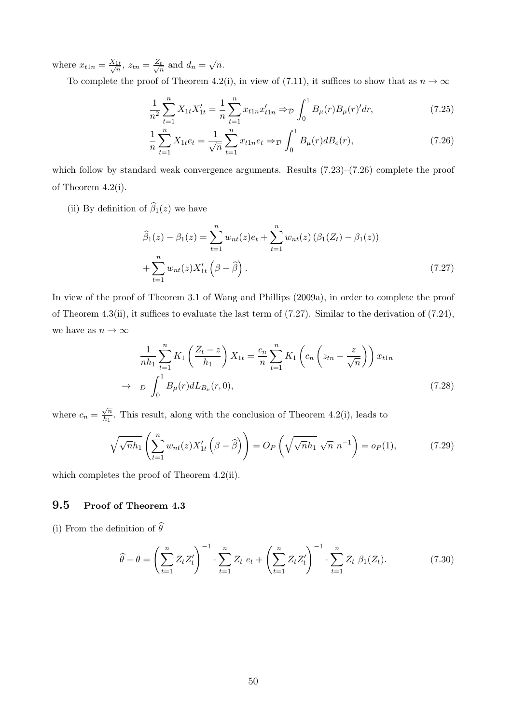where  $x_{t1n} = \frac{X_{1t}}{\sqrt{n}}, z_{tn} = \frac{Z_t}{\sqrt{n}}$  $\frac{d}{n}$  and  $d_n = \sqrt{n}$ .

To complete the proof of Theorem 4.2(i), in view of (7.11), it suffices to show that as  $n \to \infty$ 

$$
\frac{1}{n^2} \sum_{t=1}^n X_{1t} X'_{1t} = \frac{1}{n} \sum_{t=1}^n x_{t1n} x'_{t1n} \Rightarrow_{\mathcal{D}} \int_0^1 B_\mu(r) B_\mu(r)' dr,
$$
\n(7.25)

$$
\frac{1}{n}\sum_{t=1}^{n}X_{1t}e_{t} = \frac{1}{\sqrt{n}}\sum_{t=1}^{n}x_{t1n}e_{t} \Rightarrow_{\mathcal{D}} \int_{0}^{1}B_{\mu}(r)dB_{e}(r),\tag{7.26}
$$

which follow by standard weak convergence arguments. Results (7.23)–(7.26) complete the proof of Theorem 4.2(i).

(ii) By definition of  $\widehat{\beta}_1(z)$  we have

$$
\widehat{\beta}_1(z) - \beta_1(z) = \sum_{t=1}^n w_{nt}(z)e_t + \sum_{t=1}^n w_{nt}(z) (\beta_1(Z_t) - \beta_1(z)) + \sum_{t=1}^n w_{nt}(z) X'_{1t} (\beta - \widehat{\beta}).
$$
\n(7.27)

In view of the proof of Theorem 3.1 of Wang and Phillips (2009a), in order to complete the proof of Theorem 4.3(ii), it suffices to evaluate the last term of (7.27). Similar to the derivation of (7.24), we have as  $n\to\infty$ 

$$
\frac{1}{nh_1} \sum_{t=1}^{n} K_1 \left( \frac{Z_t - z}{h_1} \right) X_{1t} = \frac{c_n}{n} \sum_{t=1}^{n} K_1 \left( c_n \left( z_{tn} - \frac{z}{\sqrt{n}} \right) \right) x_{t1n}
$$
  

$$
\to D \int_0^1 B_\mu(r) dL_{B_\nu}(r, 0), \tag{7.28}
$$

where  $c_n =$  $\sqrt{n}$  $\frac{\sqrt{n}}{h_1}$ . This result, along with the conclusion of Theorem 4.2(i), leads to

$$
\sqrt{\sqrt{n}h_1} \left( \sum_{t=1}^n w_{nt}(z) X'_{1t} \left( \beta - \widehat{\beta} \right) \right) = O_P\left(\sqrt{\sqrt{n}h_1} \sqrt{n} n^{-1} \right) = o_P(1), \tag{7.29}
$$

which completes the proof of Theorem 4.2(ii).

## 9.5 Proof of Theorem 4.3

(i) From the definition of  $\widehat{\theta}$ 

$$
\widehat{\theta} - \theta = \left(\sum_{t=1}^{n} Z_t Z_t'\right)^{-1} \cdot \sum_{t=1}^{n} Z_t e_t + \left(\sum_{t=1}^{n} Z_t Z_t'\right)^{-1} \cdot \sum_{t=1}^{n} Z_t \beta_1(Z_t). \tag{7.30}
$$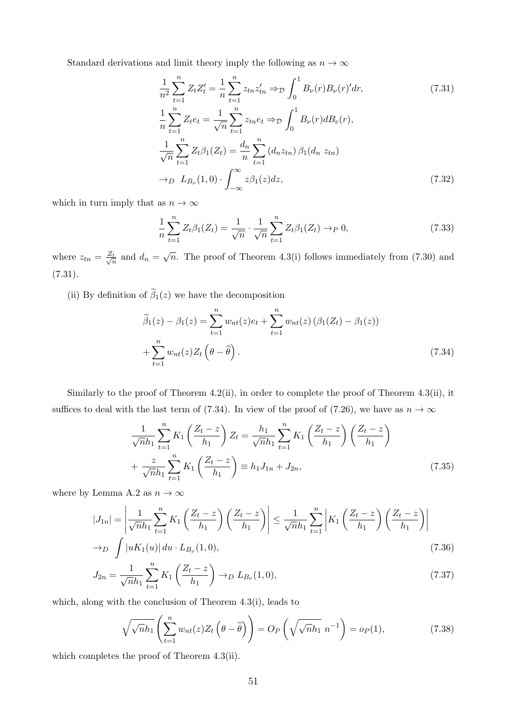Standard derivations and limit theory imply the following as  $n \to \infty$ 

$$
\frac{1}{n^2} \sum_{t=1}^n Z_t Z_t' = \frac{1}{n} \sum_{t=1}^n z_{tn} z_{tn}' \Rightarrow_{\mathcal{D}} \int_0^1 B_{\nu}(r) B_{\nu}(r)' dr,
$$
\n(7.31)\n
$$
\frac{1}{n} \sum_{t=1}^n Z_t e_t = \frac{1}{\sqrt{n}} \sum_{t=1}^n z_{tn} e_t \Rightarrow_{\mathcal{D}} \int_0^1 B_{\nu}(r) dB_e(r),
$$
\n
$$
\frac{1}{\sqrt{n}} \sum_{t=1}^n Z_t \beta_1(Z_t) = \frac{d_n}{n} \sum_{t=1}^n (d_n z_{tn}) \beta_1(d_n z_{tn})
$$
\n
$$
\to_D L_{B_{\nu}}(1, 0) \cdot \int_{-\infty}^{\infty} z \beta_1(z) dz,
$$
\n(7.32)

which in turn imply that as  $n \to \infty$ 

$$
\frac{1}{n}\sum_{t=1}^{n}Z_{t}\beta_{1}(Z_{t})=\frac{1}{\sqrt{n}}\cdot\frac{1}{\sqrt{n}}\sum_{t=1}^{n}Z_{t}\beta_{1}(Z_{t})\to_{P} 0,
$$
\n(7.33)

where  $z_{tn} = \frac{Z_t}{\sqrt{r}}$  $\frac{t}{n}$  and  $d_n = \sqrt{n}$ . The proof of Theorem 4.3(i) follows immediately from (7.30) and (7.31).

(ii) By definition of  $\tilde{\beta}_1(z)$  we have the decomposition

$$
\widetilde{\beta}_1(z) - \beta_1(z) = \sum_{t=1}^n w_{nt}(z)e_t + \sum_{t=1}^n w_{nt}(z) \left(\beta_1(Z_t) - \beta_1(z)\right)
$$

$$
+ \sum_{t=1}^n w_{nt}(z)Z_t\left(\theta - \widehat{\theta}\right). \tag{7.34}
$$

Similarly to the proof of Theorem 4.2(ii), in order to complete the proof of Theorem 4.3(ii), it suffices to deal with the last term of (7.34). In view of the proof of (7.26), we have as  $n \to \infty$ 

$$
\frac{1}{\sqrt{n}h_1} \sum_{t=1}^{n} K_1 \left( \frac{Z_t - z}{h_1} \right) Z_t = \frac{h_1}{\sqrt{n}h_1} \sum_{t=1}^{n} K_1 \left( \frac{Z_t - z}{h_1} \right) \left( \frac{Z_t - z}{h_1} \right)
$$

$$
+ \frac{z}{\sqrt{n}h_1} \sum_{t=1}^{n} K_1 \left( \frac{Z_t - z}{h_1} \right) \equiv h_1 J_{1n} + J_{2n}, \tag{7.35}
$$

where by Lemma A.2 as  $n \to \infty$ 

$$
|J_{1n}| = \left| \frac{1}{\sqrt{n}h_1} \sum_{t=1}^n K_1 \left( \frac{Z_t - z}{h_1} \right) \left( \frac{Z_t - z}{h_1} \right) \right| \le \frac{1}{\sqrt{n}h_1} \sum_{t=1}^n \left| K_1 \left( \frac{Z_t - z}{h_1} \right) \left( \frac{Z_t - z}{h_1} \right) \right|
$$
  
\n
$$
\to_D \int |uK_1(u)| \, du \cdot L_{B_\nu}(1, 0), \tag{7.36}
$$

$$
J_{2n} = \frac{1}{\sqrt{n}h_1} \sum_{t=1}^{n} K_1 \left( \frac{Z_t - z}{h_1} \right) \to_D L_{B_\nu}(1, 0), \tag{7.37}
$$

which, along with the conclusion of Theorem 4.3(i), leads to

$$
\sqrt{\sqrt{n}h_1} \left( \sum_{t=1}^n w_{nt}(z) Z_t \left( \theta - \widehat{\theta} \right) \right) = O_P \left( \sqrt{\sqrt{n}h_1} \ n^{-1} \right) = o_P(1), \tag{7.38}
$$

which completes the proof of Theorem 4.3(ii).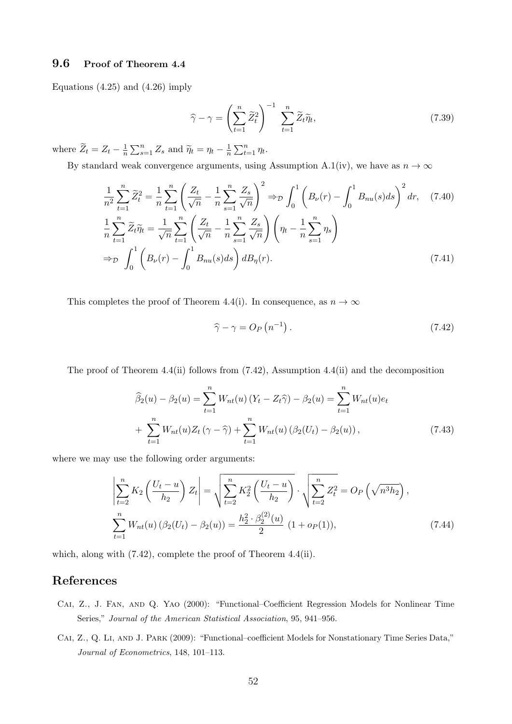#### 9.6 Proof of Theorem 4.4

Equations (4.25) and (4.26) imply

$$
\widehat{\gamma} - \gamma = \left(\sum_{t=1}^{n} \widetilde{Z}_t^2\right)^{-1} \sum_{t=1}^{n} \widetilde{Z}_t \widetilde{\eta}_t,\tag{7.39}
$$

where  $\widetilde{Z}_t = Z_t - \frac{1}{n}$  $\frac{1}{n} \sum_{s=1}^{n} Z_s$  and  $\widetilde{\eta}_t = \eta_t - \frac{1}{n}$  $\frac{1}{n} \sum_{t=1}^{n} \eta_t.$ 

By standard weak convergence arguments, using Assumption A.1(iv), we have as  $n \to \infty$ 

$$
\frac{1}{n^2} \sum_{t=1}^n \widetilde{Z}_t^2 = \frac{1}{n} \sum_{t=1}^n \left( \frac{Z_t}{\sqrt{n}} - \frac{1}{n} \sum_{s=1}^n \frac{Z_s}{\sqrt{n}} \right)^2 \Rightarrow_D \int_0^1 \left( B_\nu(r) - \int_0^1 B_{nu}(s) ds \right)^2 dr, \quad (7.40)
$$
  

$$
\frac{1}{n} \sum_{t=1}^n \widetilde{Z}_t \widetilde{\eta}_t = \frac{1}{\sqrt{n}} \sum_{t=1}^n \left( \frac{Z_t}{\sqrt{n}} - \frac{1}{n} \sum_{s=1}^n \frac{Z_s}{\sqrt{n}} \right) \left( \eta_t - \frac{1}{n} \sum_{s=1}^n \eta_s \right)
$$
  

$$
\Rightarrow_D \int_0^1 \left( B_\nu(r) - \int_0^1 B_{nu}(s) ds \right) d B_\eta(r).
$$
 (7.41)

This completes the proof of Theorem 4.4(i). In consequence, as  $n \to \infty$ 

$$
\widehat{\gamma} - \gamma = O_P\left(n^{-1}\right). \tag{7.42}
$$

The proof of Theorem 4.4(ii) follows from (7.42), Assumption 4.4(ii) and the decomposition

$$
\widehat{\beta}_2(u) - \beta_2(u) = \sum_{t=1}^n W_{nt}(u) (Y_t - Z_t \widehat{\gamma}) - \beta_2(u) = \sum_{t=1}^n W_{nt}(u) e_t + \sum_{t=1}^n W_{nt}(u) Z_t(\gamma - \widehat{\gamma}) + \sum_{t=1}^n W_{nt}(u) (\beta_2(U_t) - \beta_2(u)),
$$
\n(7.43)

where we may use the following order arguments:

$$
\left| \sum_{t=2}^{n} K_2 \left( \frac{U_t - u}{h_2} \right) Z_t \right| = \sqrt{\sum_{t=2}^{n} K_2^2 \left( \frac{U_t - u}{h_2} \right)} \cdot \sqrt{\sum_{t=2}^{n} Z_t^2} = O_P \left( \sqrt{n^3 h_2} \right),
$$
\n
$$
\sum_{t=1}^{n} W_{nt}(u) \left( \beta_2(U_t) - \beta_2(u) \right) = \frac{h_2^2 \cdot \beta_2^{(2)}(u)}{2} \left( 1 + o_P(1) \right), \tag{7.44}
$$

which, along with (7.42), complete the proof of Theorem 4.4(ii).

### References

- Cai, Z., J. Fan, and Q. Yao (2000): "Functional–Coefficient Regression Models for Nonlinear Time Series," Journal of the American Statistical Association, 95, 941–956.
- Cai, Z., Q. Li, and J. Park (2009): "Functional–coefficient Models for Nonstationary Time Series Data," Journal of Econometrics, 148, 101–113.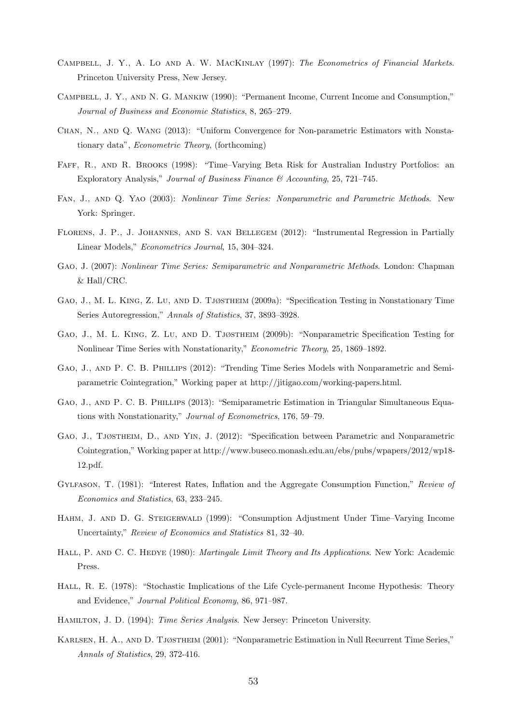- CAMPBELL, J. Y., A. LO AND A. W. MACKINLAY (1997): The Econometrics of Financial Markets. Princeton University Press, New Jersey.
- Campbell, J. Y., and N. G. Mankiw (1990): "Permanent Income, Current Income and Consumption," Journal of Business and Economic Statistics, 8, 265–279.
- Chan, N., and Q. Wang (2013): "Uniform Convergence for Non-parametric Estimators with Nonstationary data", Econometric Theory, (forthcoming)
- FAFF, R., AND R. BROOKS (1998): "Time–Varying Beta Risk for Australian Industry Portfolios: an Exploratory Analysis," Journal of Business Finance & Accounting, 25, 721–745.
- Fan, J., and Q. Yao (2003): Nonlinear Time Series: Nonparametric and Parametric Methods. New York: Springer.
- Florens, J. P., J. Johannes, and S. van Bellegem (2012): "Instrumental Regression in Partially Linear Models," Econometrics Journal, 15, 304–324.
- Gao, J. (2007): Nonlinear Time Series: Semiparametric and Nonparametric Methods. London: Chapman & Hall/CRC.
- Gao, J., M. L. King, Z. Lu, and D. Tjøstheim (2009a): "Specification Testing in Nonstationary Time Series Autoregression," Annals of Statistics, 37, 3893–3928.
- Gao, J., M. L. King, Z. Lu, and D. Tjøstheim (2009b): "Nonparametric Specification Testing for Nonlinear Time Series with Nonstationarity," Econometric Theory, 25, 1869–1892.
- Gao, J., and P. C. B. Phillips (2012): "Trending Time Series Models with Nonparametric and Semiparametric Cointegration," Working paper at http://jitigao.com/working-papers.html.
- Gao, J., and P. C. B. Phillips (2013): "Semiparametric Estimation in Triangular Simultaneous Equations with Nonstationarity," Journal of Econometrics, 176, 59–79.
- Gao, J., Tjøstheim, D., and Yin, J. (2012): "Specification between Parametric and Nonparametric Cointegration," Working paper at http://www.buseco.monash.edu.au/ebs/pubs/wpapers/2012/wp18- 12.pdf.
- Gylfason, T. (1981): "Interest Rates, Inflation and the Aggregate Consumption Function," Review of Economics and Statistics, 63, 233–245.
- Hahm, J. and D. G. Steigerwald (1999): "Consumption Adjustment Under Time–Varying Income Uncertainty," Review of Economics and Statistics 81, 32–40.
- HALL, P. AND C. C. HEDYE (1980): *Martingale Limit Theory and Its Applications*. New York: Academic Press.
- HALL, R. E. (1978): "Stochastic Implications of the Life Cycle-permanent Income Hypothesis: Theory and Evidence," Journal Political Economy, 86, 971–987.
- Hamilton, J. D. (1994): Time Series Analysis. New Jersey: Princeton University.
- Karlsen, H. A., and D. Tjøstheim (2001): "Nonparametric Estimation in Null Recurrent Time Series," Annals of Statistics, 29, 372-416.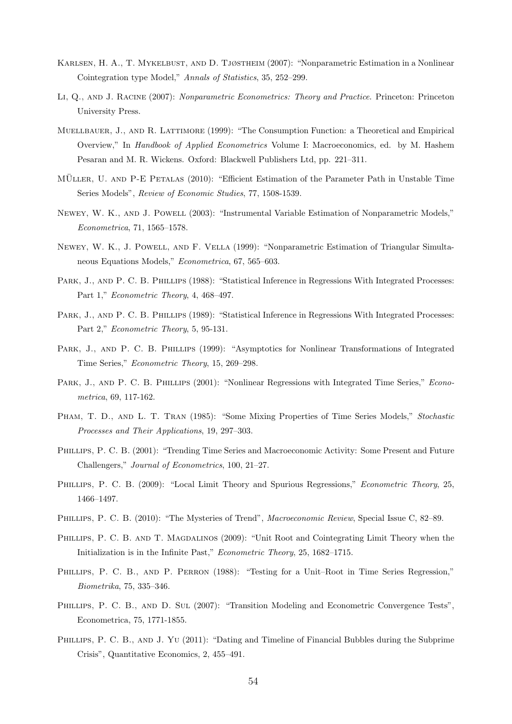- Karlsen, H. A., T. Mykelbust, and D. Tjøstheim (2007): "Nonparametric Estimation in a Nonlinear Cointegration type Model," Annals of Statistics, 35, 252–299.
- LI, Q., AND J. RACINE (2007): Nonparametric Econometrics: Theory and Practice. Princeton: Princeton University Press.
- MUELLBAUER, J., AND R. LATTIMORE (1999): "The Consumption Function: a Theoretical and Empirical Overview," In Handbook of Applied Econometrics Volume I: Macroeconomics, ed. by M. Hashem Pesaran and M. R. Wickens. Oxford: Blackwell Publishers Ltd, pp. 221–311.
- MÜLLER, U. AND P-E PETALAS (2010): "Efficient Estimation of the Parameter Path in Unstable Time Series Models", Review of Economic Studies, 77, 1508-1539.
- Newey, W. K., and J. Powell (2003): "Instrumental Variable Estimation of Nonparametric Models," Econometrica, 71, 1565–1578.
- Newey, W. K., J. Powell, and F. Vella (1999): "Nonparametric Estimation of Triangular Simultaneous Equations Models," Econometrica, 67, 565–603.
- PARK, J., AND P. C. B. PHILLIPS (1988): "Statistical Inference in Regressions With Integrated Processes: Part 1," Econometric Theory, 4, 468-497.
- PARK, J., AND P. C. B. PHILLIPS (1989): "Statistical Inference in Regressions With Integrated Processes: Part 2," Econometric Theory, 5, 95-131.
- PARK, J., AND P. C. B. PHILLIPS (1999): "Asymptotics for Nonlinear Transformations of Integrated Time Series," Econometric Theory, 15, 269–298.
- PARK, J., AND P. C. B. PHILLIPS (2001): "Nonlinear Regressions with Integrated Time Series," Econometrica, 69, 117-162.
- PHAM, T. D., AND L. T. TRAN (1985): "Some Mixing Properties of Time Series Models," Stochastic Processes and Their Applications, 19, 297–303.
- Phillips, P. C. B. (2001): "Trending Time Series and Macroeconomic Activity: Some Present and Future Challengers," Journal of Econometrics, 100, 21–27.
- PHILLIPS, P. C. B. (2009): "Local Limit Theory and Spurious Regressions," *Econometric Theory*, 25, 1466–1497.
- Phillips, P. C. B. (2010): "The Mysteries of Trend", Macroeconomic Review, Special Issue C, 82–89.
- PHILLIPS, P. C. B. AND T. MAGDALINOS (2009): "Unit Root and Cointegrating Limit Theory when the Initialization is in the Infinite Past," Econometric Theory, 25, 1682–1715.
- PHILLIPS, P. C. B., AND P. PERRON (1988): "Testing for a Unit–Root in Time Series Regression." Biometrika, 75, 335–346.
- PHILLIPS, P. C. B., AND D. SUL (2007): "Transition Modeling and Econometric Convergence Tests", Econometrica, 75, 1771-1855.
- PHILLIPS, P. C. B., AND J. YU (2011): "Dating and Timeline of Financial Bubbles during the Subprime Crisis", Quantitative Economics, 2, 455–491.